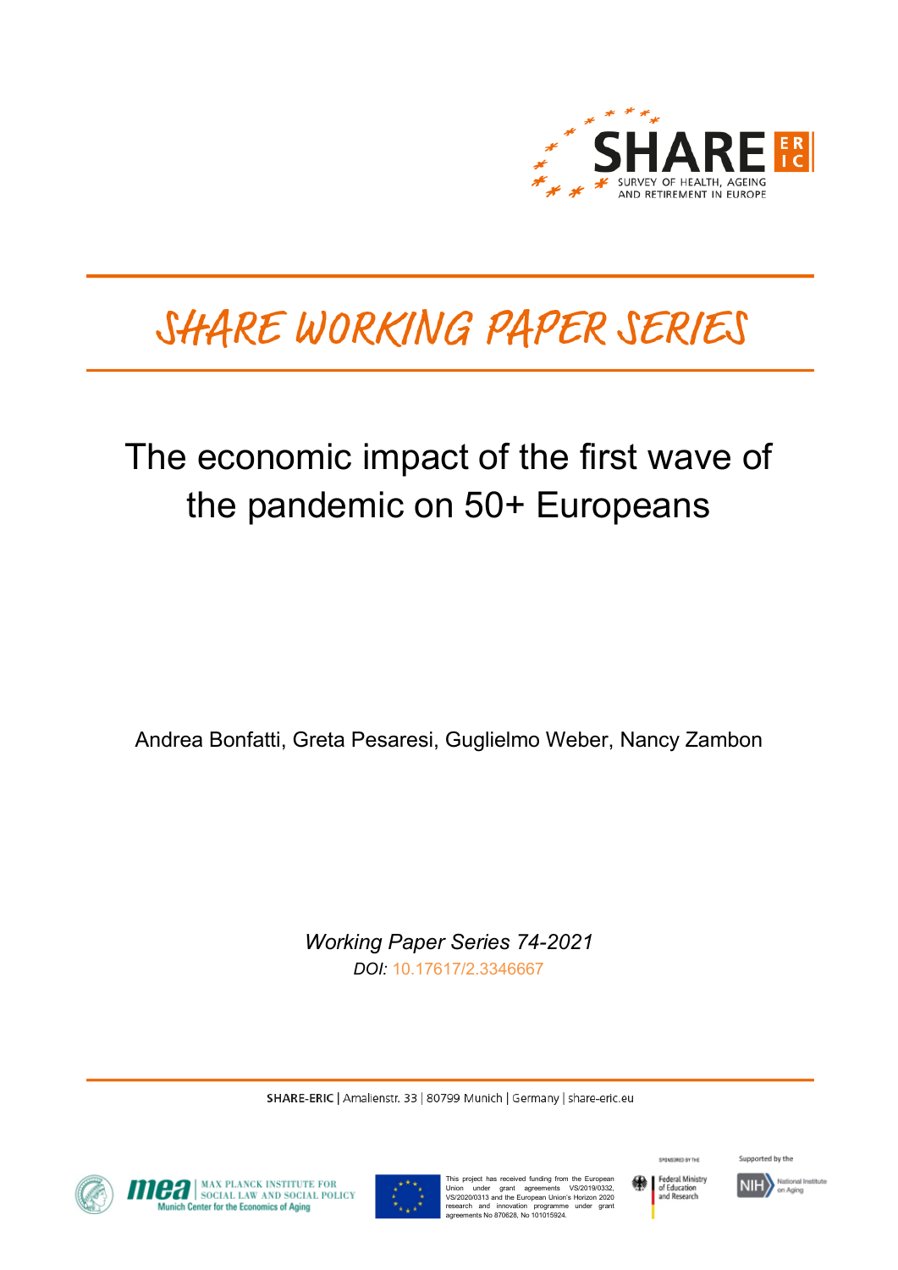

# SHARE WORKING PAPER SERIES

## The economic impact of the first wave of the pandemic on 50+ Europeans

Andrea Bonfatti, Greta Pesaresi, Guglielmo Weber, Nancy Zambon

*Working Paper Series 74-2021 DOI:* [10.17617/2.3346667](https://doi.org/10.17617/2.3346667)

SHARE-ERIC | Amalienstr. 33 | 80799 Munich | Germany | share-eric.eu



**OFFICIAL MAX PLANCK INSTITUTE FOR SOCIAL POLICY**<br>Munich Center for the Economics of Aging



This project has received funding from the European<br>Union under grant agreements VS/2019/0332,<br>VS/2020/0313 and the European Union's Horizon 2020<br>research and innovation programme under grant<br>agreements No 870628, No 10101



SPONSORED BY THE

Supported by the

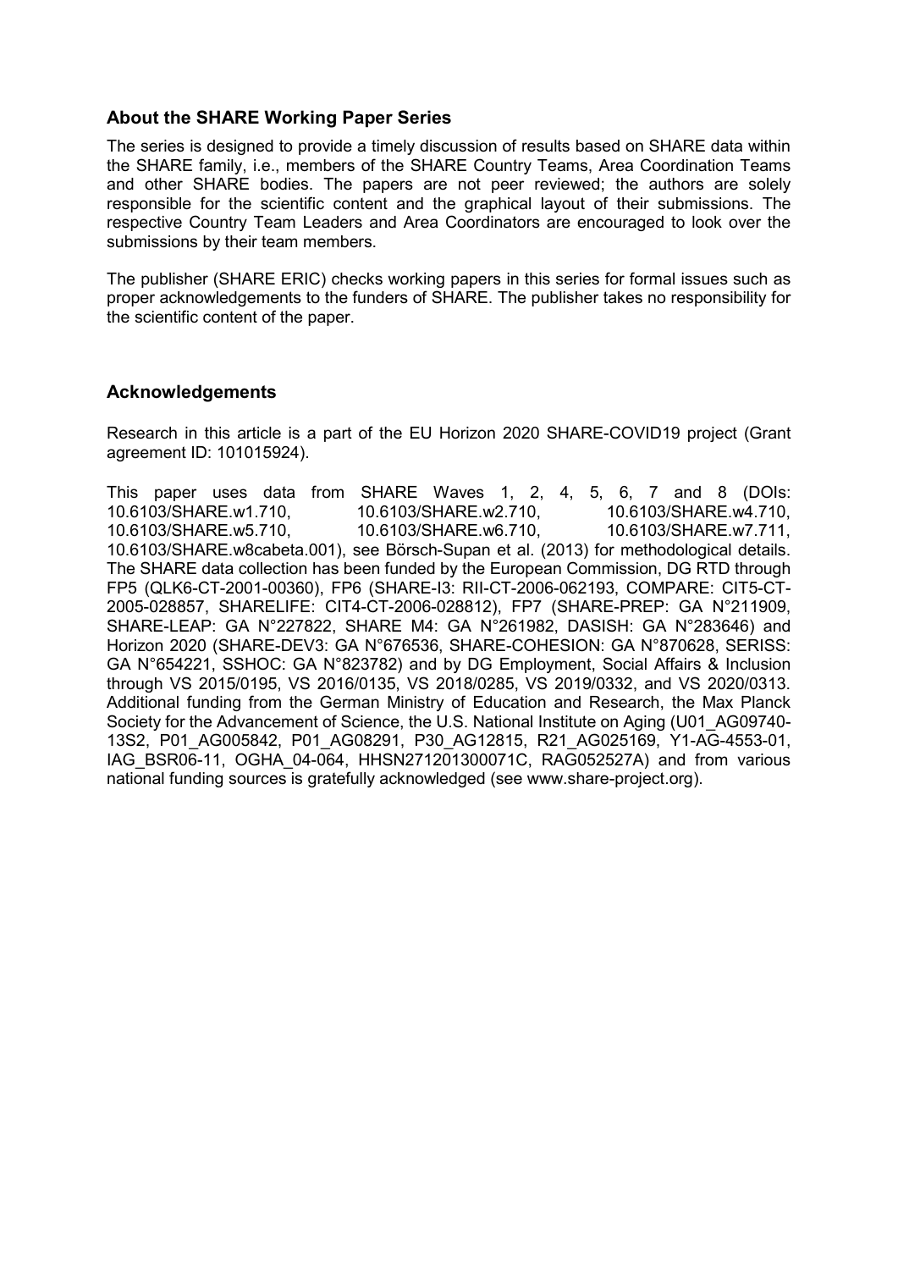## **About the SHARE Working Paper Series**

The series is designed to provide a timely discussion of results based on SHARE data within the SHARE family, i.e., members of the SHARE Country Teams, Area Coordination Teams and other SHARE bodies. The papers are not peer reviewed; the authors are solely responsible for the scientific content and the graphical layout of their submissions. The respective Country Team Leaders and Area Coordinators are encouraged to look over the submissions by their team members.

The publisher (SHARE ERIC) checks working papers in this series for formal issues such as proper acknowledgements to the funders of SHARE. The publisher takes no responsibility for the scientific content of the paper.

## **Acknowledgements**

Research in this article is a part of the EU Horizon 2020 SHARE-COVID19 project (Grant agreement ID: 101015924).

This paper uses data from SHARE Waves 1, 2, 4, 5, 6, 7 and 8 (DOIs: 10.6103/SHARE.w1.710, 10.6103/SHARE.w2.710, 10.6103/SHARE.w4.710, 10.6103/SHARE.w5.710, 10.6103/SHARE.w6.710, 10.6103/SHARE.w7.711, 10.6103/SHARE.w8cabeta.001), see Börsch-Supan et al. (2013) for methodological details. The SHARE data collection has been funded by the European Commission, DG RTD through FP5 (QLK6-CT-2001-00360), FP6 (SHARE-I3: RII-CT-2006-062193, COMPARE: CIT5-CT-2005-028857, SHARELIFE: CIT4-CT-2006-028812), FP7 (SHARE-PREP: GA N°211909, SHARE-LEAP: GA N°227822, SHARE M4: GA N°261982, DASISH: GA N°283646) and Horizon 2020 (SHARE-DEV3: GA N°676536, SHARE-COHESION: GA N°870628, SERISS: GA N°654221, SSHOC: GA N°823782) and by DG Employment, Social Affairs & Inclusion through VS 2015/0195, VS 2016/0135, VS 2018/0285, VS 2019/0332, and VS 2020/0313. Additional funding from the German Ministry of Education and Research, the Max Planck Society for the Advancement of Science, the U.S. National Institute on Aging (U01\_AG09740-13S2, P01\_AG005842, P01\_AG08291, P30\_AG12815, R21\_AG025169, Y1-AG-4553-01, IAG\_BSR06-11, OGHA\_04-064, HHSN271201300071C, RAG052527A) and from various national funding sources is gratefully acknowledged (see www.share-project.org).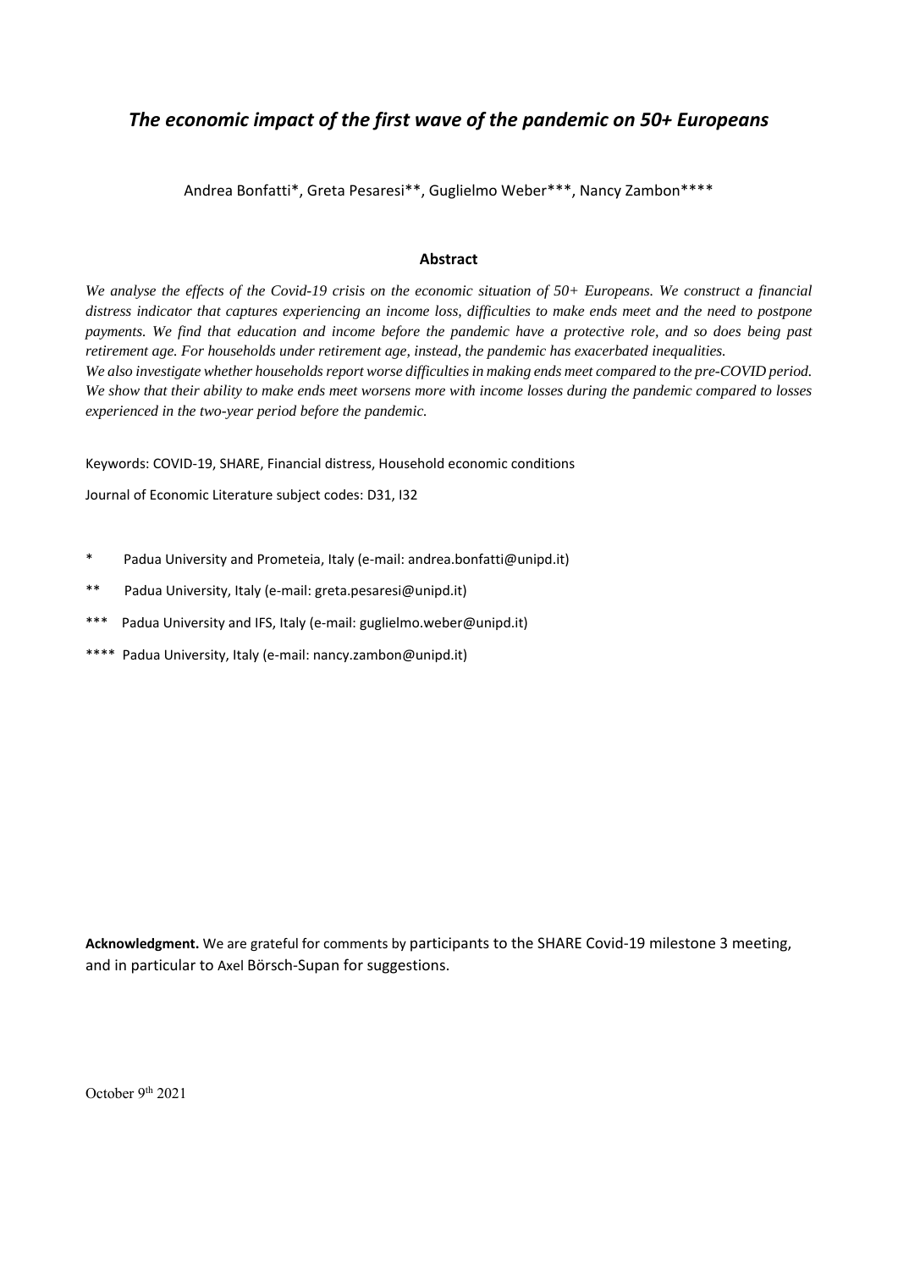## *The economic impact of the first wave of the pandemic on 50+ Europeans*

Andrea Bonfatti\*, Greta Pesaresi\*\*, Guglielmo Weber\*\*\*, Nancy Zambon\*\*\*\*

### **Abstract**

*We analyse the effects of the Covid-19 crisis on the economic situation of 50+ Europeans. We construct a financial distress indicator that captures experiencing an income loss, difficulties to make ends meet and the need to postpone payments. We find that education and income before the pandemic have a protective role, and so does being past retirement age. For households under retirement age, instead, the pandemic has exacerbated inequalities. We also investigate whether households report worse difficulties in making ends meet compared to the pre-COVID period. We show that their ability to make ends meet worsens more with income losses during the pandemic compared to losses experienced in the two-year period before the pandemic.* 

Keywords: COVID‐19, SHARE, Financial distress, Household economic conditions

Journal of Economic Literature subject codes: D31, I32

- \* Padua University and Prometeia, Italy (e‐mail: andrea.bonfatti@unipd.it)
- \*\* Padua University, Italy (e‐mail: greta.pesaresi@unipd.it)
- \*\*\* Padua University and IFS, Italy (e‐mail: guglielmo.weber@unipd.it)
- \*\*\*\* Padua University, Italy (e‐mail: nancy.zambon@unipd.it)

**Acknowledgment.** We are grateful for comments by participants to the SHARE Covid‐19 milestone 3 meeting, and in particular to Axel Börsch‐Supan for suggestions.

October 9th 2021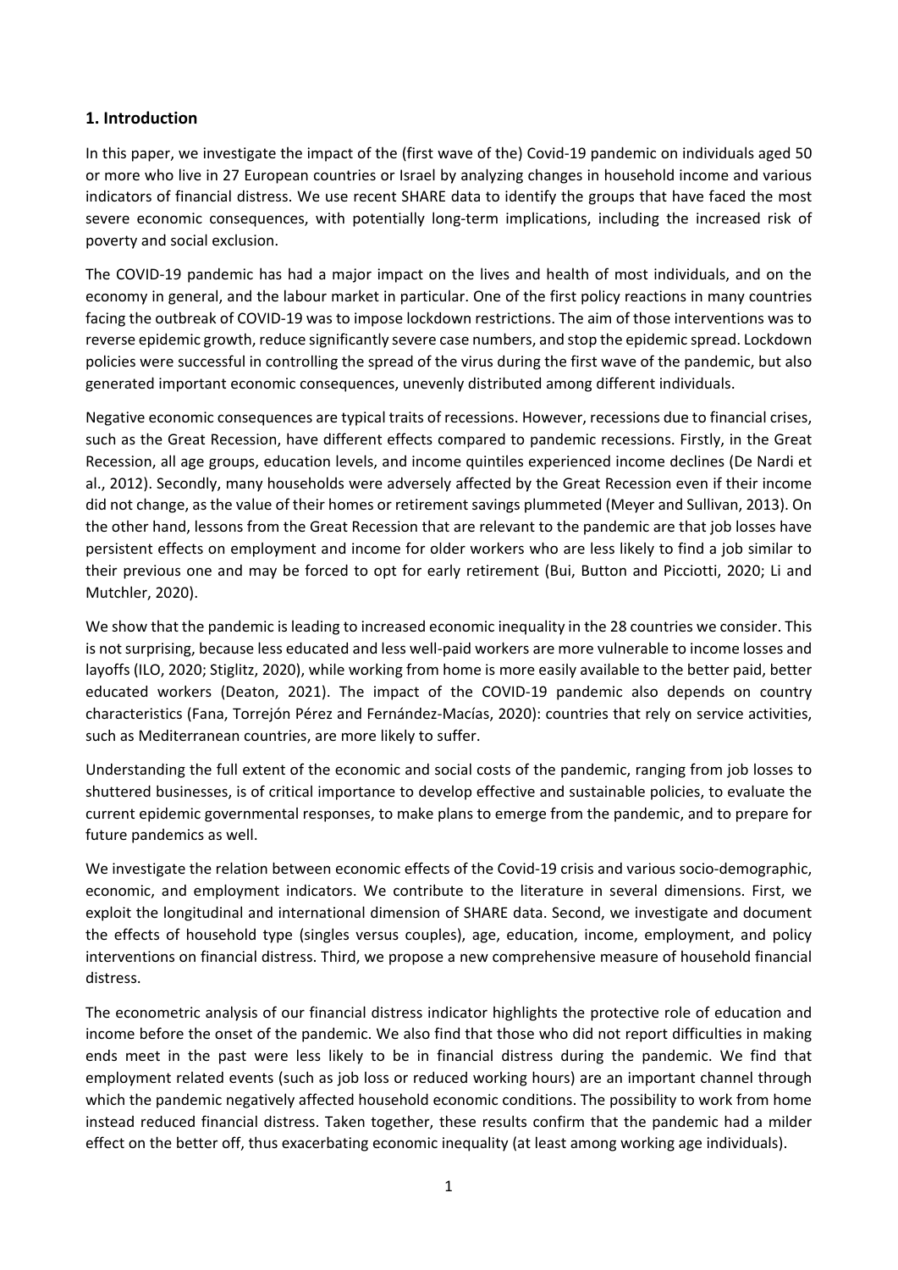## **1. Introduction**

In this paper, we investigate the impact of the (first wave of the) Covid-19 pandemic on individuals aged 50 or more who live in 27 European countries or Israel by analyzing changes in household income and various indicators of financial distress. We use recent SHARE data to identify the groups that have faced the most severe economic consequences, with potentially long-term implications, including the increased risk of poverty and social exclusion.

The COVID‐19 pandemic has had a major impact on the lives and health of most individuals, and on the economy in general, and the labour market in particular. One of the first policy reactions in many countries facing the outbreak of COVID‐19 was to impose lockdown restrictions. The aim of those interventions was to reverse epidemic growth, reduce significantly severe case numbers, and stop the epidemic spread. Lockdown policies were successful in controlling the spread of the virus during the first wave of the pandemic, but also generated important economic consequences, unevenly distributed among different individuals.

Negative economic consequences are typical traits of recessions. However, recessions due to financial crises, such as the Great Recession, have different effects compared to pandemic recessions. Firstly, in the Great Recession, all age groups, education levels, and income quintiles experienced income declines (De Nardi et al., 2012). Secondly, many households were adversely affected by the Great Recession even if their income did not change, as the value of their homes or retirement savings plummeted (Meyer and Sullivan, 2013). On the other hand, lessons from the Great Recession that are relevant to the pandemic are that job losses have persistent effects on employment and income for older workers who are less likely to find a job similar to their previous one and may be forced to opt for early retirement (Bui, Button and Picciotti, 2020; Li and Mutchler, 2020).

We show that the pandemic is leading to increased economic inequality in the 28 countries we consider. This is not surprising, because less educated and less well‐paid workers are more vulnerable to income losses and layoffs (ILO, 2020; Stiglitz, 2020), while working from home is more easily available to the better paid, better educated workers (Deaton, 2021). The impact of the COVID-19 pandemic also depends on country characteristics (Fana, Torrejón Pérez and Fernández‐Macías, 2020): countries that rely on service activities, such as Mediterranean countries, are more likely to suffer.

Understanding the full extent of the economic and social costs of the pandemic, ranging from job losses to shuttered businesses, is of critical importance to develop effective and sustainable policies, to evaluate the current epidemic governmental responses, to make plans to emerge from the pandemic, and to prepare for future pandemics as well.

We investigate the relation between economic effects of the Covid-19 crisis and various socio-demographic, economic, and employment indicators. We contribute to the literature in several dimensions. First, we exploit the longitudinal and international dimension of SHARE data. Second, we investigate and document the effects of household type (singles versus couples), age, education, income, employment, and policy interventions on financial distress. Third, we propose a new comprehensive measure of household financial distress.

The econometric analysis of our financial distress indicator highlights the protective role of education and income before the onset of the pandemic. We also find that those who did not report difficulties in making ends meet in the past were less likely to be in financial distress during the pandemic. We find that employment related events (such as job loss or reduced working hours) are an important channel through which the pandemic negatively affected household economic conditions. The possibility to work from home instead reduced financial distress. Taken together, these results confirm that the pandemic had a milder effect on the better off, thus exacerbating economic inequality (at least among working age individuals).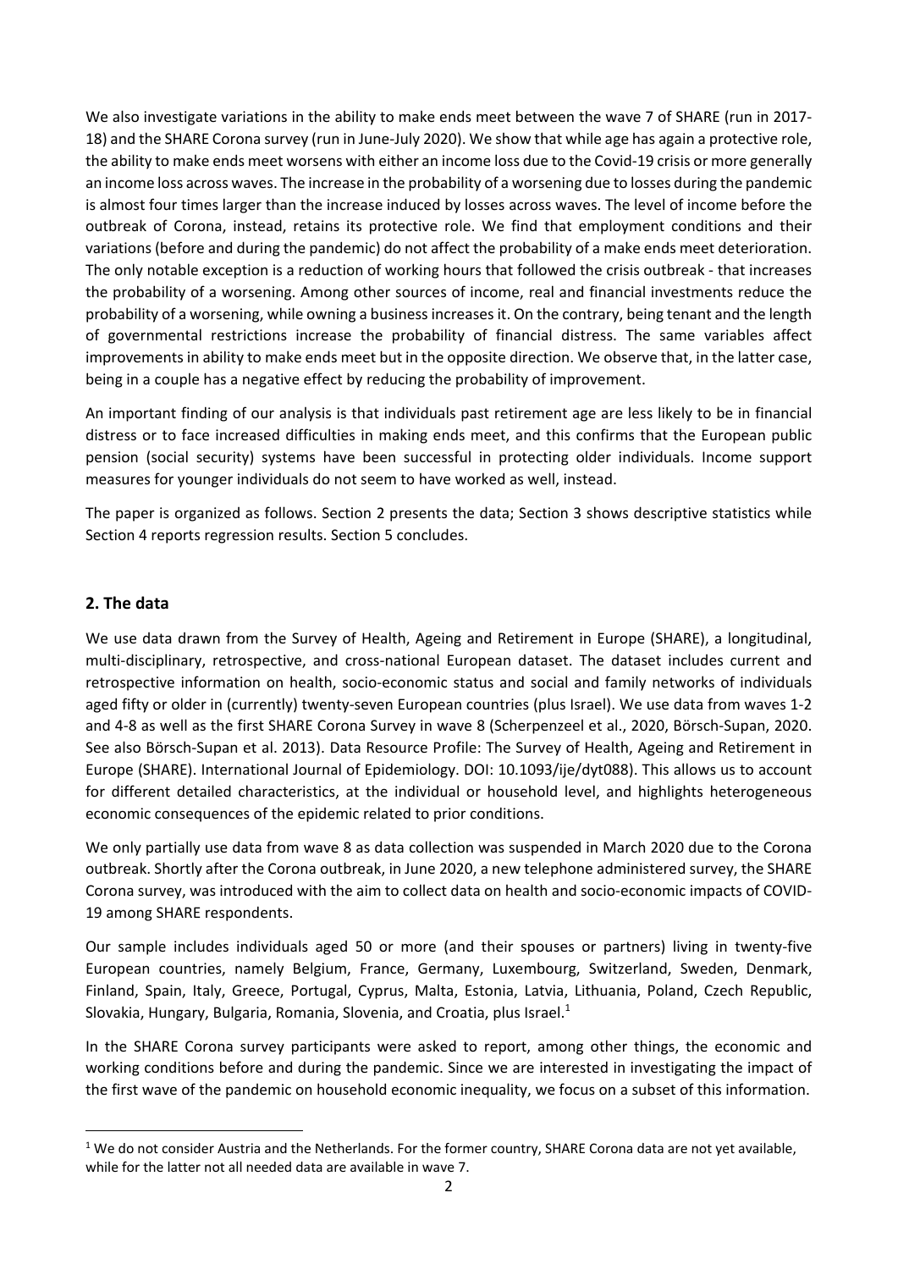We also investigate variations in the ability to make ends meet between the wave 7 of SHARE (run in 2017-18) and the SHARE Corona survey (run in June‐July 2020). We show that while age has again a protective role, the ability to make ends meet worsens with either an income loss due to the Covid‐19 crisis or more generally an income loss across waves. The increase in the probability of a worsening due to losses during the pandemic is almost four times larger than the increase induced by losses across waves. The level of income before the outbreak of Corona, instead, retains its protective role. We find that employment conditions and their variations (before and during the pandemic) do not affect the probability of a make ends meet deterioration. The only notable exception is a reduction of working hours that followed the crisis outbreak ‐ that increases the probability of a worsening. Among other sources of income, real and financial investments reduce the probability of a worsening, while owning a business increases it. On the contrary, being tenant and the length of governmental restrictions increase the probability of financial distress. The same variables affect improvements in ability to make ends meet but in the opposite direction. We observe that, in the latter case, being in a couple has a negative effect by reducing the probability of improvement.

An important finding of our analysis is that individuals past retirement age are less likely to be in financial distress or to face increased difficulties in making ends meet, and this confirms that the European public pension (social security) systems have been successful in protecting older individuals. Income support measures for younger individuals do not seem to have worked as well, instead.

The paper is organized as follows. Section 2 presents the data; Section 3 shows descriptive statistics while Section 4 reports regression results. Section 5 concludes.

## **2. The data**

We use data drawn from the Survey of Health, Ageing and Retirement in Europe (SHARE), a longitudinal, multi-disciplinary, retrospective, and cross-national European dataset. The dataset includes current and retrospective information on health, socio-economic status and social and family networks of individuals aged fifty or older in (currently) twenty-seven European countries (plus Israel). We use data from waves 1-2 and 4‐8 as well as the first SHARE Corona Survey in wave 8 (Scherpenzeel et al., 2020, Börsch‐Supan, 2020. See also Börsch‐Supan et al. 2013). Data Resource Profile: The Survey of Health, Ageing and Retirement in Europe (SHARE). International Journal of Epidemiology. DOI: 10.1093/ije/dyt088). This allows us to account for different detailed characteristics, at the individual or household level, and highlights heterogeneous economic consequences of the epidemic related to prior conditions.

We only partially use data from wave 8 as data collection was suspended in March 2020 due to the Corona outbreak. Shortly after the Corona outbreak, in June 2020, a new telephone administered survey, the SHARE Corona survey, was introduced with the aim to collect data on health and socio‐economic impacts of COVID‐ 19 among SHARE respondents.

Our sample includes individuals aged 50 or more (and their spouses or partners) living in twenty-five European countries, namely Belgium, France, Germany, Luxembourg, Switzerland, Sweden, Denmark, Finland, Spain, Italy, Greece, Portugal, Cyprus, Malta, Estonia, Latvia, Lithuania, Poland, Czech Republic, Slovakia, Hungary, Bulgaria, Romania, Slovenia, and Croatia, plus Israel. $^{1}$ 

In the SHARE Corona survey participants were asked to report, among other things, the economic and working conditions before and during the pandemic. Since we are interested in investigating the impact of the first wave of the pandemic on household economic inequality, we focus on a subset of this information.

 $1$  We do not consider Austria and the Netherlands. For the former country, SHARE Corona data are not yet available, while for the latter not all needed data are available in wave 7.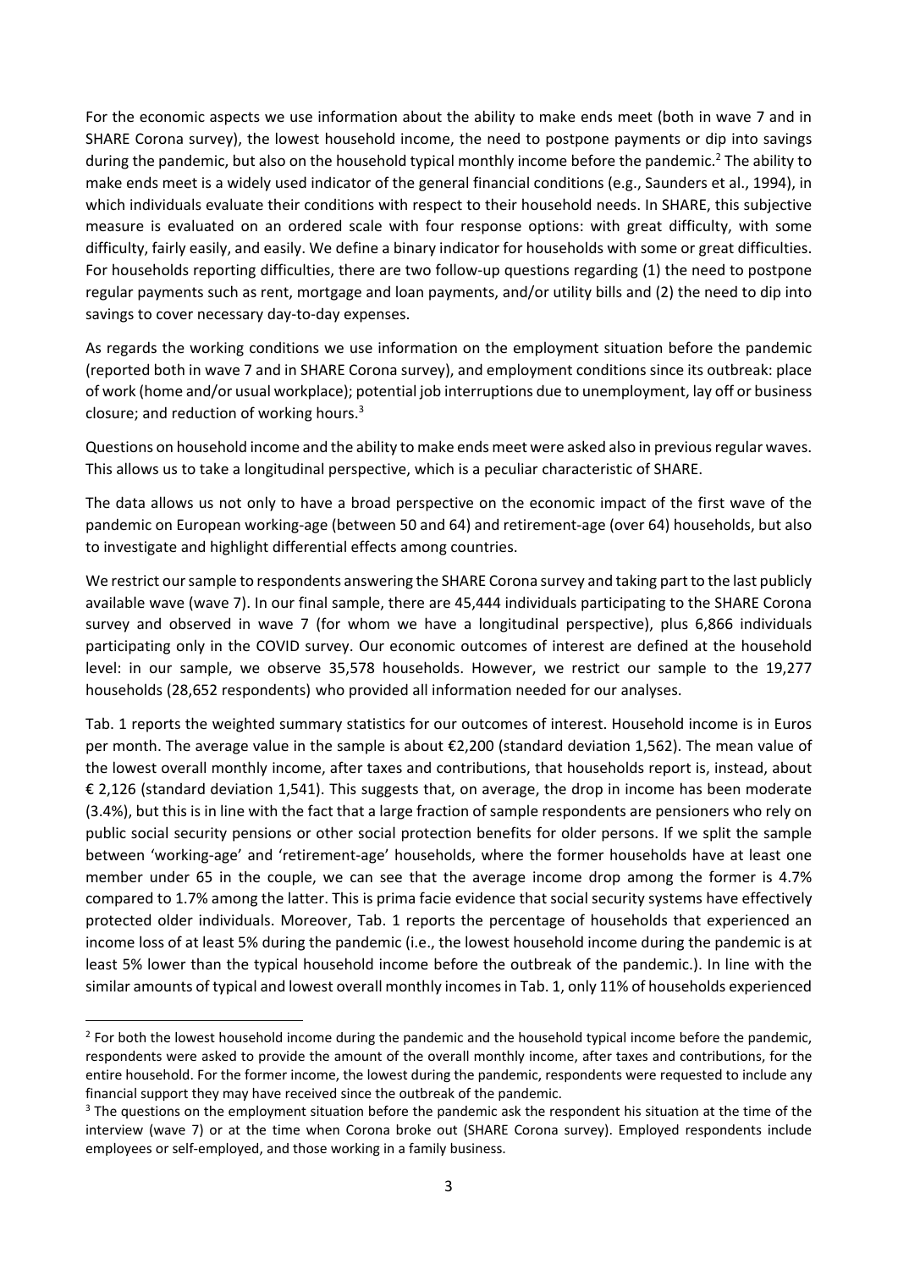For the economic aspects we use information about the ability to make ends meet (both in wave 7 and in SHARE Corona survey), the lowest household income, the need to postpone payments or dip into savings during the pandemic, but also on the household typical monthly income before the pandemic.<sup>2</sup> The ability to make ends meet is a widely used indicator of the general financial conditions (e.g., Saunders et al., 1994), in which individuals evaluate their conditions with respect to their household needs. In SHARE, this subjective measure is evaluated on an ordered scale with four response options: with great difficulty, with some difficulty, fairly easily, and easily. We define a binary indicator for households with some or great difficulties. For households reporting difficulties, there are two follow-up questions regarding (1) the need to postpone regular payments such as rent, mortgage and loan payments, and/or utility bills and (2) the need to dip into savings to cover necessary day-to-day expenses.

As regards the working conditions we use information on the employment situation before the pandemic (reported both in wave 7 and in SHARE Corona survey), and employment conditions since its outbreak: place of work (home and/or usual workplace); potential job interruptions due to unemployment, lay off or business closure; and reduction of working hours. $3$ 

Questions on household income and the ability to make ends meet were asked also in previous regular waves. This allows us to take a longitudinal perspective, which is a peculiar characteristic of SHARE.

The data allows us not only to have a broad perspective on the economic impact of the first wave of the pandemic on European working‐age (between 50 and 64) and retirement‐age (over 64) households, but also to investigate and highlight differential effects among countries.

We restrict our sample to respondents answering the SHARE Corona survey and taking part to the last publicly available wave (wave 7). In our final sample, there are 45,444 individuals participating to the SHARE Corona survey and observed in wave 7 (for whom we have a longitudinal perspective), plus 6,866 individuals participating only in the COVID survey. Our economic outcomes of interest are defined at the household level: in our sample, we observe 35,578 households. However, we restrict our sample to the 19,277 households (28,652 respondents) who provided all information needed for our analyses.

Tab. 1 reports the weighted summary statistics for our outcomes of interest. Household income is in Euros per month. The average value in the sample is about €2,200 (standard deviation 1,562). The mean value of the lowest overall monthly income, after taxes and contributions, that households report is, instead, about € 2,126 (standard deviation 1,541). This suggests that, on average, the drop in income has been moderate (3.4%), but this is in line with the fact that a large fraction of sample respondents are pensioners who rely on public social security pensions or other social protection benefits for older persons. If we split the sample between 'working-age' and 'retirement-age' households, where the former households have at least one member under 65 in the couple, we can see that the average income drop among the former is 4.7% compared to 1.7% among the latter. This is prima facie evidence that social security systems have effectively protected older individuals. Moreover, Tab. 1 reports the percentage of households that experienced an income loss of at least 5% during the pandemic (i.e., the lowest household income during the pandemic is at least 5% lower than the typical household income before the outbreak of the pandemic.). In line with the similar amounts of typical and lowest overall monthly incomes in Tab. 1, only 11% of households experienced

 $2$  For both the lowest household income during the pandemic and the household typical income before the pandemic, respondents were asked to provide the amount of the overall monthly income, after taxes and contributions, for the entire household. For the former income, the lowest during the pandemic, respondents were requested to include any financial support they may have received since the outbreak of the pandemic.

 $3$  The questions on the employment situation before the pandemic ask the respondent his situation at the time of the interview (wave 7) or at the time when Corona broke out (SHARE Corona survey). Employed respondents include employees or self‐employed, and those working in a family business.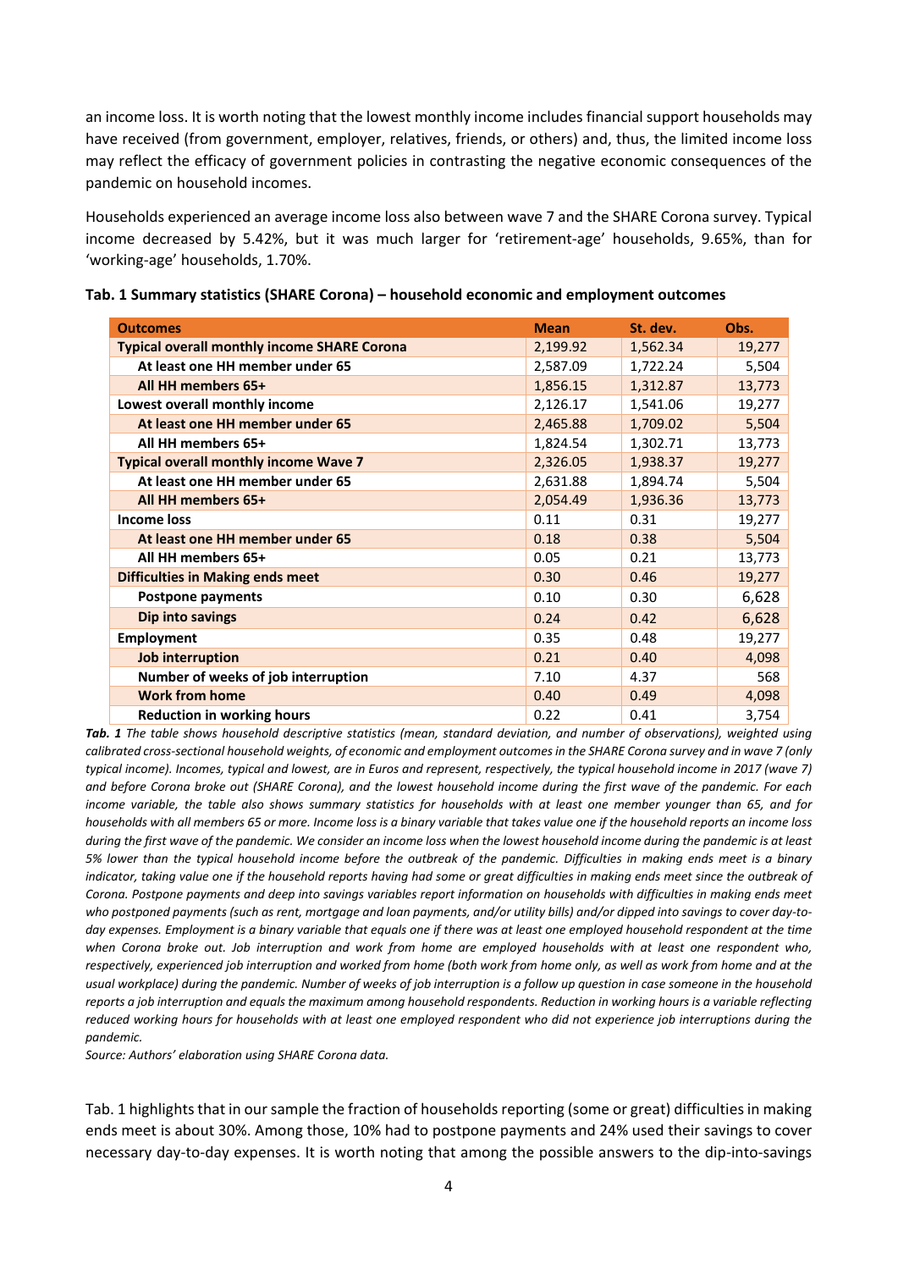an income loss. It is worth noting that the lowest monthly income includes financial support households may have received (from government, employer, relatives, friends, or others) and, thus, the limited income loss may reflect the efficacy of government policies in contrasting the negative economic consequences of the pandemic on household incomes.

Households experienced an average income loss also between wave 7 and the SHARE Corona survey. Typical income decreased by 5.42%, but it was much larger for 'retirement‐age' households, 9.65%, than for 'working‐age' households, 1.70%.

| <b>Outcomes</b>                                    | <b>Mean</b> | St. dev. | Obs.   |
|----------------------------------------------------|-------------|----------|--------|
| <b>Typical overall monthly income SHARE Corona</b> | 2,199.92    | 1,562.34 | 19,277 |
| At least one HH member under 65                    | 2,587.09    | 1,722.24 | 5,504  |
| All HH members 65+                                 | 1,856.15    | 1,312.87 | 13,773 |
| Lowest overall monthly income                      | 2,126.17    | 1,541.06 | 19,277 |
| At least one HH member under 65                    | 2,465.88    | 1,709.02 | 5,504  |
| All HH members 65+                                 | 1,824.54    | 1,302.71 | 13,773 |
| <b>Typical overall monthly income Wave 7</b>       | 2,326.05    | 1,938.37 | 19,277 |
| At least one HH member under 65                    | 2,631.88    | 1,894.74 | 5,504  |
| All HH members 65+                                 | 2,054.49    | 1,936.36 | 13,773 |
| Income loss                                        | 0.11        | 0.31     | 19,277 |
| At least one HH member under 65                    | 0.18        | 0.38     | 5,504  |
| All HH members 65+                                 | 0.05        | 0.21     | 13,773 |
| <b>Difficulties in Making ends meet</b>            | 0.30        | 0.46     | 19,277 |
| <b>Postpone payments</b>                           | 0.10        | 0.30     | 6,628  |
| Dip into savings                                   | 0.24        | 0.42     | 6,628  |
| <b>Employment</b>                                  | 0.35        | 0.48     | 19,277 |
| Job interruption                                   | 0.21        | 0.40     | 4,098  |
| Number of weeks of job interruption                | 7.10        | 4.37     | 568    |
| <b>Work from home</b>                              | 0.40        | 0.49     | 4,098  |
| <b>Reduction in working hours</b>                  | 0.22        | 0.41     | 3,754  |

*Tab. 1 The table shows household descriptive statistics (mean, standard deviation, and number of observations), weighted using calibrated cross‐sectional household weights, of economic and employment outcomes in the SHARE Corona survey and in wave 7 (only typical income). Incomes, typical and lowest, are in Euros and represent, respectively, the typical household income in 2017 (wave 7) and before Corona broke out (SHARE Corona), and the lowest household income during the first wave of the pandemic. For each income variable, the table also shows summary statistics for households with at least one member younger than 65, and for households with all members 65 or more. Income loss is a binary variable that takes value one if the household reports an income loss during the first wave of the pandemic. We consider an income loss when the lowest household income during the pandemic is at least 5% lower than the typical household income before the outbreak of the pandemic. Difficulties in making ends meet is a binary indicator, taking value one if the household reports having had some or great difficulties in making ends meet since the outbreak of Corona. Postpone payments and deep into savings variables report information on households with difficulties in making ends meet who postponed payments (such as rent, mortgage and loan payments, and/or utility bills) and/or dipped into savings to cover day‐to‐* day expenses. Employment is a binary variable that equals one if there was at least one employed household respondent at the time *when Corona broke out. Job interruption and work from home are employed households with at least one respondent who, respectively, experienced job interruption and worked from home (both work from home only, as well as work from home and at the usual workplace) during the pandemic. Number of weeks of job interruption is a follow up question in case someone in the household reports a job interruption and equals the maximum among household respondents. Reduction in working hours is a variable reflecting reduced working hours for households with at least one employed respondent who did not experience job interruptions during the pandemic.* 

*Source: Authors' elaboration using SHARE Corona data.* 

Tab. 1 highlights that in our sample the fraction of households reporting (some or great) difficulties in making ends meet is about 30%. Among those, 10% had to postpone payments and 24% used their savings to cover necessary day‐to‐day expenses. It is worth noting that among the possible answers to the dip‐into‐savings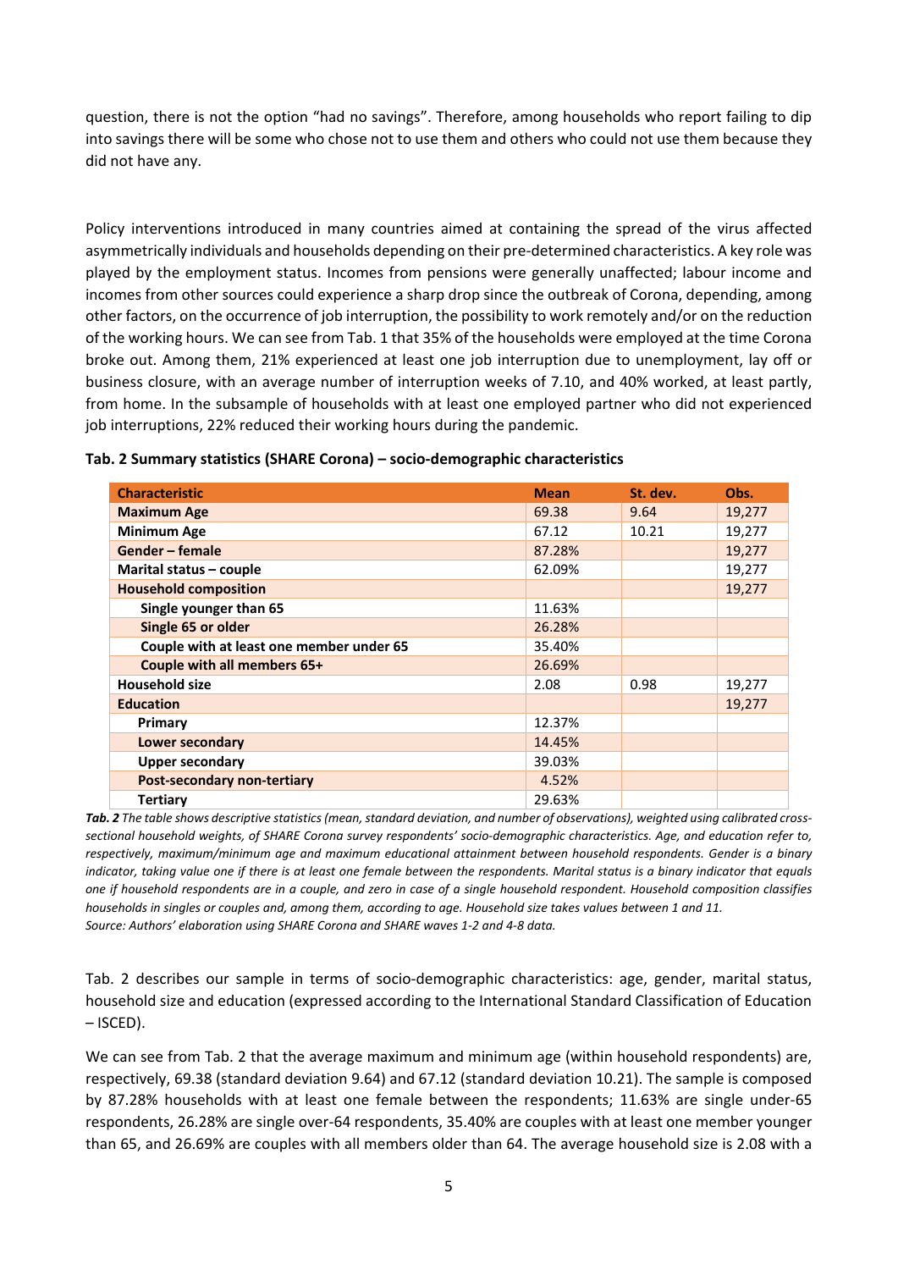question, there is not the option "had no savings". Therefore, among households who report failing to dip into savings there will be some who chose not to use them and others who could not use them because they did not have any.

Policy interventions introduced in many countries aimed at containing the spread of the virus affected asymmetrically individuals and households depending on their pre‐determined characteristics. A key role was played by the employment status. Incomes from pensions were generally unaffected; labour income and incomes from other sources could experience a sharp drop since the outbreak of Corona, depending, among other factors, on the occurrence of job interruption, the possibility to work remotely and/or on the reduction of the working hours. We can see from Tab. 1 that 35% of the households were employed at the time Corona broke out. Among them, 21% experienced at least one job interruption due to unemployment, lay off or business closure, with an average number of interruption weeks of 7.10, and 40% worked, at least partly, from home. In the subsample of households with at least one employed partner who did not experienced job interruptions, 22% reduced their working hours during the pandemic.

| <b>Characteristic</b>                    | <b>Mean</b> | St. dev. | Obs.   |
|------------------------------------------|-------------|----------|--------|
| <b>Maximum Age</b>                       | 69.38       | 9.64     | 19,277 |
| <b>Minimum Age</b>                       | 67.12       | 10.21    | 19,277 |
| Gender – female                          | 87.28%      |          | 19,277 |
| Marital status – couple                  | 62.09%      |          | 19,277 |
| <b>Household composition</b>             |             |          | 19,277 |
| Single younger than 65                   | 11.63%      |          |        |
| Single 65 or older                       | 26.28%      |          |        |
| Couple with at least one member under 65 | 35.40%      |          |        |
| Couple with all members 65+              | 26.69%      |          |        |
| <b>Household size</b>                    | 2.08        | 0.98     | 19,277 |
| <b>Education</b>                         |             |          | 19,277 |
| Primary                                  | 12.37%      |          |        |
| Lower secondary                          | 14.45%      |          |        |
| <b>Upper secondary</b>                   | 39.03%      |          |        |
| <b>Post-secondary non-tertiary</b>       | 4.52%       |          |        |
| <b>Tertiary</b>                          | 29.63%      |          |        |

**Tab. 2 Summary statistics (SHARE Corona) – socio‐demographic characteristics** 

*Tab. 2 The table shows descriptive statistics (mean, standard deviation, and number of observations), weighted using calibrated cross‐ sectional household weights, of SHARE Corona survey respondents' socio‐demographic characteristics. Age, and education refer to, respectively, maximum/minimum age and maximum educational attainment between household respondents. Gender is a binary indicator, taking value one if there is at least one female between the respondents. Marital status is a binary indicator that equals one if household respondents are in a couple, and zero in case of a single household respondent. Household composition classifies households in singles or couples and, among them, according to age. Household size takes values between 1 and 11. Source: Authors' elaboration using SHARE Corona and SHARE waves 1‐2 and 4‐8 data.* 

Tab. 2 describes our sample in terms of socio-demographic characteristics: age, gender, marital status, household size and education (expressed according to the International Standard Classification of Education – ISCED).

We can see from Tab. 2 that the average maximum and minimum age (within household respondents) are, respectively, 69.38 (standard deviation 9.64) and 67.12 (standard deviation 10.21). The sample is composed by 87.28% households with at least one female between the respondents; 11.63% are single under‐65 respondents, 26.28% are single over‐64 respondents, 35.40% are couples with at least one member younger than 65, and 26.69% are couples with all members older than 64. The average household size is 2.08 with a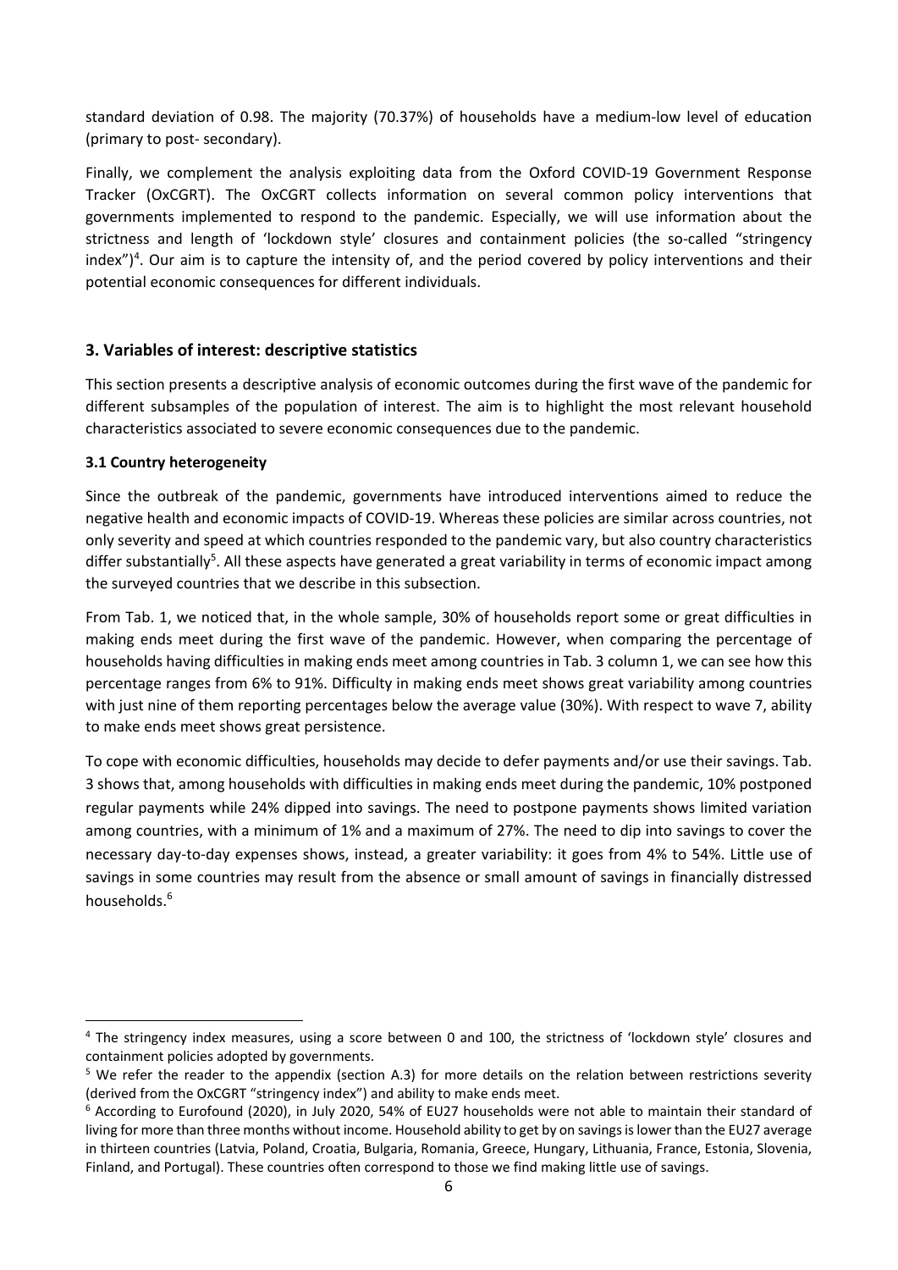standard deviation of 0.98. The majority (70.37%) of households have a medium-low level of education (primary to post‐ secondary).

Finally, we complement the analysis exploiting data from the Oxford COVID‐19 Government Response Tracker (OxCGRT). The OxCGRT collects information on several common policy interventions that governments implemented to respond to the pandemic. Especially, we will use information about the strictness and length of 'lockdown style' closures and containment policies (the so-called "stringency index")<sup>4</sup>. Our aim is to capture the intensity of, and the period covered by policy interventions and their potential economic consequences for different individuals.

## **3. Variables of interest: descriptive statistics**

This section presents a descriptive analysis of economic outcomes during the first wave of the pandemic for different subsamples of the population of interest. The aim is to highlight the most relevant household characteristics associated to severe economic consequences due to the pandemic.

## **3.1 Country heterogeneity**

Since the outbreak of the pandemic, governments have introduced interventions aimed to reduce the negative health and economic impacts of COVID‐19. Whereas these policies are similar across countries, not only severity and speed at which countries responded to the pandemic vary, but also country characteristics differ substantially<sup>5</sup>. All these aspects have generated a great variability in terms of economic impact among the surveyed countries that we describe in this subsection.

From Tab. 1, we noticed that, in the whole sample, 30% of households report some or great difficulties in making ends meet during the first wave of the pandemic. However, when comparing the percentage of households having difficulties in making ends meet among countries in Tab. 3 column 1, we can see how this percentage ranges from 6% to 91%. Difficulty in making ends meet shows great variability among countries with just nine of them reporting percentages below the average value (30%). With respect to wave 7, ability to make ends meet shows great persistence.

To cope with economic difficulties, households may decide to defer payments and/or use their savings. Tab. 3 shows that, among households with difficulties in making ends meet during the pandemic, 10% postponed regular payments while 24% dipped into savings. The need to postpone payments shows limited variation among countries, with a minimum of 1% and a maximum of 27%. The need to dip into savings to cover the necessary day‐to‐day expenses shows, instead, a greater variability: it goes from 4% to 54%. Little use of savings in some countries may result from the absence or small amount of savings in financially distressed households.6

<sup>&</sup>lt;sup>4</sup> The stringency index measures, using a score between 0 and 100, the strictness of 'lockdown style' closures and containment policies adopted by governments.

<sup>&</sup>lt;sup>5</sup> We refer the reader to the appendix (section A.3) for more details on the relation between restrictions severity (derived from the OxCGRT "stringency index") and ability to make ends meet.

<sup>&</sup>lt;sup>6</sup> According to Eurofound (2020), in July 2020, 54% of EU27 households were not able to maintain their standard of living for more than three months without income. Household ability to get by on savings is lower than the EU27 average in thirteen countries (Latvia, Poland, Croatia, Bulgaria, Romania, Greece, Hungary, Lithuania, France, Estonia, Slovenia, Finland, and Portugal). These countries often correspond to those we find making little use of savings.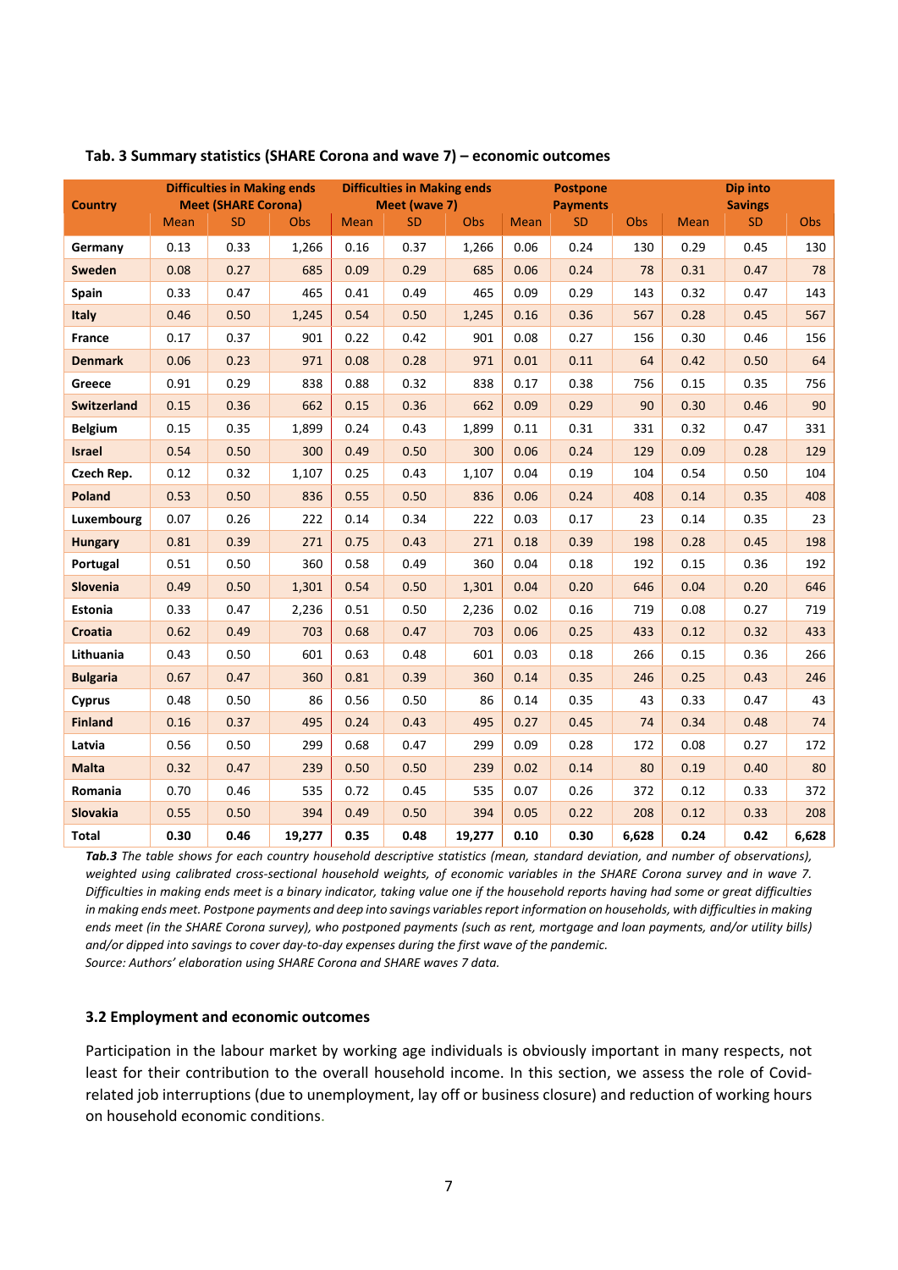|                    | <b>Difficulties in Making ends</b> |                            |        | <b>Difficulties in Making ends</b> |               |        | <b>Postpone</b> |                 |       | Dip into    |                |       |
|--------------------|------------------------------------|----------------------------|--------|------------------------------------|---------------|--------|-----------------|-----------------|-------|-------------|----------------|-------|
| <b>Country</b>     |                                    | <b>Meet (SHARE Corona)</b> |        |                                    | Meet (wave 7) |        |                 | <b>Payments</b> |       |             | <b>Savings</b> |       |
|                    | <b>Mean</b>                        | <b>SD</b>                  | Obs    | Mean                               | <b>SD</b>     | Obs    | <b>Mean</b>     | <b>SD</b>       | Obs   | <b>Mean</b> | SD             | Obs   |
| Germany            | 0.13                               | 0.33                       | 1,266  | 0.16                               | 0.37          | 1,266  | 0.06            | 0.24            | 130   | 0.29        | 0.45           | 130   |
| Sweden             | 0.08                               | 0.27                       | 685    | 0.09                               | 0.29          | 685    | 0.06            | 0.24            | 78    | 0.31        | 0.47           | 78    |
| Spain              | 0.33                               | 0.47                       | 465    | 0.41                               | 0.49          | 465    | 0.09            | 0.29            | 143   | 0.32        | 0.47           | 143   |
| <b>Italy</b>       | 0.46                               | 0.50                       | 1,245  | 0.54                               | 0.50          | 1,245  | 0.16            | 0.36            | 567   | 0.28        | 0.45           | 567   |
| France             | 0.17                               | 0.37                       | 901    | 0.22                               | 0.42          | 901    | 0.08            | 0.27            | 156   | 0.30        | 0.46           | 156   |
| <b>Denmark</b>     | 0.06                               | 0.23                       | 971    | 0.08                               | 0.28          | 971    | 0.01            | 0.11            | 64    | 0.42        | 0.50           | 64    |
| Greece             | 0.91                               | 0.29                       | 838    | 0.88                               | 0.32          | 838    | 0.17            | 0.38            | 756   | 0.15        | 0.35           | 756   |
| <b>Switzerland</b> | 0.15                               | 0.36                       | 662    | 0.15                               | 0.36          | 662    | 0.09            | 0.29            | 90    | 0.30        | 0.46           | 90    |
| <b>Belgium</b>     | 0.15                               | 0.35                       | 1,899  | 0.24                               | 0.43          | 1,899  | 0.11            | 0.31            | 331   | 0.32        | 0.47           | 331   |
| <b>Israel</b>      | 0.54                               | 0.50                       | 300    | 0.49                               | 0.50          | 300    | 0.06            | 0.24            | 129   | 0.09        | 0.28           | 129   |
| Czech Rep.         | 0.12                               | 0.32                       | 1,107  | 0.25                               | 0.43          | 1,107  | 0.04            | 0.19            | 104   | 0.54        | 0.50           | 104   |
| <b>Poland</b>      | 0.53                               | 0.50                       | 836    | 0.55                               | 0.50          | 836    | 0.06            | 0.24            | 408   | 0.14        | 0.35           | 408   |
| Luxembourg         | 0.07                               | 0.26                       | 222    | 0.14                               | 0.34          | 222    | 0.03            | 0.17            | 23    | 0.14        | 0.35           | 23    |
| <b>Hungary</b>     | 0.81                               | 0.39                       | 271    | 0.75                               | 0.43          | 271    | 0.18            | 0.39            | 198   | 0.28        | 0.45           | 198   |
| Portugal           | 0.51                               | 0.50                       | 360    | 0.58                               | 0.49          | 360    | 0.04            | 0.18            | 192   | 0.15        | 0.36           | 192   |
| Slovenia           | 0.49                               | 0.50                       | 1,301  | 0.54                               | 0.50          | 1,301  | 0.04            | 0.20            | 646   | 0.04        | 0.20           | 646   |
| Estonia            | 0.33                               | 0.47                       | 2,236  | 0.51                               | 0.50          | 2,236  | 0.02            | 0.16            | 719   | 0.08        | 0.27           | 719   |
| Croatia            | 0.62                               | 0.49                       | 703    | 0.68                               | 0.47          | 703    | 0.06            | 0.25            | 433   | 0.12        | 0.32           | 433   |
| Lithuania          | 0.43                               | 0.50                       | 601    | 0.63                               | 0.48          | 601    | 0.03            | 0.18            | 266   | 0.15        | 0.36           | 266   |
| <b>Bulgaria</b>    | 0.67                               | 0.47                       | 360    | 0.81                               | 0.39          | 360    | 0.14            | 0.35            | 246   | 0.25        | 0.43           | 246   |
| <b>Cyprus</b>      | 0.48                               | 0.50                       | 86     | 0.56                               | 0.50          | 86     | 0.14            | 0.35            | 43    | 0.33        | 0.47           | 43    |
| <b>Finland</b>     | 0.16                               | 0.37                       | 495    | 0.24                               | 0.43          | 495    | 0.27            | 0.45            | 74    | 0.34        | 0.48           | 74    |
| Latvia             | 0.56                               | 0.50                       | 299    | 0.68                               | 0.47          | 299    | 0.09            | 0.28            | 172   | 0.08        | 0.27           | 172   |
| <b>Malta</b>       | 0.32                               | 0.47                       | 239    | 0.50                               | 0.50          | 239    | 0.02            | 0.14            | 80    | 0.19        | 0.40           | 80    |
| Romania            | 0.70                               | 0.46                       | 535    | 0.72                               | 0.45          | 535    | 0.07            | 0.26            | 372   | 0.12        | 0.33           | 372   |
| Slovakia           | 0.55                               | 0.50                       | 394    | 0.49                               | 0.50          | 394    | 0.05            | 0.22            | 208   | 0.12        | 0.33           | 208   |
| <b>Total</b>       | 0.30                               | 0.46                       | 19,277 | 0.35                               | 0.48          | 19,277 | 0.10            | 0.30            | 6,628 | 0.24        | 0.42           | 6,628 |

#### **Tab. 3 Summary statistics (SHARE Corona and wave 7) – economic outcomes**

*Tab.3 The table shows for each country household descriptive statistics (mean, standard deviation, and number of observations), weighted using calibrated cross‐sectional household weights, of economic variables in the SHARE Corona survey and in wave 7. Difficulties in making ends meet is a binary indicator, taking value one if the household reports having had some or great difficulties in making ends meet. Postpone payments and deep into savings variables report information on households, with difficulties in making ends meet (in the SHARE Corona survey), who postponed payments (such as rent, mortgage and loan payments, and/or utility bills) and/or dipped into savings to cover day‐to‐day expenses during the first wave of the pandemic.* 

*Source: Authors' elaboration using SHARE Corona and SHARE waves 7 data.* 

#### **3.2 Employment and economic outcomes**

Participation in the labour market by working age individuals is obviously important in many respects, not least for their contribution to the overall household income. In this section, we assess the role of Covidrelated job interruptions (due to unemployment, lay off or business closure) and reduction of working hours on household economic conditions.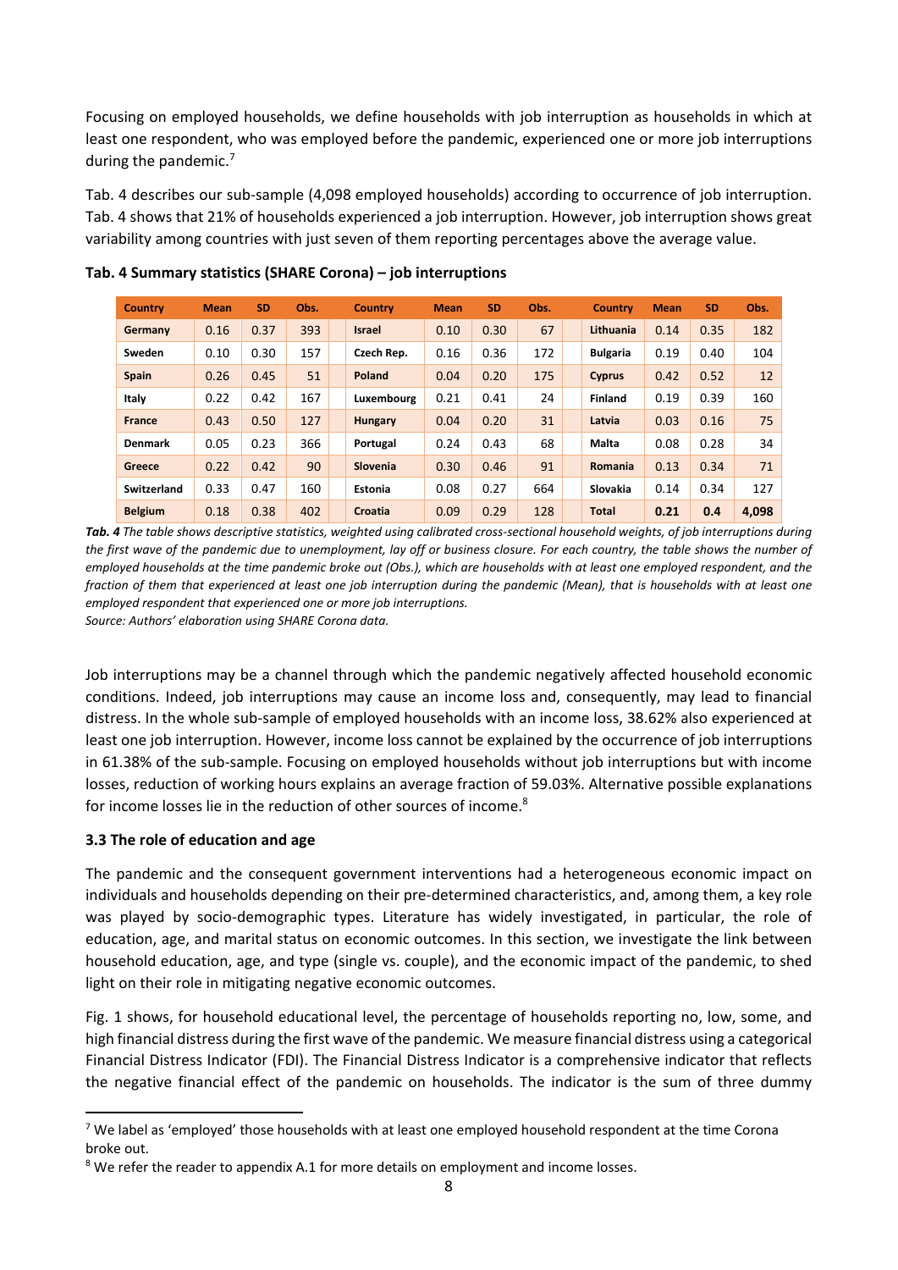Focusing on employed households, we define households with job interruption as households in which at least one respondent, who was employed before the pandemic, experienced one or more job interruptions during the pandemic. $<sup>7</sup>$ </sup>

Tab. 4 describes our sub‐sample (4,098 employed households) according to occurrence of job interruption. Tab. 4 shows that 21% of households experienced a job interruption. However, job interruption shows great variability among countries with just seven of them reporting percentages above the average value.

| <b>Country</b> | <b>Mean</b> | <b>SD</b> | Obs. | <b>Country</b> | <b>Mean</b> | <b>SD</b> | Obs. | <b>Country</b>  | <b>Mean</b> | <b>SD</b> | Obs.  |
|----------------|-------------|-----------|------|----------------|-------------|-----------|------|-----------------|-------------|-----------|-------|
| Germany        | 0.16        | 0.37      | 393  | <b>Israel</b>  | 0.10        | 0.30      | 67   | Lithuania       | 0.14        | 0.35      | 182   |
| Sweden         | 0.10        | 0.30      | 157  | Czech Rep.     | 0.16        | 0.36      | 172  | <b>Bulgaria</b> | 0.19        | 0.40      | 104   |
| <b>Spain</b>   | 0.26        | 0.45      | 51   | Poland         | 0.04        | 0.20      | 175  | <b>Cyprus</b>   | 0.42        | 0.52      | 12    |
| Italy          | 0.22        | 0.42      | 167  | Luxembourg     | 0.21        | 0.41      | 24   | <b>Finland</b>  | 0.19        | 0.39      | 160   |
| <b>France</b>  | 0.43        | 0.50      | 127  | <b>Hungary</b> | 0.04        | 0.20      | 31   | Latvia          | 0.03        | 0.16      | 75    |
| <b>Denmark</b> | 0.05        | 0.23      | 366  | Portugal       | 0.24        | 0.43      | 68   | <b>Malta</b>    | 0.08        | 0.28      | 34    |
| Greece         | 0.22        | 0.42      | 90   | Slovenia       | 0.30        | 0.46      | 91   | <b>Romania</b>  | 0.13        | 0.34      | 71    |
| Switzerland    | 0.33        | 0.47      | 160  | <b>Estonia</b> | 0.08        | 0.27      | 664  | Slovakia        | 0.14        | 0.34      | 127   |
| <b>Belgium</b> | 0.18        | 0.38      | 402  | Croatia        | 0.09        | 0.29      | 128  | <b>Total</b>    | 0.21        | 0.4       | 4.098 |

**Tab. 4 Summary statistics (SHARE Corona) – job interruptions**

*Tab. 4 The table shows descriptive statistics, weighted using calibrated cross‐sectional household weights, of job interruptions during the first wave of the pandemic due to unemployment, lay off or business closure. For each country, the table shows the number of employed households at the time pandemic broke out (Obs.), which are households with at least one employed respondent, and the fraction of them that experienced at least one job interruption during the pandemic (Mean), that is households with at least one employed respondent that experienced one or more job interruptions.*

*Source: Authors' elaboration using SHARE Corona data.* 

Job interruptions may be a channel through which the pandemic negatively affected household economic conditions. Indeed, job interruptions may cause an income loss and, consequently, may lead to financial distress. In the whole sub‐sample of employed households with an income loss, 38.62% also experienced at least one job interruption. However, income loss cannot be explained by the occurrence of job interruptions in 61.38% of the sub-sample. Focusing on employed households without job interruptions but with income losses, reduction of working hours explains an average fraction of 59.03%. Alternative possible explanations for income losses lie in the reduction of other sources of income.<sup>8</sup>

## **3.3 The role of education and age**

The pandemic and the consequent government interventions had a heterogeneous economic impact on individuals and households depending on their pre‐determined characteristics, and, among them, a key role was played by socio-demographic types. Literature has widely investigated, in particular, the role of education, age, and marital status on economic outcomes. In this section, we investigate the link between household education, age, and type (single vs. couple), and the economic impact of the pandemic, to shed light on their role in mitigating negative economic outcomes.

Fig. 1 shows, for household educational level, the percentage of households reporting no, low, some, and high financial distress during the first wave of the pandemic. We measure financial distress using a categorical Financial Distress Indicator (FDI). The Financial Distress Indicator is a comprehensive indicator that reflects the negative financial effect of the pandemic on households. The indicator is the sum of three dummy

 $^7$  We label as 'employed' those households with at least one employed household respondent at the time Corona broke out.

 $8$  We refer the reader to appendix A.1 for more details on employment and income losses.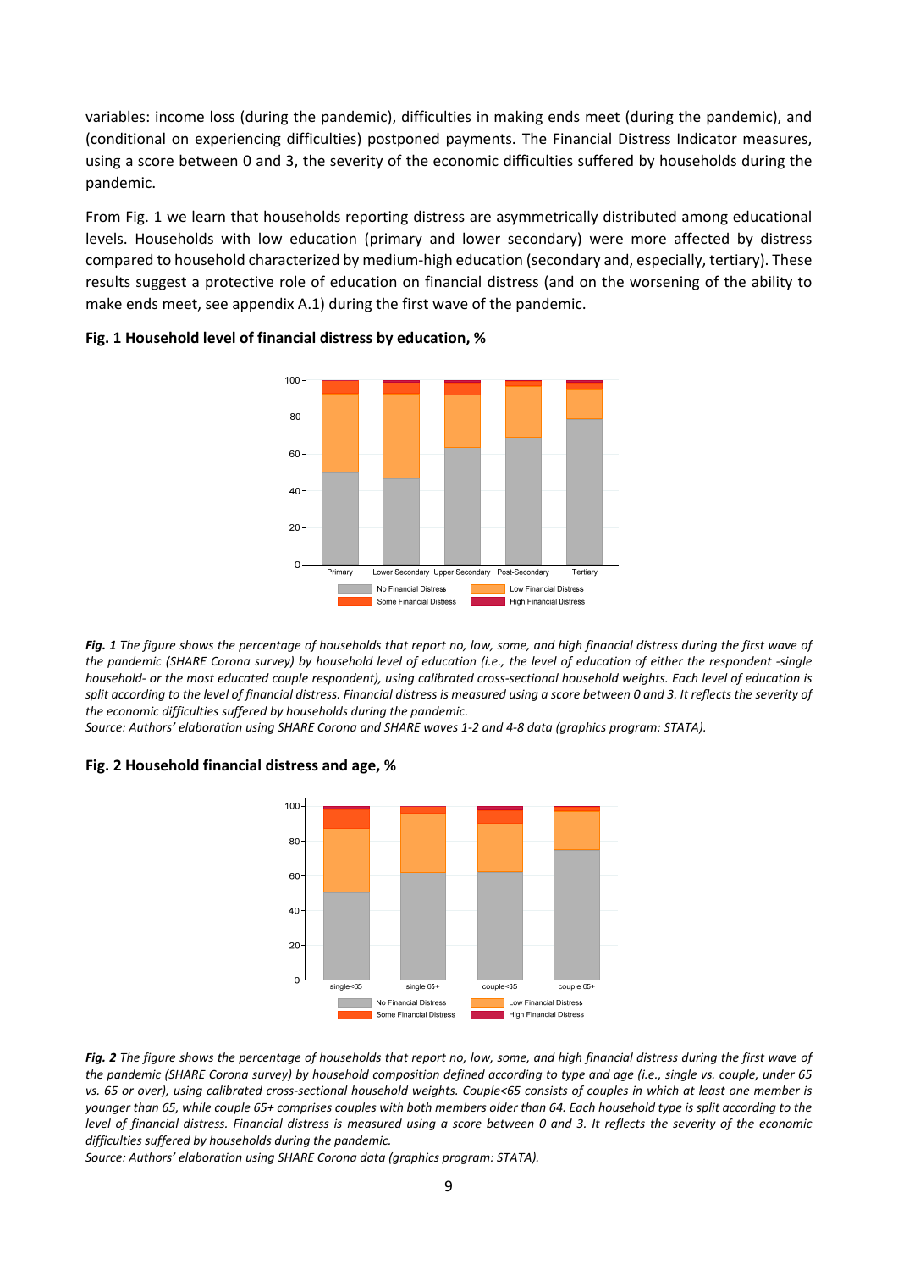variables: income loss (during the pandemic), difficulties in making ends meet (during the pandemic), and (conditional on experiencing difficulties) postponed payments. The Financial Distress Indicator measures, using a score between 0 and 3, the severity of the economic difficulties suffered by households during the pandemic.

From Fig. 1 we learn that households reporting distress are asymmetrically distributed among educational levels. Households with low education (primary and lower secondary) were more affected by distress compared to household characterized by medium‐high education (secondary and, especially, tertiary). These results suggest a protective role of education on financial distress (and on the worsening of the ability to make ends meet, see appendix A.1) during the first wave of the pandemic.



#### **Fig. 1 Household level of financial distress by education, %**

*Fig. 1 The figure shows the percentage of households that report no, low, some, and high financial distress during the first wave of the pandemic (SHARE Corona survey) by household level of education (i.e., the level of education of either the respondent ‐single household‐ or the most educated couple respondent), using calibrated cross‐sectional household weights. Each level of education is split according to the level of financial distress. Financial distress is measured using a score between 0 and 3. It reflects the severity of the economic difficulties suffered by households during the pandemic.* 

*Source: Authors' elaboration using SHARE Corona and SHARE waves 1‐2 and 4‐8 data (graphics program: STATA).* 

#### **Fig. 2 Household financial distress and age, %**



*Fig. 2 The figure shows the percentage of households that report no, low, some, and high financial distress during the first wave of the pandemic (SHARE Corona survey) by household composition defined according to type and age (i.e., single vs. couple, under 65 vs. 65 or over), using calibrated cross‐sectional household weights. Couple<65 consists of couples in which at least one member is younger than 65, while couple 65+ comprises couples with both members older than 64. Each household type is split according to the level of financial distress. Financial distress is measured using a score between 0 and 3. It reflects the severity of the economic difficulties suffered by households during the pandemic.* 

*Source: Authors' elaboration using SHARE Corona data (graphics program: STATA).*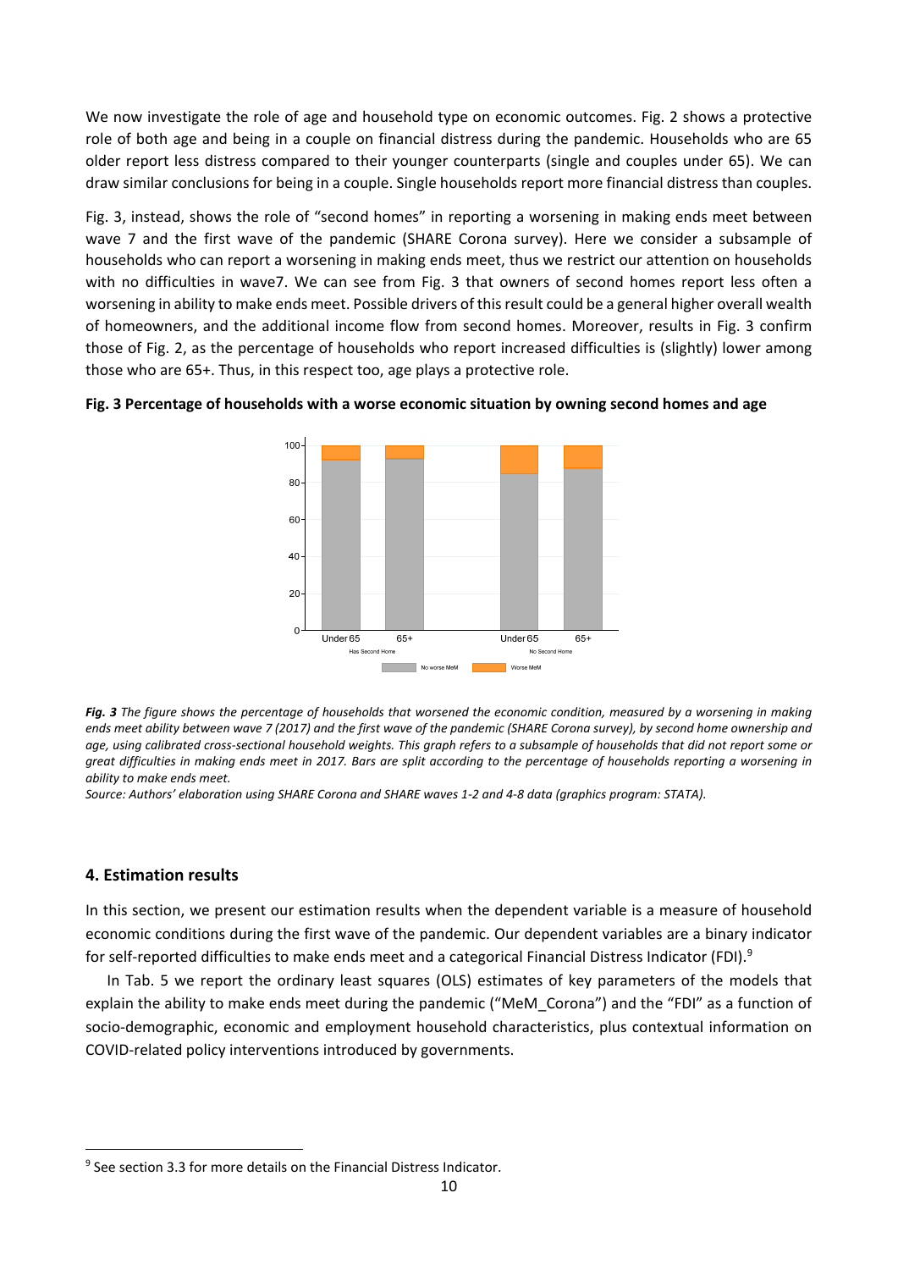We now investigate the role of age and household type on economic outcomes. Fig. 2 shows a protective role of both age and being in a couple on financial distress during the pandemic. Households who are 65 older report less distress compared to their younger counterparts (single and couples under 65). We can draw similar conclusions for being in a couple. Single households report more financial distress than couples.

Fig. 3, instead, shows the role of "second homes" in reporting a worsening in making ends meet between wave 7 and the first wave of the pandemic (SHARE Corona survey). Here we consider a subsample of households who can report a worsening in making ends meet, thus we restrict our attention on households with no difficulties in wave7. We can see from Fig. 3 that owners of second homes report less often a worsening in ability to make ends meet. Possible drivers of this result could be a general higher overall wealth of homeowners, and the additional income flow from second homes. Moreover, results in Fig. 3 confirm those of Fig. 2, as the percentage of households who report increased difficulties is (slightly) lower among those who are 65+. Thus, in this respect too, age plays a protective role.





*Fig. 3 The figure shows the percentage of households that worsened the economic condition, measured by a worsening in making ends meet ability between wave 7 (2017) and the first wave of the pandemic (SHARE Corona survey), by second home ownership and age, using calibrated cross‐sectional household weights. This graph refers to a subsample of households that did not report some or great difficulties in making ends meet in 2017. Bars are split according to the percentage of households reporting a worsening in ability to make ends meet.* 

*Source: Authors' elaboration using SHARE Corona and SHARE waves 1‐2 and 4‐8 data (graphics program: STATA).* 

### **4. Estimation results**

In this section, we present our estimation results when the dependent variable is a measure of household economic conditions during the first wave of the pandemic. Our dependent variables are a binary indicator for self-reported difficulties to make ends meet and a categorical Financial Distress Indicator (FDI).<sup>9</sup>

In Tab. 5 we report the ordinary least squares (OLS) estimates of key parameters of the models that explain the ability to make ends meet during the pandemic ("MeM\_Corona") and the "FDI" as a function of socio-demographic, economic and employment household characteristics, plus contextual information on COVID‐related policy interventions introduced by governments.

<sup>&</sup>lt;sup>9</sup> See section 3.3 for more details on the Financial Distress Indicator.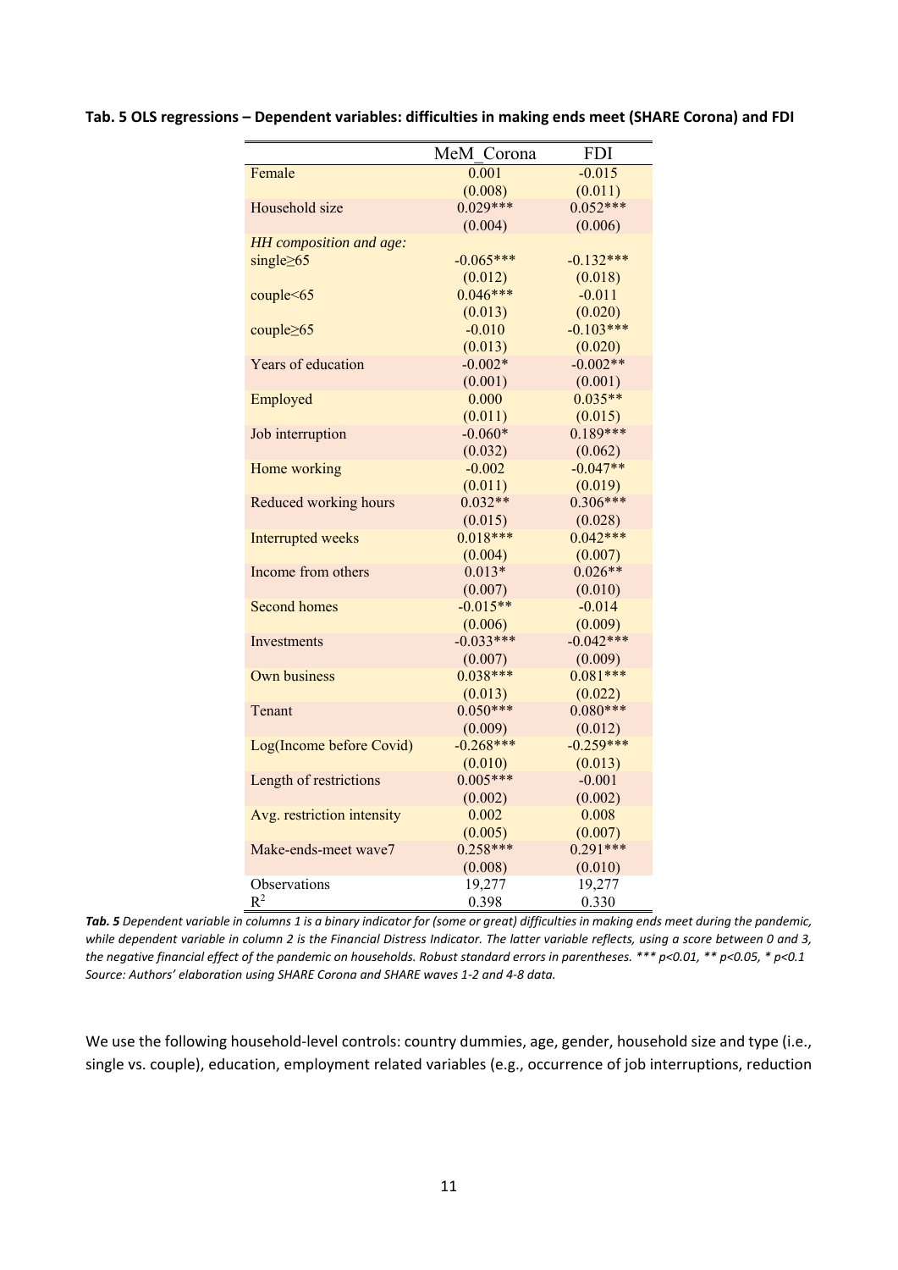|  |  |  | Tab. 5 OLS regressions - Dependent variables: difficulties in making ends meet (SHARE Corona) and FDI |
|--|--|--|-------------------------------------------------------------------------------------------------------|
|--|--|--|-------------------------------------------------------------------------------------------------------|

|                            | MeM Corona  | <b>FDI</b>  |
|----------------------------|-------------|-------------|
| Female                     | 0.001       | $-0.015$    |
|                            | (0.008)     | (0.011)     |
| Household size             | $0.029***$  | $0.052***$  |
|                            | (0.004)     | (0.006)     |
| HH composition and age:    |             |             |
| single $\geq 65$           | $-0.065***$ | $-0.132***$ |
|                            | (0.012)     | (0.018)     |
| couple<65                  | $0.046***$  | $-0.011$    |
|                            | (0.013)     | (0.020)     |
| couple≥65                  | $-0.010$    | $-0.103***$ |
|                            | (0.013)     | (0.020)     |
| Years of education         | $-0.002*$   | $-0.002**$  |
|                            | (0.001)     | (0.001)     |
| Employed                   | 0.000       | $0.035**$   |
|                            | (0.011)     | (0.015)     |
| Job interruption           | $-0.060*$   | $0.189***$  |
|                            | (0.032)     | (0.062)     |
| Home working               | $-0.002$    | $-0.047**$  |
|                            | (0.011)     | (0.019)     |
| Reduced working hours      | $0.032**$   | $0.306***$  |
|                            | (0.015)     | (0.028)     |
| Interrupted weeks          | $0.018***$  | $0.042***$  |
|                            | (0.004)     | (0.007)     |
| Income from others         | $0.013*$    | $0.026**$   |
|                            | (0.007)     | (0.010)     |
| Second homes               | $-0.015**$  | $-0.014$    |
|                            | (0.006)     | (0.009)     |
| Investments                | $-0.033***$ | $-0.042***$ |
|                            | (0.007)     | (0.009)     |
| Own business               | $0.038***$  | $0.081***$  |
|                            | (0.013)     | (0.022)     |
| Tenant                     | $0.050***$  | $0.080***$  |
|                            | (0.009)     | (0.012)     |
| Log(Income before Covid)   | $-0.268***$ | $-0.259***$ |
|                            | (0.010)     | (0.013)     |
| Length of restrictions     | $0.005***$  | $-0.001$    |
|                            | (0.002)     | (0.002)     |
| Avg. restriction intensity | 0.002       | 0.008       |
|                            | (0.005)     | (0.007)     |
| Make-ends-meet wave7       | $0.258***$  | $0.291***$  |
|                            | (0.008)     | (0.010)     |
| Observations               | 19,277      | 19,277      |
| $R^2$                      | 0.398       | 0.330       |

*Tab. 5 Dependent variable in columns 1 is a binary indicator for (some or great) difficulties in making ends meet during the pandemic, while dependent variable in column 2 is the Financial Distress Indicator. The latter variable reflects, using a score between 0 and 3, the negative financial effect of the pandemic on households. Robust standard errors in parentheses. \*\*\* p<0.01, \*\* p<0.05, \* p<0.1 Source: Authors' elaboration using SHARE Corona and SHARE waves 1‐2 and 4‐8 data.* 

We use the following household-level controls: country dummies, age, gender, household size and type (i.e., single vs. couple), education, employment related variables (e.g., occurrence of job interruptions, reduction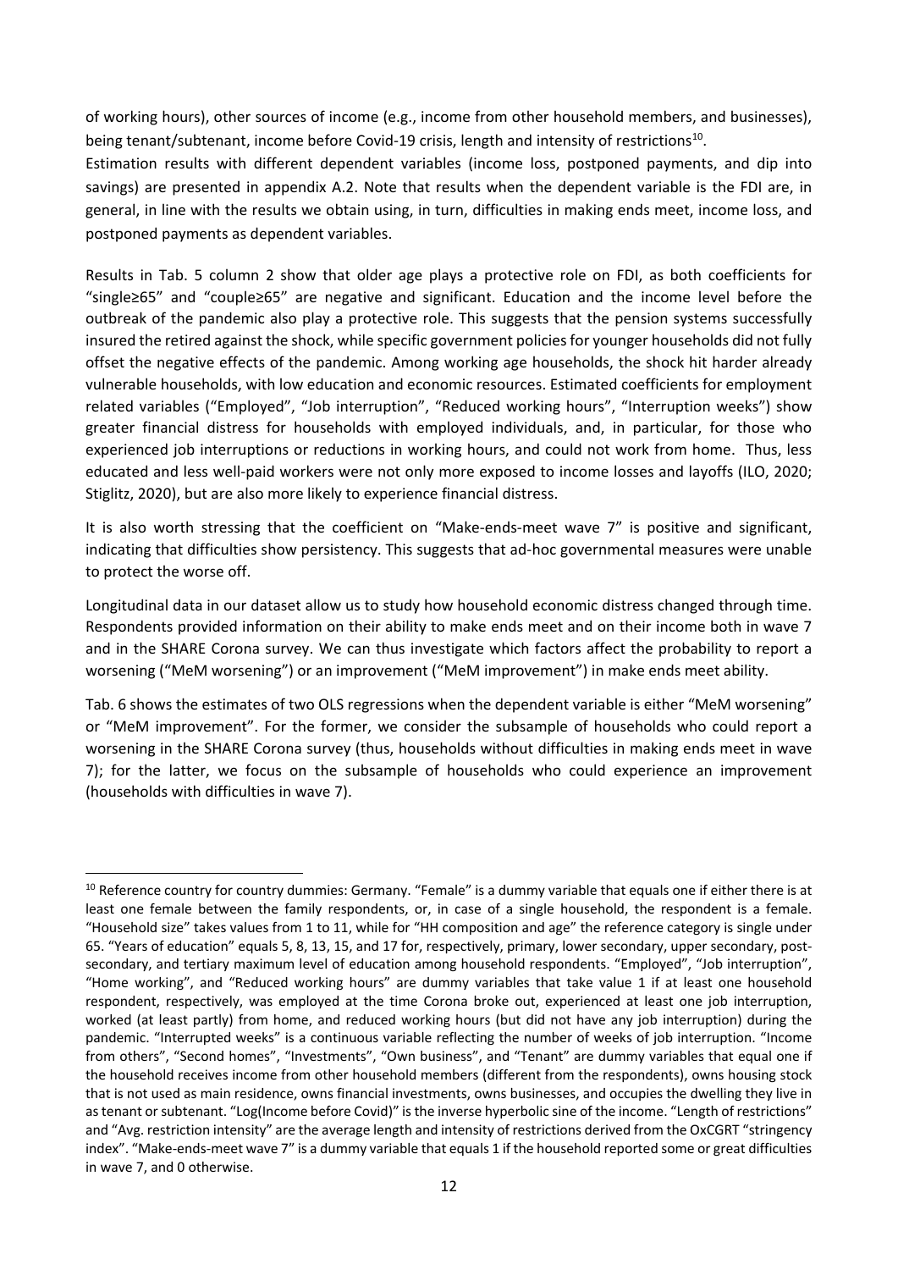of working hours), other sources of income (e.g., income from other household members, and businesses), being tenant/subtenant, income before Covid-19 crisis, length and intensity of restrictions<sup>10</sup>.

Estimation results with different dependent variables (income loss, postponed payments, and dip into savings) are presented in appendix A.2. Note that results when the dependent variable is the FDI are, in general, in line with the results we obtain using, in turn, difficulties in making ends meet, income loss, and postponed payments as dependent variables.

Results in Tab. 5 column 2 show that older age plays a protective role on FDI, as both coefficients for "single≥65" and "couple≥65" are negative and significant. Education and the income level before the outbreak of the pandemic also play a protective role. This suggests that the pension systems successfully insured the retired against the shock, while specific government policies for younger households did not fully offset the negative effects of the pandemic. Among working age households, the shock hit harder already vulnerable households, with low education and economic resources. Estimated coefficients for employment related variables ("Employed", "Job interruption", "Reduced working hours", "Interruption weeks") show greater financial distress for households with employed individuals, and, in particular, for those who experienced job interruptions or reductions in working hours, and could not work from home. Thus, less educated and less well-paid workers were not only more exposed to income losses and layoffs (ILO, 2020; Stiglitz, 2020), but are also more likely to experience financial distress.

It is also worth stressing that the coefficient on "Make-ends-meet wave 7" is positive and significant, indicating that difficulties show persistency. This suggests that ad‐hoc governmental measures were unable to protect the worse off.

Longitudinal data in our dataset allow us to study how household economic distress changed through time. Respondents provided information on their ability to make ends meet and on their income both in wave 7 and in the SHARE Corona survey. We can thus investigate which factors affect the probability to report a worsening ("MeM worsening") or an improvement ("MeM improvement") in make ends meet ability.

Tab. 6 shows the estimates of two OLS regressions when the dependent variable is either "MeM worsening" or "MeM improvement". For the former, we consider the subsample of households who could report a worsening in the SHARE Corona survey (thus, households without difficulties in making ends meet in wave 7); for the latter, we focus on the subsample of households who could experience an improvement (households with difficulties in wave 7).

 <sup>10</sup> Reference country for country dummies: Germany. "Female" is a dummy variable that equals one if either there is at least one female between the family respondents, or, in case of a single household, the respondent is a female. "Household size" takes values from 1 to 11, while for "HH composition and age" the reference category is single under 65. "Years of education" equals 5, 8, 13, 15, and 17 for, respectively, primary, lower secondary, upper secondary, post‐ secondary, and tertiary maximum level of education among household respondents. "Employed", "Job interruption", "Home working", and "Reduced working hours" are dummy variables that take value 1 if at least one household respondent, respectively, was employed at the time Corona broke out, experienced at least one job interruption, worked (at least partly) from home, and reduced working hours (but did not have any job interruption) during the pandemic. "Interrupted weeks" is a continuous variable reflecting the number of weeks of job interruption. "Income from others", "Second homes", "Investments", "Own business", and "Tenant" are dummy variables that equal one if the household receives income from other household members (different from the respondents), owns housing stock that is not used as main residence, owns financial investments, owns businesses, and occupies the dwelling they live in as tenant or subtenant. "Log(Income before Covid)" is the inverse hyperbolic sine of the income. "Length of restrictions" and "Avg. restriction intensity" are the average length and intensity of restrictions derived from the OxCGRT "stringency index". "Make-ends-meet wave 7" is a dummy variable that equals 1 if the household reported some or great difficulties in wave 7, and 0 otherwise.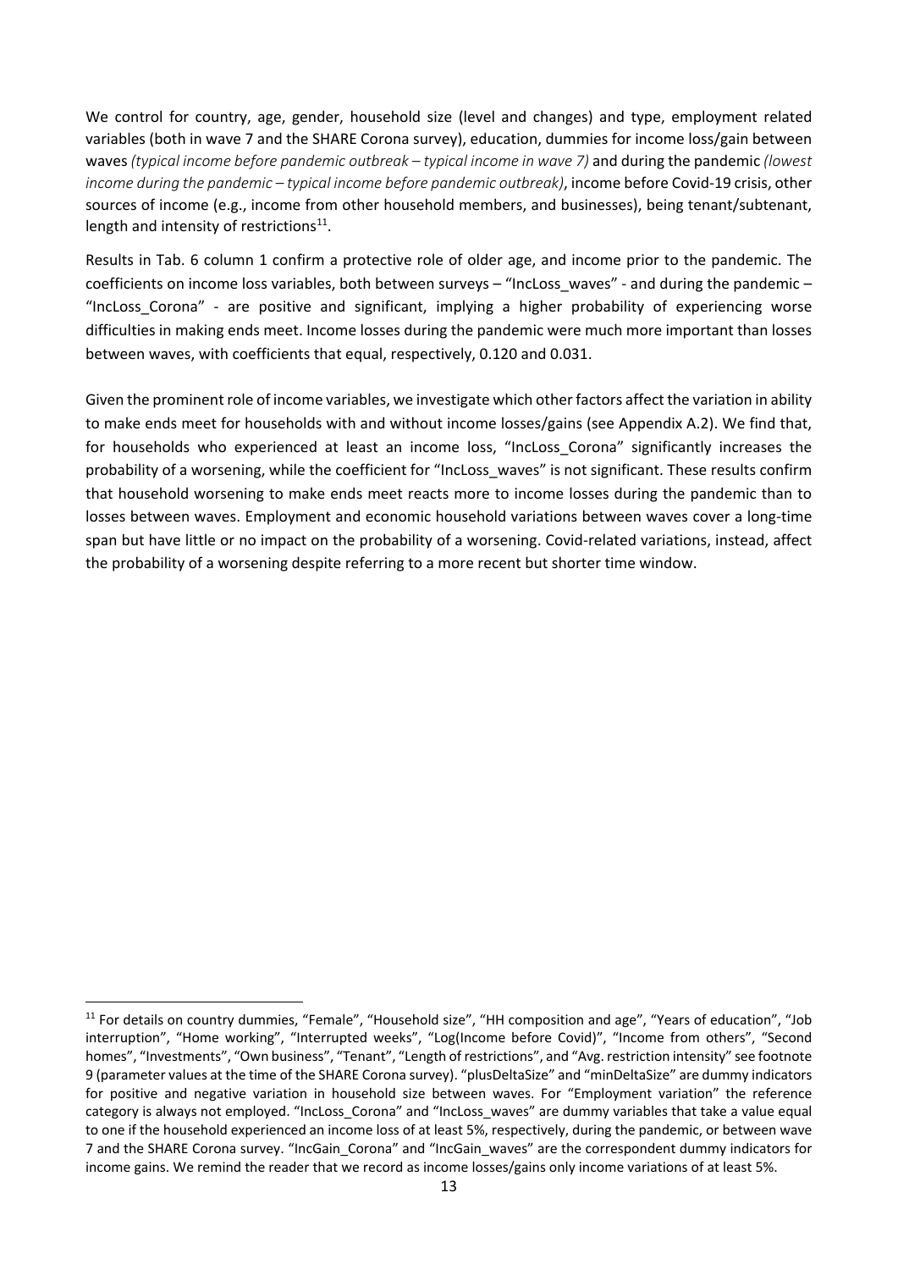We control for country, age, gender, household size (level and changes) and type, employment related variables (both in wave 7 and the SHARE Corona survey), education, dummies for income loss/gain between waves *(typical income before pandemic outbreak – typical income in wave 7)* and during the pandemic *(lowest income during the pandemic – typical income before pandemic outbreak)*, income before Covid‐19 crisis, other sources of income (e.g., income from other household members, and businesses), being tenant/subtenant, length and intensity of restrictions<sup>11</sup>.

Results in Tab. 6 column 1 confirm a protective role of older age, and income prior to the pandemic. The coefficients on income loss variables, both between surveys – "IncLoss\_waves" ‐ and during the pandemic – "IncLoss Corona" - are positive and significant, implying a higher probability of experiencing worse difficulties in making ends meet. Income losses during the pandemic were much more important than losses between waves, with coefficients that equal, respectively, 0.120 and 0.031.

Given the prominent role of income variables, we investigate which other factors affect the variation in ability to make ends meet for households with and without income losses/gains (see Appendix A.2). We find that, for households who experienced at least an income loss, "IncLoss Corona" significantly increases the probability of a worsening, while the coefficient for "IncLoss\_waves" is not significant. These results confirm that household worsening to make ends meet reacts more to income losses during the pandemic than to losses between waves. Employment and economic household variations between waves cover a long-time span but have little or no impact on the probability of a worsening. Covid-related variations, instead, affect the probability of a worsening despite referring to a more recent but shorter time window.

<sup>11</sup> For details on country dummies, "Female", "Household size", "HH composition and age", "Years of education", "Job interruption", "Home working", "Interrupted weeks", "Log(Income before Covid)", "Income from others", "Second homes", "Investments", "Own business", "Tenant", "Length of restrictions", and "Avg. restriction intensity" see footnote 9 (parameter values at the time of the SHARE Corona survey). "plusDeltaSize" and "minDeltaSize" are dummy indicators for positive and negative variation in household size between waves. For "Employment variation" the reference category is always not employed. "IncLoss Corona" and "IncLoss waves" are dummy variables that take a value equal to one if the household experienced an income loss of at least 5%, respectively, during the pandemic, or between wave 7 and the SHARE Corona survey. "IncGain\_Corona" and "IncGain\_waves" are the correspondent dummy indicators for income gains. We remind the reader that we record as income losses/gains only income variations of at least 5%.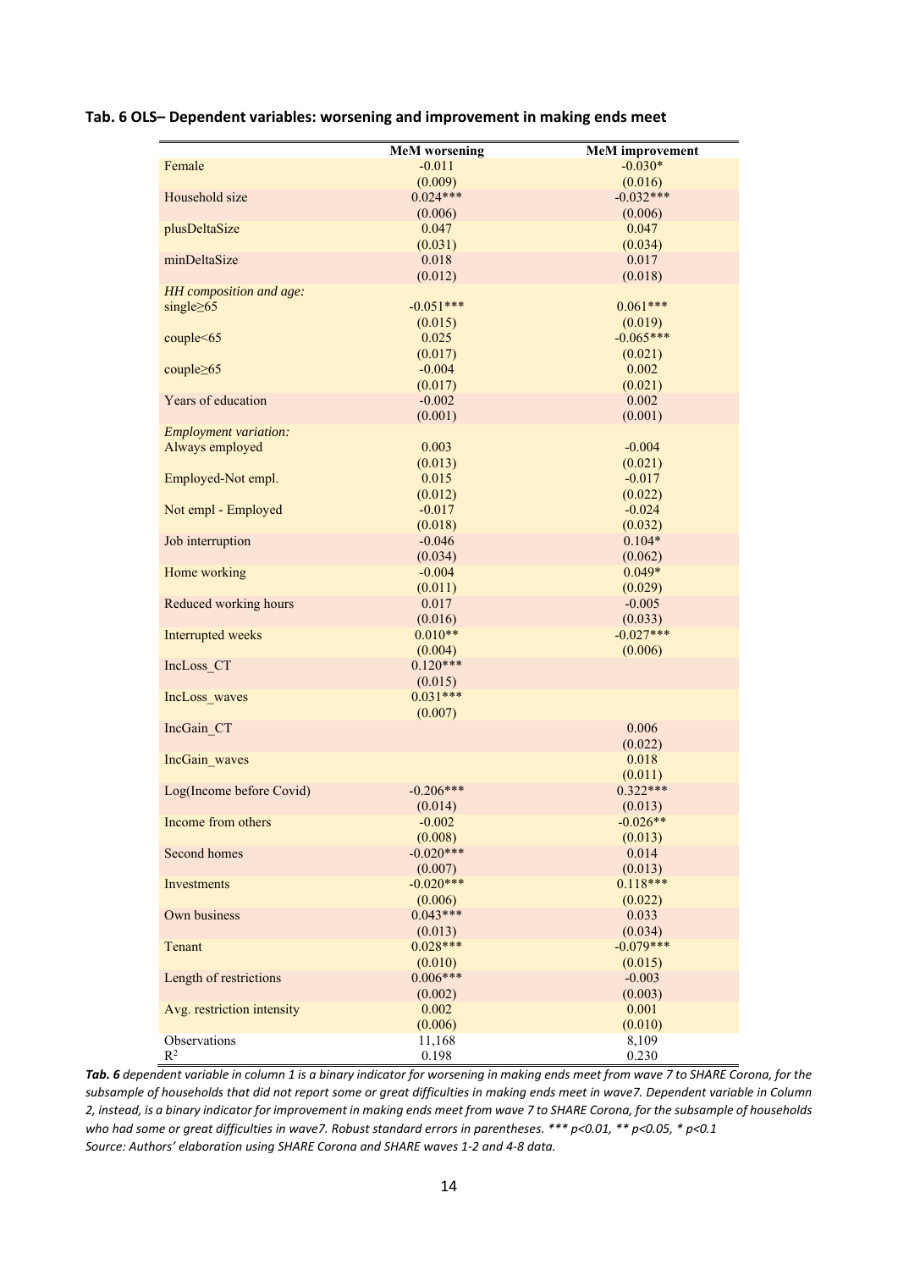#### **Tab. 6 OLS– Dependent variables: worsening and improvement in making ends meet**

| Female                       | <b>MeM</b> worsening<br>$-0.011$ | <b>MeM</b> improvement<br>$-0.030*$ |
|------------------------------|----------------------------------|-------------------------------------|
|                              |                                  |                                     |
|                              | (0.009)<br>$0.024***$            | (0.016)                             |
| Household size               |                                  | $-0.032***$                         |
|                              | (0.006)                          | (0.006)                             |
| plusDeltaSize                | 0.047                            | 0.047                               |
|                              | (0.031)                          | (0.034)                             |
| minDeltaSize                 | 0.018                            | 0.017                               |
|                              | (0.012)                          | (0.018)                             |
| HH composition and age:      | $-0.051***$                      |                                     |
| single $\geq 65$             |                                  | $0.061***$                          |
|                              | (0.015)                          | (0.019)                             |
| couple<65                    | 0.025                            | $-0.065***$                         |
|                              | (0.017)                          | (0.021)                             |
| couple $\geq 65$             | $-0.004$                         | 0.002                               |
|                              | (0.017)                          | (0.021)                             |
| Years of education           | $-0.002$                         | 0.002                               |
|                              | (0.001)                          | (0.001)                             |
| <b>Employment variation:</b> |                                  |                                     |
| Always employed              | 0.003                            | $-0.004$                            |
|                              | (0.013)                          | (0.021)                             |
| Employed-Not empl.           | 0.015                            | $-0.017$                            |
|                              | (0.012)                          | (0.022)                             |
| Not empl - Employed          | $-0.017$                         | $-0.024$                            |
|                              | (0.018)                          | (0.032)                             |
| Job interruption             | $-0.046$                         | $0.104*$                            |
|                              | (0.034)                          | (0.062)                             |
| Home working                 | $-0.004$                         | $0.049*$                            |
|                              | (0.011)                          | (0.029)                             |
| Reduced working hours        | 0.017                            | $-0.005$                            |
|                              | (0.016)                          | (0.033)                             |
| Interrupted weeks            | $0.010**$                        | $-0.027***$                         |
|                              | (0.004)                          | (0.006)                             |
| IncLoss CT                   | $0.120***$                       |                                     |
|                              | (0.015)                          |                                     |
| IncLoss waves                | $0.031***$                       |                                     |
|                              | (0.007)                          |                                     |
| IncGain CT                   |                                  | 0.006                               |
|                              |                                  | (0.022)                             |
| IncGain waves                |                                  | 0.018                               |
|                              |                                  | (0.011)                             |
| Log(Income before Covid)     | $-0.206***$                      | $0.322***$                          |
|                              | (0.014)                          | (0.013)                             |
| Income from others           | $-0.002$                         | $-0.026**$                          |
|                              | (0.008)<br>$-0.020***$           | (0.013)                             |
| Second homes                 |                                  | 0.014                               |
|                              | (0.007)<br>$-0.020***$           | (0.013)<br>$0.118***$               |
| Investments                  |                                  |                                     |
|                              | (0.006)                          | (0.022)                             |
| Own business                 | $0.043***$                       | 0.033                               |
|                              | (0.013)<br>$0.028***$            | (0.034)                             |
| Tenant                       |                                  | $-0.079***$                         |
|                              | (0.010)<br>$0.006***$            | (0.015)                             |
| Length of restrictions       |                                  | $-0.003$                            |
|                              | (0.002)                          | (0.003)                             |
| Avg. restriction intensity   | 0.002                            | 0.001                               |
|                              | (0.006)                          | (0.010)                             |
| Observations                 | 11,168                           | 8,109                               |
| $\mathbb{R}^2$               | 0.198                            | 0.230                               |

*Tab. 6 dependent variable in column 1 is a binary indicator for worsening in making ends meet from wave 7 to SHARE Corona, for the subsample of households that did not report some or great difficulties in making ends meet in wave7. Dependent variable in Column 2, instead, is a binary indicator for improvement in making ends meet from wave 7 to SHARE Corona, for the subsample of households who had some or great difficulties in wave7. Robust standard errors in parentheses. \*\*\* p<0.01, \*\* p<0.05, \* p<0.1 Source: Authors' elaboration using SHARE Corona and SHARE waves 1‐2 and 4‐8 data.*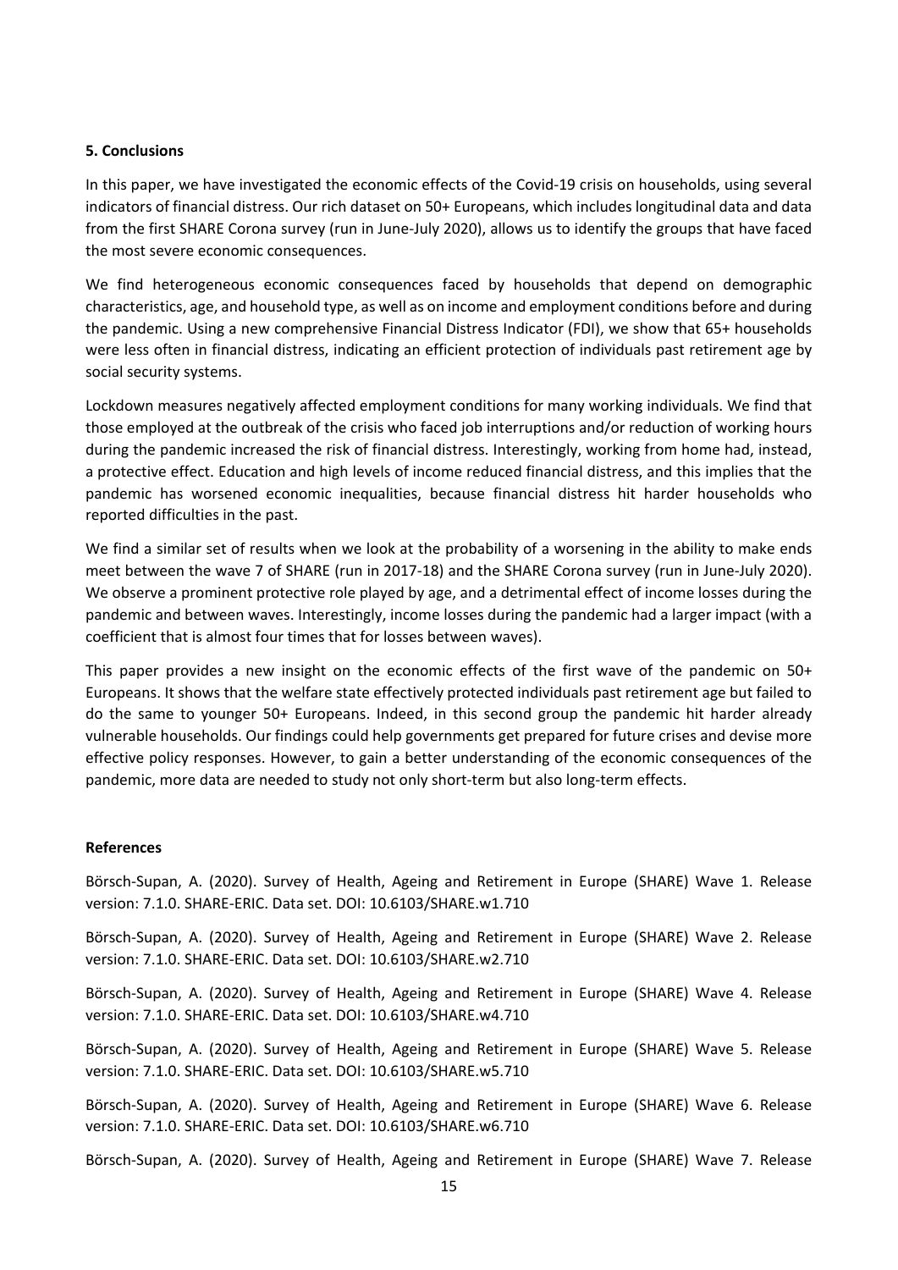#### **5. Conclusions**

In this paper, we have investigated the economic effects of the Covid‐19 crisis on households, using several indicators of financial distress. Our rich dataset on 50+ Europeans, which includes longitudinal data and data from the first SHARE Corona survey (run in June‐July 2020), allows us to identify the groups that have faced the most severe economic consequences.

We find heterogeneous economic consequences faced by households that depend on demographic characteristics, age, and household type, as well as on income and employment conditions before and during the pandemic. Using a new comprehensive Financial Distress Indicator (FDI), we show that 65+ households were less often in financial distress, indicating an efficient protection of individuals past retirement age by social security systems.

Lockdown measures negatively affected employment conditions for many working individuals. We find that those employed at the outbreak of the crisis who faced job interruptions and/or reduction of working hours during the pandemic increased the risk of financial distress. Interestingly, working from home had, instead, a protective effect. Education and high levels of income reduced financial distress, and this implies that the pandemic has worsened economic inequalities, because financial distress hit harder households who reported difficulties in the past.

We find a similar set of results when we look at the probability of a worsening in the ability to make ends meet between the wave 7 of SHARE (run in 2017-18) and the SHARE Corona survey (run in June-July 2020). We observe a prominent protective role played by age, and a detrimental effect of income losses during the pandemic and between waves. Interestingly, income losses during the pandemic had a larger impact (with a coefficient that is almost four times that for losses between waves).

This paper provides a new insight on the economic effects of the first wave of the pandemic on 50+ Europeans. It shows that the welfare state effectively protected individuals past retirement age but failed to do the same to younger 50+ Europeans. Indeed, in this second group the pandemic hit harder already vulnerable households. Our findings could help governments get prepared for future crises and devise more effective policy responses. However, to gain a better understanding of the economic consequences of the pandemic, more data are needed to study not only short-term but also long-term effects.

#### **References**

Börsch-Supan, A. (2020). Survey of Health, Ageing and Retirement in Europe (SHARE) Wave 1. Release version: 7.1.0. SHARE‐ERIC. Data set. DOI: 10.6103/SHARE.w1.710

Börsch-Supan, A. (2020). Survey of Health, Ageing and Retirement in Europe (SHARE) Wave 2. Release version: 7.1.0. SHARE‐ERIC. Data set. DOI: 10.6103/SHARE.w2.710

Börsch-Supan, A. (2020). Survey of Health, Ageing and Retirement in Europe (SHARE) Wave 4. Release version: 7.1.0. SHARE‐ERIC. Data set. DOI: 10.6103/SHARE.w4.710

Börsch‐Supan, A. (2020). Survey of Health, Ageing and Retirement in Europe (SHARE) Wave 5. Release version: 7.1.0. SHARE‐ERIC. Data set. DOI: 10.6103/SHARE.w5.710

Börsch-Supan, A. (2020). Survey of Health, Ageing and Retirement in Europe (SHARE) Wave 6. Release version: 7.1.0. SHARE‐ERIC. Data set. DOI: 10.6103/SHARE.w6.710

Börsch-Supan, A. (2020). Survey of Health, Ageing and Retirement in Europe (SHARE) Wave 7. Release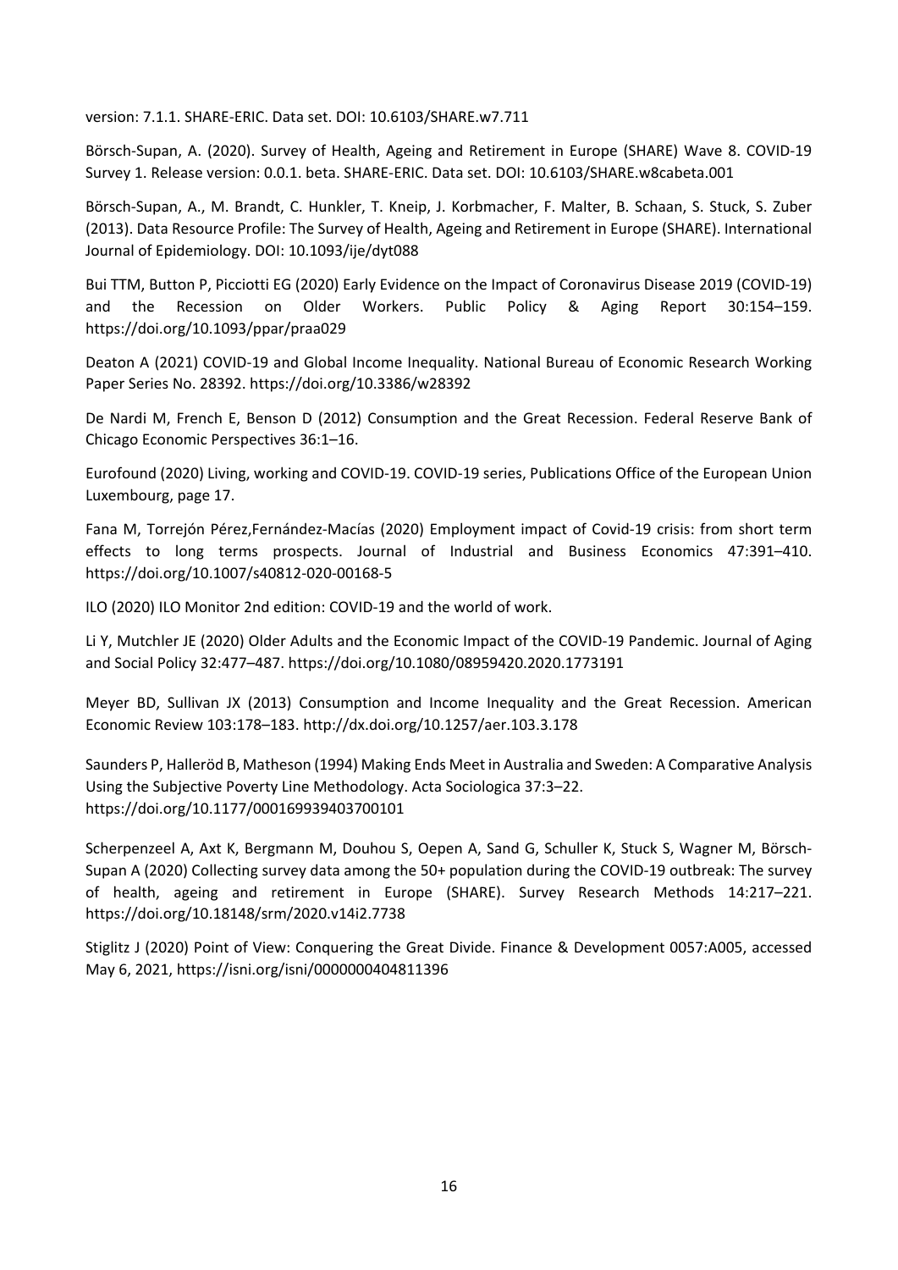version: 7.1.1. SHARE‐ERIC. Data set. DOI: 10.6103/SHARE.w7.711

Börsch-Supan, A. (2020). Survey of Health, Ageing and Retirement in Europe (SHARE) Wave 8. COVID-19 Survey 1. Release version: 0.0.1. beta. SHARE‐ERIC. Data set. DOI: 10.6103/SHARE.w8cabeta.001

Börsch‐Supan, A., M. Brandt, C. Hunkler, T. Kneip, J. Korbmacher, F. Malter, B. Schaan, S. Stuck, S. Zuber (2013). Data Resource Profile: The Survey of Health, Ageing and Retirement in Europe (SHARE). International Journal of Epidemiology. DOI: 10.1093/ije/dyt088

Bui TTM, Button P, Picciotti EG (2020) Early Evidence on the Impact of Coronavirus Disease 2019 (COVID‐19) and the Recession on Older Workers. Public Policy & Aging Report 30:154–159. https://doi.org/10.1093/ppar/praa029

Deaton A (2021) COVID‐19 and Global Income Inequality. National Bureau of Economic Research Working Paper Series No. 28392. https://doi.org/10.3386/w28392

De Nardi M, French E, Benson D (2012) Consumption and the Great Recession. Federal Reserve Bank of Chicago Economic Perspectives 36:1–16.

Eurofound (2020) Living, working and COVID‐19. COVID‐19 series, Publications Office of the European Union Luxembourg, page 17.

Fana M, Torrejón Pérez,Fernández‐Macías (2020) Employment impact of Covid‐19 crisis: from short term effects to long terms prospects. Journal of Industrial and Business Economics 47:391–410. https://doi.org/10.1007/s40812‐020‐00168‐5

ILO (2020) ILO Monitor 2nd edition: COVID‐19 and the world of work.

Li Y, Mutchler JE (2020) Older Adults and the Economic Impact of the COVID‐19 Pandemic. Journal of Aging and Social Policy 32:477–487. https://doi.org/10.1080/08959420.2020.1773191

Meyer BD, Sullivan JX (2013) Consumption and Income Inequality and the Great Recession. American Economic Review 103:178–183. http://dx.doi.org/10.1257/aer.103.3.178

Saunders P, Halleröd B, Matheson (1994) Making Ends Meet in Australia and Sweden: A Comparative Analysis Using the Subjective Poverty Line Methodology. Acta Sociologica 37:3–22. https://doi.org/10.1177/000169939403700101

Scherpenzeel A, Axt K, Bergmann M, Douhou S, Oepen A, Sand G, Schuller K, Stuck S, Wagner M, Börsch‐ Supan A (2020) Collecting survey data among the 50+ population during the COVID‐19 outbreak: The survey of health, ageing and retirement in Europe (SHARE). Survey Research Methods 14:217–221. https://doi.org/10.18148/srm/2020.v14i2.7738

Stiglitz J (2020) Point of View: Conquering the Great Divide. Finance & Development 0057:A005, accessed May 6, 2021, https://isni.org/isni/0000000404811396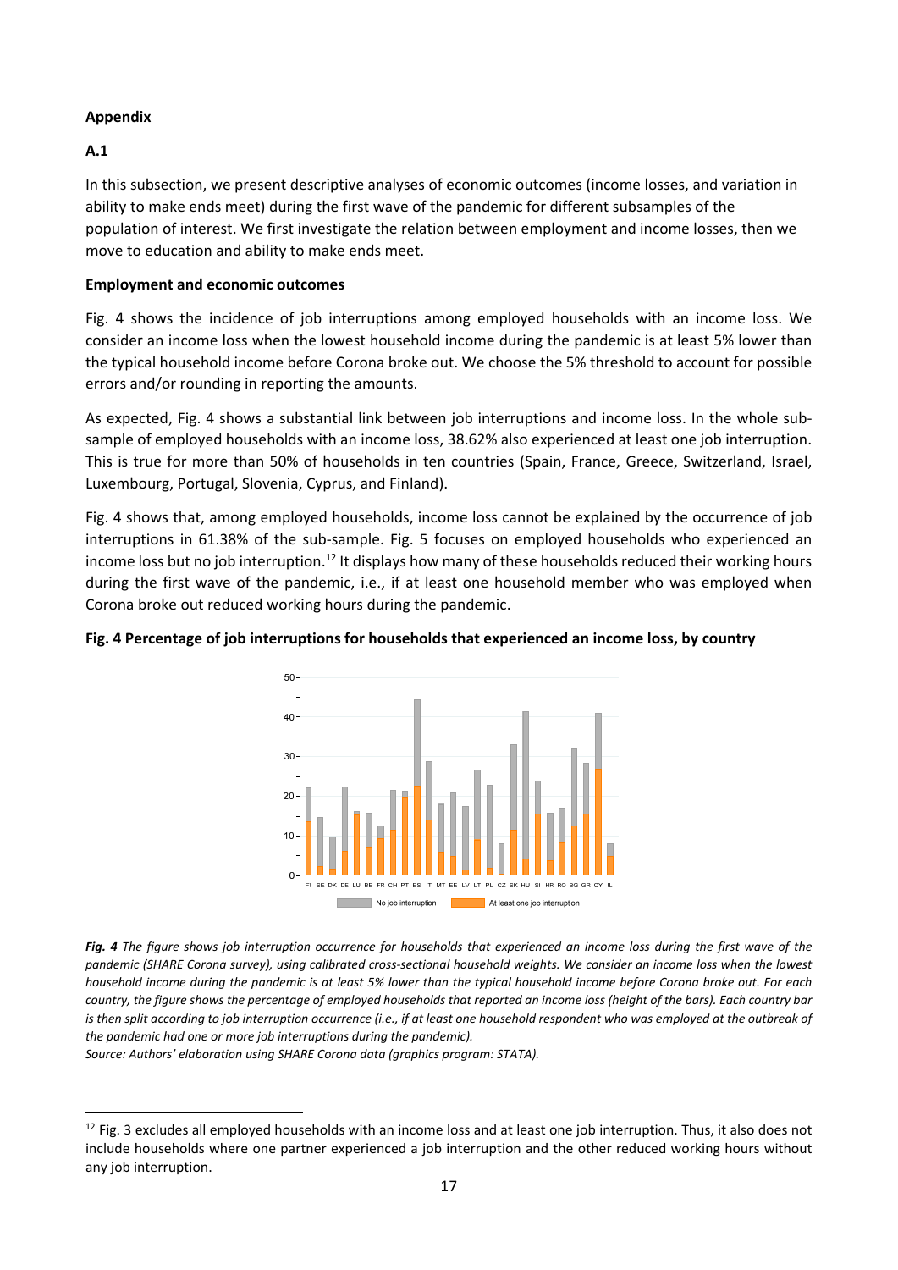## **Appendix**

## **A.1**

In this subsection, we present descriptive analyses of economic outcomes (income losses, and variation in ability to make ends meet) during the first wave of the pandemic for different subsamples of the population of interest. We first investigate the relation between employment and income losses, then we move to education and ability to make ends meet.

## **Employment and economic outcomes**

Fig. 4 shows the incidence of job interruptions among employed households with an income loss. We consider an income loss when the lowest household income during the pandemic is at least 5% lower than the typical household income before Corona broke out. We choose the 5% threshold to account for possible errors and/or rounding in reporting the amounts.

As expected, Fig. 4 shows a substantial link between job interruptions and income loss. In the whole sub‐ sample of employed households with an income loss, 38.62% also experienced at least one job interruption. This is true for more than 50% of households in ten countries (Spain, France, Greece, Switzerland, Israel, Luxembourg, Portugal, Slovenia, Cyprus, and Finland).

Fig. 4 shows that, among employed households, income loss cannot be explained by the occurrence of job interruptions in 61.38% of the sub-sample. Fig. 5 focuses on employed households who experienced an income loss but no job interruption.<sup>12</sup> It displays how many of these households reduced their working hours during the first wave of the pandemic, i.e., if at least one household member who was employed when Corona broke out reduced working hours during the pandemic.



## Fig. 4 Percentage of job interruptions for households that experienced an income loss, by country

*Fig. 4 The figure shows job interruption occurrence for households that experienced an income loss during the first wave of the pandemic (SHARE Corona survey), using calibrated cross‐sectional household weights. We consider an income loss when the lowest household income during the pandemic is at least 5% lower than the typical household income before Corona broke out. For each country, the figure shows the percentage of employed households that reported an income loss (height of the bars). Each country bar is then split according to job interruption occurrence (i.e., if at least one household respondent who was employed at the outbreak of the pandemic had one or more job interruptions during the pandemic).* 

*Source: Authors' elaboration using SHARE Corona data (graphics program: STATA).* 

 $12$  Fig. 3 excludes all employed households with an income loss and at least one job interruption. Thus, it also does not include households where one partner experienced a job interruption and the other reduced working hours without any job interruption.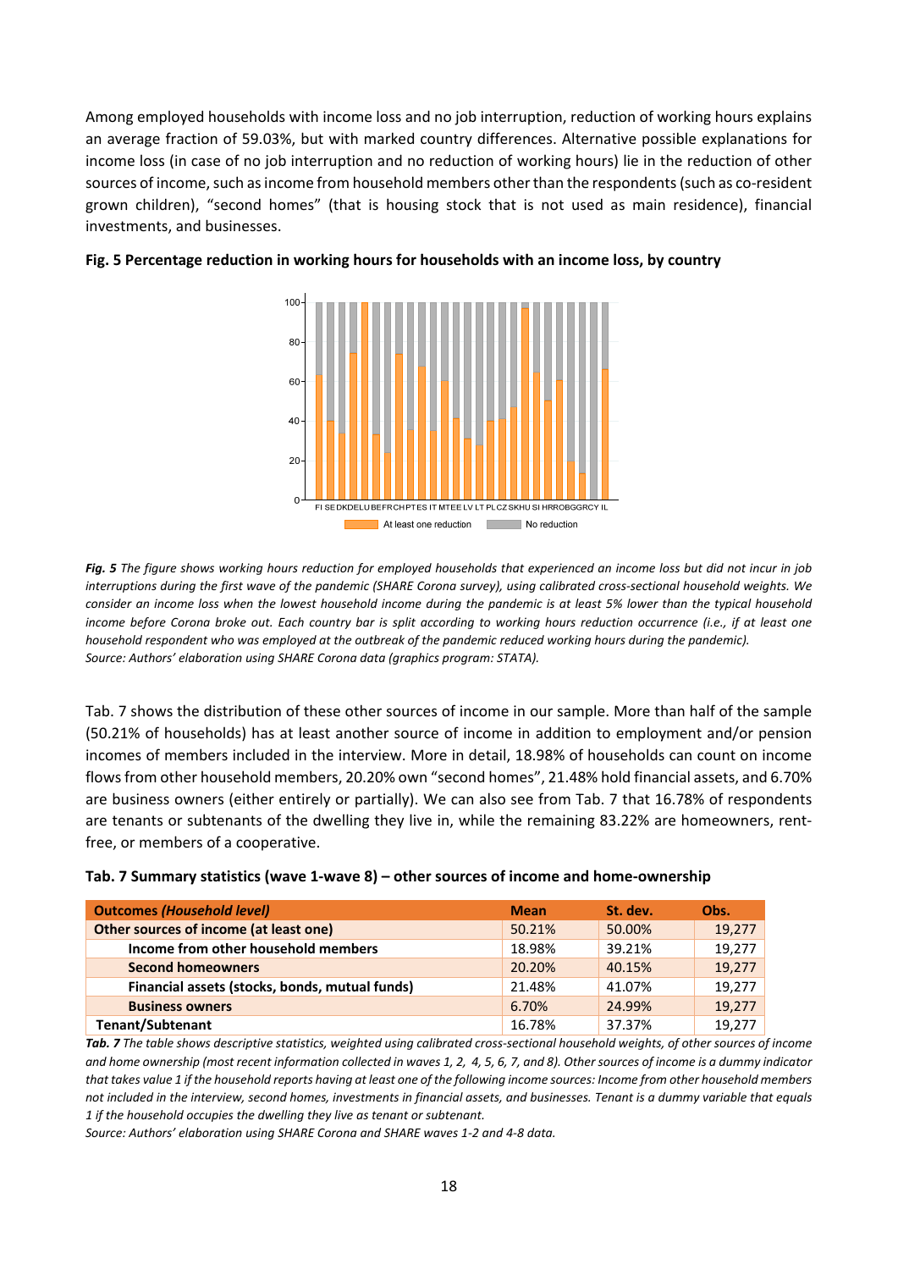Among employed households with income loss and no job interruption, reduction of working hours explains an average fraction of 59.03%, but with marked country differences. Alternative possible explanations for income loss (in case of no job interruption and no reduction of working hours) lie in the reduction of other sources of income, such as income from household members other than the respondents (such as co-resident grown children), "second homes" (that is housing stock that is not used as main residence), financial investments, and businesses.



#### Fig. 5 Percentage reduction in working hours for households with an income loss, by country

*Fig. 5 The figure shows working hours reduction for employed households that experienced an income loss but did not incur in job interruptions during the first wave of the pandemic (SHARE Corona survey), using calibrated cross‐sectional household weights. We consider an income loss when the lowest household income during the pandemic is at least 5% lower than the typical household income before Corona broke out. Each country bar is split according to working hours reduction occurrence (i.e., if at least one household respondent who was employed at the outbreak of the pandemic reduced working hours during the pandemic). Source: Authors' elaboration using SHARE Corona data (graphics program: STATA).* 

Tab. 7 shows the distribution of these other sources of income in our sample. More than half of the sample (50.21% of households) has at least another source of income in addition to employment and/or pension incomes of members included in the interview. More in detail, 18.98% of households can count on income flows from other household members, 20.20% own "second homes", 21.48% hold financial assets, and 6.70% are business owners (either entirely or partially). We can also see from Tab. 7 that 16.78% of respondents are tenants or subtenants of the dwelling they live in, while the remaining 83.22% are homeowners, rentfree, or members of a cooperative.

| <b>Outcomes (Household level)</b>              | <b>Mean</b> | St. dev. | Obs.   |
|------------------------------------------------|-------------|----------|--------|
| Other sources of income (at least one)         | 50.21%      | 50.00%   | 19,277 |
| Income from other household members            | 18.98%      | 39.21%   | 19,277 |
| <b>Second homeowners</b>                       | 20.20%      | 40.15%   | 19,277 |
| Financial assets (stocks, bonds, mutual funds) | 21.48%      | 41.07%   | 19.277 |
| <b>Business owners</b>                         | 6.70%       | 24.99%   | 19,277 |
| <b>Tenant/Subtenant</b>                        | 16.78%      | 37.37%   | 19,277 |

|  |  |  |  |  |  |  |  |  | Tab. 7 Summary statistics (wave 1-wave 8) - other sources of income and home-ownership |
|--|--|--|--|--|--|--|--|--|----------------------------------------------------------------------------------------|
|--|--|--|--|--|--|--|--|--|----------------------------------------------------------------------------------------|

*Tab. 7 The table shows descriptive statistics, weighted using calibrated cross‐sectional household weights, of other sources of income and home ownership (most recent information collected in waves 1, 2, 4, 5, 6, 7, and 8). Other sources of income is a dummy indicator that takes value 1 if the household reports having at least one of the following income sources: Income from other household members not included in the interview, second homes, investments in financial assets, and businesses. Tenant is a dummy variable that equals 1 if the household occupies the dwelling they live as tenant or subtenant.* 

*Source: Authors' elaboration using SHARE Corona and SHARE waves 1‐2 and 4‐8 data.*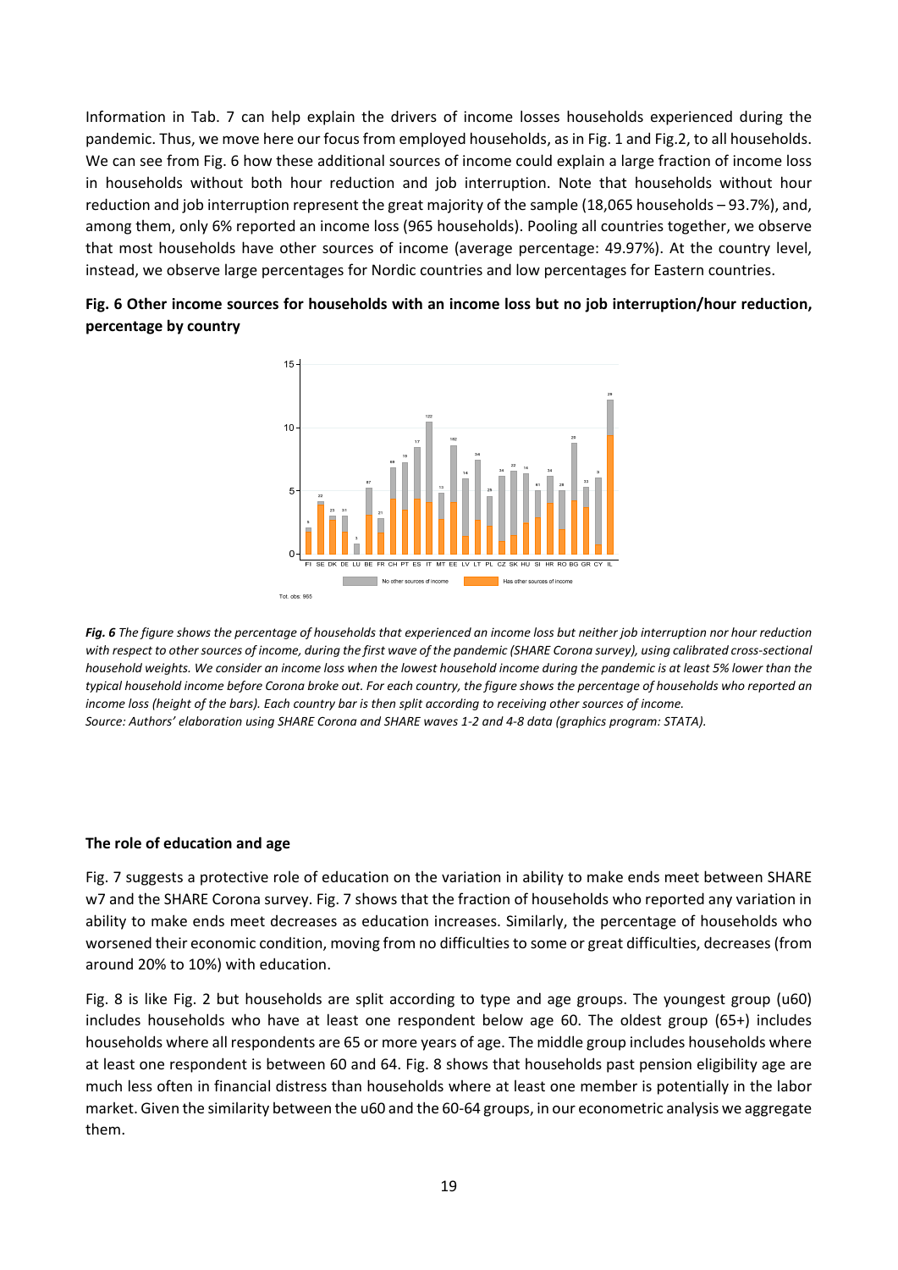Information in Tab. 7 can help explain the drivers of income losses households experienced during the pandemic. Thus, we move here our focus from employed households, as in Fig. 1 and Fig.2, to all households. We can see from Fig. 6 how these additional sources of income could explain a large fraction of income loss in households without both hour reduction and job interruption. Note that households without hour reduction and job interruption represent the great majority of the sample (18,065 households – 93.7%), and, among them, only 6% reported an income loss (965 households). Pooling all countries together, we observe that most households have other sources of income (average percentage: 49.97%). At the country level, instead, we observe large percentages for Nordic countries and low percentages for Eastern countries.

## **Fig. 6 Other income sources for households with an income loss but no job interruption/hour reduction, percentage by country**



*Fig. 6 The figure shows the percentage of households that experienced an income loss but neither job interruption nor hour reduction with respect to other sources of income, during the first wave of the pandemic (SHARE Corona survey), using calibrated cross‐sectional household weights. We consider an income loss when the lowest household income during the pandemic is at least 5% lower than the typical household income before Corona broke out. For each country, the figure shows the percentage of households who reported an income loss (height of the bars). Each country bar is then split according to receiving other sources of income. Source: Authors' elaboration using SHARE Corona and SHARE waves 1‐2 and 4‐8 data (graphics program: STATA).* 

#### **The role of education and age**

Fig. 7 suggests a protective role of education on the variation in ability to make ends meet between SHARE w7 and the SHARE Corona survey. Fig. 7 shows that the fraction of households who reported any variation in ability to make ends meet decreases as education increases. Similarly, the percentage of households who worsened their economic condition, moving from no difficulties to some or great difficulties, decreases (from around 20% to 10%) with education.

Fig. 8 is like Fig. 2 but households are split according to type and age groups. The youngest group (u60) includes households who have at least one respondent below age 60. The oldest group (65+) includes households where all respondents are 65 or more years of age. The middle group includes households where at least one respondent is between 60 and 64. Fig. 8 shows that households past pension eligibility age are much less often in financial distress than households where at least one member is potentially in the labor market. Given the similarity between the u60 and the 60‐64 groups, in our econometric analysis we aggregate them.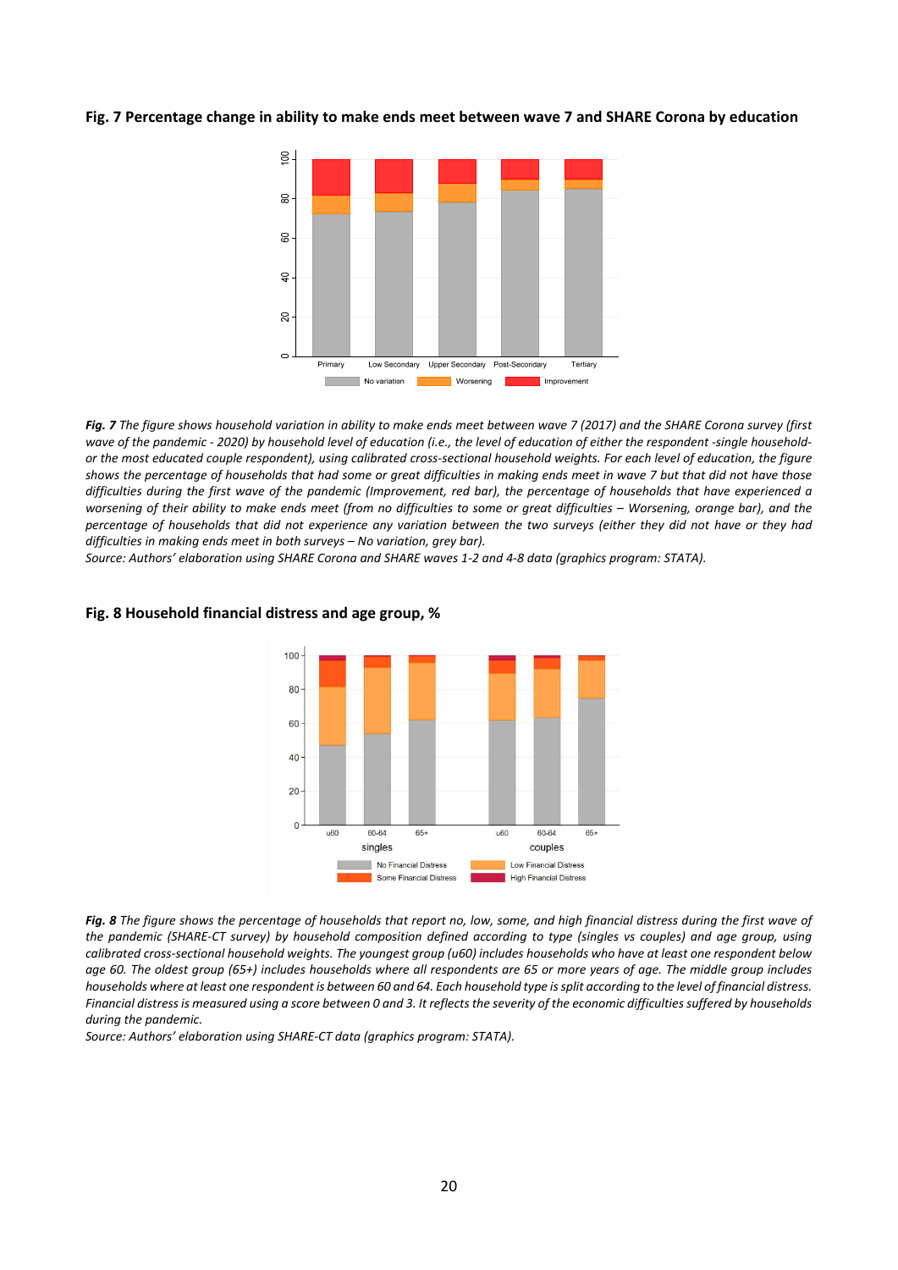#### **Fig. 7 Percentage change in ability to make ends meet between wave 7 and SHARE Corona by education**



*Fig. 7 The figure shows household variation in ability to make ends meet between wave 7 (2017) and the SHARE Corona survey (first wave of the pandemic ‐ 2020) by household level of education (i.e., the level of education of either the respondent ‐single household‐ or the most educated couple respondent), using calibrated cross‐sectional household weights. For each level of education, the figure shows the percentage of households that had some or great difficulties in making ends meet in wave 7 but that did not have those difficulties during the first wave of the pandemic (Improvement, red bar), the percentage of households that have experienced a worsening of their ability to make ends meet (from no difficulties to some or great difficulties – Worsening, orange bar), and the percentage of households that did not experience any variation between the two surveys (either they did not have or they had difficulties in making ends meet in both surveys – No variation, grey bar).* 

*Source: Authors' elaboration using SHARE Corona and SHARE waves 1‐2 and 4‐8 data (graphics program: STATA).* 



#### **Fig. 8 Household financial distress and age group, %**

*Fig. 8 The figure shows the percentage of households that report no, low, some, and high financial distress during the first wave of the pandemic (SHARE‐CT survey) by household composition defined according to type (singles vs couples) and age group, using calibrated cross‐sectional household weights. The youngest group (u60) includes households who have at least one respondent below age 60. The oldest group (65+) includes households where all respondents are 65 or more years of age. The middle group includes households where at least one respondent is between 60 and 64. Each household type is split according to the level of financial distress. Financial distress is measured using a score between 0 and 3. It reflects the severity of the economic difficulties suffered by households during the pandemic.* 

*Source: Authors' elaboration using SHARE‐CT data (graphics program: STATA).*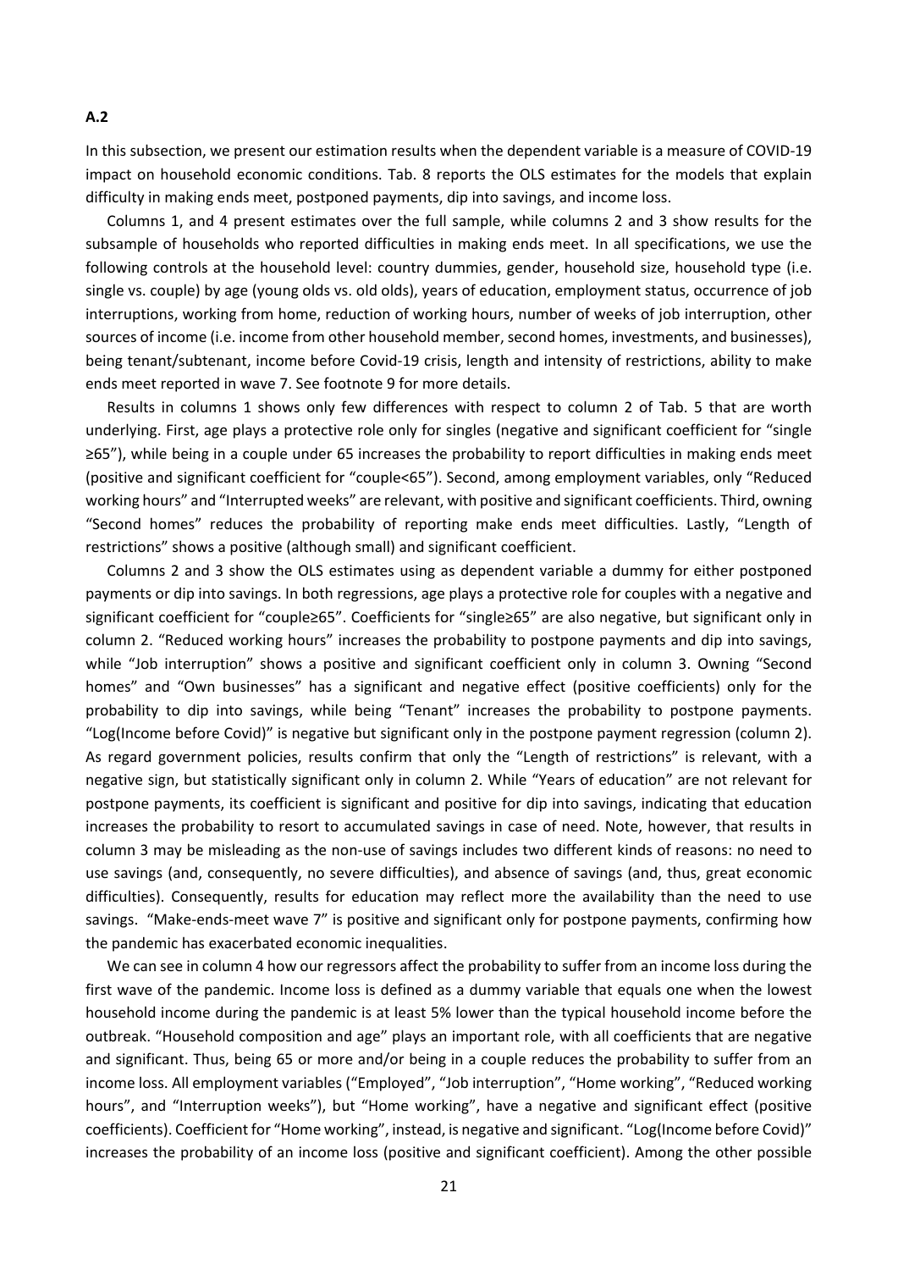In this subsection, we present our estimation results when the dependent variable is a measure of COVID‐19 impact on household economic conditions. Tab. 8 reports the OLS estimates for the models that explain difficulty in making ends meet, postponed payments, dip into savings, and income loss.

Columns 1, and 4 present estimates over the full sample, while columns 2 and 3 show results for the subsample of households who reported difficulties in making ends meet. In all specifications, we use the following controls at the household level: country dummies, gender, household size, household type (i.e. single vs. couple) by age (young olds vs. old olds), years of education, employment status, occurrence of job interruptions, working from home, reduction of working hours, number of weeks of job interruption, other sources of income (i.e. income from other household member, second homes, investments, and businesses), being tenant/subtenant, income before Covid-19 crisis, length and intensity of restrictions, ability to make ends meet reported in wave 7. See footnote 9 for more details.

Results in columns 1 shows only few differences with respect to column 2 of Tab. 5 that are worth underlying. First, age plays a protective role only for singles (negative and significant coefficient for "single ≥65"), while being in a couple under 65 increases the probability to report difficulties in making ends meet (positive and significant coefficient for "couple<65"). Second, among employment variables, only "Reduced working hours" and "Interrupted weeks" are relevant, with positive and significant coefficients. Third, owning "Second homes" reduces the probability of reporting make ends meet difficulties. Lastly, "Length of restrictions" shows a positive (although small) and significant coefficient.

Columns 2 and 3 show the OLS estimates using as dependent variable a dummy for either postponed payments or dip into savings. In both regressions, age plays a protective role for couples with a negative and significant coefficient for "couple≥65". Coefficients for "single≥65" are also negative, but significant only in column 2. "Reduced working hours" increases the probability to postpone payments and dip into savings, while "Job interruption" shows a positive and significant coefficient only in column 3. Owning "Second homes" and "Own businesses" has a significant and negative effect (positive coefficients) only for the probability to dip into savings, while being "Tenant" increases the probability to postpone payments. "Log(Income before Covid)" is negative but significant only in the postpone payment regression (column 2). As regard government policies, results confirm that only the "Length of restrictions" is relevant, with a negative sign, but statistically significant only in column 2. While "Years of education" are not relevant for postpone payments, its coefficient is significant and positive for dip into savings, indicating that education increases the probability to resort to accumulated savings in case of need. Note, however, that results in column 3 may be misleading as the non‐use of savings includes two different kinds of reasons: no need to use savings (and, consequently, no severe difficulties), and absence of savings (and, thus, great economic difficulties). Consequently, results for education may reflect more the availability than the need to use savings. "Make-ends-meet wave 7" is positive and significant only for postpone payments, confirming how the pandemic has exacerbated economic inequalities.

We can see in column 4 how our regressors affect the probability to suffer from an income loss during the first wave of the pandemic. Income loss is defined as a dummy variable that equals one when the lowest household income during the pandemic is at least 5% lower than the typical household income before the outbreak. "Household composition and age" plays an important role, with all coefficients that are negative and significant. Thus, being 65 or more and/or being in a couple reduces the probability to suffer from an income loss. All employment variables ("Employed", "Job interruption", "Home working", "Reduced working hours", and "Interruption weeks"), but "Home working", have a negative and significant effect (positive coefficients). Coefficient for "Home working", instead, is negative and significant. "Log(Income before Covid)" increases the probability of an income loss (positive and significant coefficient). Among the other possible

#### **A.2**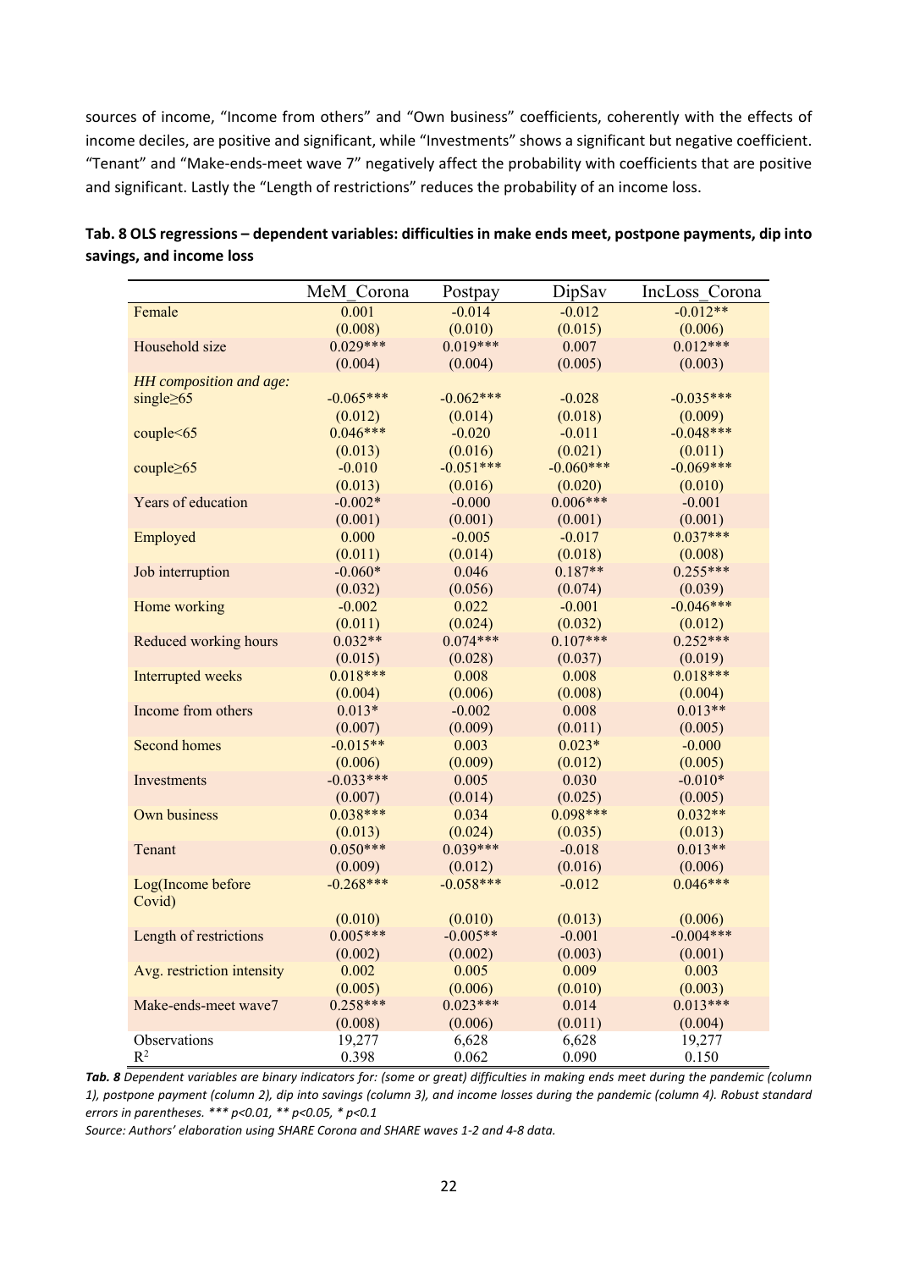sources of income, "Income from others" and "Own business" coefficients, coherently with the effects of income deciles, are positive and significant, while "Investments" shows a significant but negative coefficient. "Tenant" and "Make‐ends‐meet wave 7" negatively affect the probability with coefficients that are positive and significant. Lastly the "Length of restrictions" reduces the probability of an income loss.

|                            | MeM Corona  | Postpay     | DipSav      | IncLoss Corona |
|----------------------------|-------------|-------------|-------------|----------------|
| Female                     | 0.001       | $-0.014$    | $-0.012$    | $-0.012**$     |
|                            | (0.008)     | (0.010)     | (0.015)     | (0.006)        |
| Household size             | $0.029***$  | $0.019***$  | 0.007       | $0.012***$     |
|                            | (0.004)     | (0.004)     | (0.005)     | (0.003)        |
| HH composition and age:    |             |             |             |                |
| single $\geq 65$           | $-0.065***$ | $-0.062***$ | $-0.028$    | $-0.035***$    |
|                            | (0.012)     | (0.014)     | (0.018)     | (0.009)        |
| couple<65                  | $0.046***$  | $-0.020$    | $-0.011$    | $-0.048***$    |
|                            | (0.013)     | (0.016)     | (0.021)     | (0.011)        |
| couple $\geq 65$           | $-0.010$    | $-0.051***$ | $-0.060***$ | $-0.069***$    |
|                            | (0.013)     | (0.016)     | (0.020)     | (0.010)        |
| Years of education         | $-0.002*$   | $-0.000$    | $0.006***$  | $-0.001$       |
|                            | (0.001)     | (0.001)     | (0.001)     | (0.001)        |
| Employed                   | 0.000       | $-0.005$    | $-0.017$    | $0.037***$     |
|                            | (0.011)     | (0.014)     | (0.018)     | (0.008)        |
| Job interruption           | $-0.060*$   | 0.046       | $0.187**$   | $0.255***$     |
|                            | (0.032)     | (0.056)     | (0.074)     | (0.039)        |
| Home working               | $-0.002$    | 0.022       | $-0.001$    | $-0.046***$    |
|                            | (0.011)     | (0.024)     | (0.032)     | (0.012)        |
| Reduced working hours      | $0.032**$   | $0.074***$  | $0.107***$  | $0.252***$     |
|                            | (0.015)     | (0.028)     | (0.037)     | (0.019)        |
| Interrupted weeks          | $0.018***$  | 0.008       | 0.008       | $0.018***$     |
|                            | (0.004)     | (0.006)     | (0.008)     | (0.004)        |
| Income from others         | $0.013*$    | $-0.002$    | 0.008       | $0.013**$      |
|                            | (0.007)     | (0.009)     | (0.011)     | (0.005)        |
| <b>Second homes</b>        | $-0.015**$  | 0.003       | $0.023*$    | $-0.000$       |
|                            | (0.006)     | (0.009)     | (0.012)     | (0.005)        |
| Investments                | $-0.033***$ | 0.005       | 0.030       | $-0.010*$      |
|                            | (0.007)     | (0.014)     | (0.025)     | (0.005)        |
| Own business               | $0.038***$  | 0.034       | $0.098***$  | $0.032**$      |
|                            | (0.013)     | (0.024)     | (0.035)     | (0.013)        |
| Tenant                     | $0.050***$  | $0.039***$  | $-0.018$    | $0.013**$      |
|                            | (0.009)     | (0.012)     | (0.016)     | (0.006)        |
| Log(Income before          | $-0.268***$ | $-0.058***$ | $-0.012$    | $0.046***$     |
| Covid)                     |             |             |             |                |
|                            | (0.010)     | (0.010)     | (0.013)     | (0.006)        |
| Length of restrictions     | $0.005***$  | $-0.005**$  | $-0.001$    | $-0.004***$    |
|                            | (0.002)     | (0.002)     | (0.003)     | (0.001)        |
| Avg. restriction intensity | 0.002       | 0.005       | 0.009       | 0.003          |
|                            | (0.005)     | (0.006)     | (0.010)     | (0.003)        |
| Make-ends-meet wave7       | $0.258***$  | $0.023***$  | 0.014       | $0.013***$     |
|                            | (0.008)     | (0.006)     | (0.011)     | (0.004)        |
| Observations               | 19,277      | 6,628       | 6,628       | 19,277         |
| $R^2$                      | 0.398       | 0.062       | 0.090       | 0.150          |

| Tab. 8 OLS regressions – dependent variables: difficulties in make ends meet, postpone payments, dip into |  |
|-----------------------------------------------------------------------------------------------------------|--|
| savings, and income loss                                                                                  |  |

*Tab. 8 Dependent variables are binary indicators for: (some or great) difficulties in making ends meet during the pandemic (column 1), postpone payment (column 2), dip into savings (column 3), and income losses during the pandemic (column 4). Robust standard errors in parentheses. \*\*\* p<0.01, \*\* p<0.05, \* p<0.1* 

*Source: Authors' elaboration using SHARE Corona and SHARE waves 1‐2 and 4‐8 data.*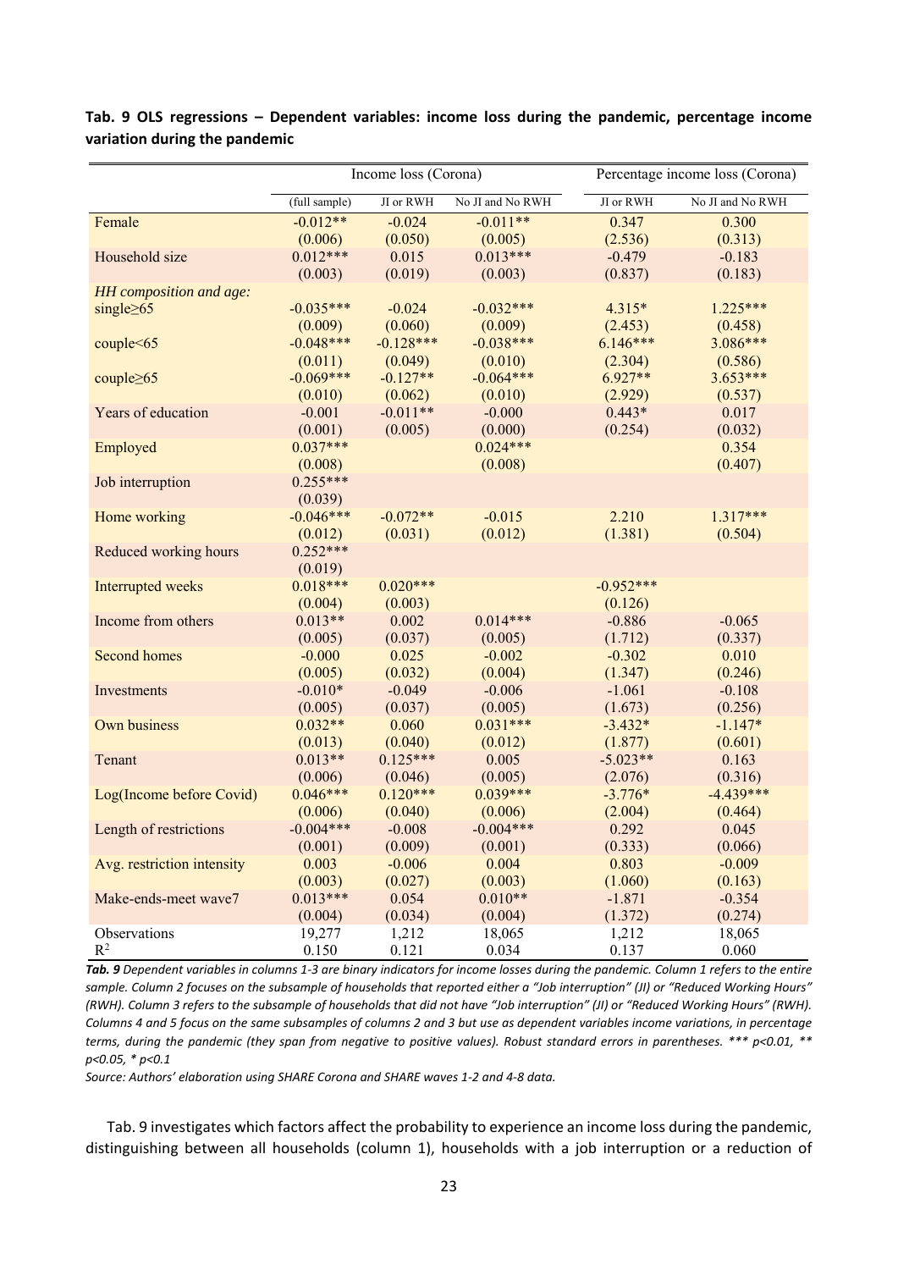|                            | Income loss (Corona)  |                       |                       |                       | Percentage income loss (Corona) |  |  |
|----------------------------|-----------------------|-----------------------|-----------------------|-----------------------|---------------------------------|--|--|
|                            | (full sample)         | JI or RWH             | No JI and No RWH      | <b>JI</b> or RWH      | No JI and No RWH                |  |  |
| Female                     | $-0.012**$            | $-0.024$              | $-0.011**$            | 0.347                 | 0.300                           |  |  |
|                            | (0.006)               | (0.050)               | (0.005)               | (2.536)               | (0.313)                         |  |  |
| Household size             | $0.012***$            | 0.015                 | $0.013***$            | $-0.479$              | $-0.183$                        |  |  |
|                            | (0.003)               | (0.019)               | (0.003)               | (0.837)               | (0.183)                         |  |  |
| HH composition and age:    |                       |                       |                       |                       |                                 |  |  |
| single $\geq 65$           | $-0.035***$           | $-0.024$              | $-0.032***$           | $4.315*$              | $1.225***$                      |  |  |
|                            | (0.009)               | (0.060)               | (0.009)               | (2.453)               | (0.458)                         |  |  |
| couple<65                  | $-0.048***$           | $-0.128***$           | $-0.038***$           | $6.146***$            | 3.086***                        |  |  |
|                            | (0.011)               | (0.049)               | (0.010)               | (2.304)               | (0.586)                         |  |  |
| couple $\geq 65$           | $-0.069***$           | $-0.127**$            | $-0.064***$           | $6.927**$             | $3.653***$                      |  |  |
|                            | (0.010)               | (0.062)               | (0.010)               | (2.929)               | (0.537)                         |  |  |
| Years of education         | $-0.001$              | $-0.011**$            | $-0.000$              | $0.443*$              | 0.017                           |  |  |
|                            | (0.001)               | (0.005)               | (0.000)               | (0.254)               | (0.032)                         |  |  |
| Employed                   | $0.037***$            |                       | $0.024***$            |                       | 0.354                           |  |  |
|                            | (0.008)               |                       | (0.008)               |                       | (0.407)                         |  |  |
| Job interruption           | $0.255***$            |                       |                       |                       |                                 |  |  |
|                            | (0.039)               |                       |                       |                       |                                 |  |  |
| Home working               | $-0.046***$           | $-0.072**$            | $-0.015$              | 2.210                 | $1.317***$                      |  |  |
|                            | (0.012)               | (0.031)               | (0.012)               | (1.381)               | (0.504)                         |  |  |
| Reduced working hours      | $0.252***$            |                       |                       |                       |                                 |  |  |
|                            | (0.019)               |                       |                       |                       |                                 |  |  |
| Interrupted weeks          | $0.018***$            | $0.020***$            |                       | $-0.952***$           |                                 |  |  |
|                            | (0.004)               | (0.003)               |                       | (0.126)               |                                 |  |  |
| Income from others         | $0.013**$             | 0.002                 | $0.014***$            | $-0.886$              | $-0.065$                        |  |  |
|                            | (0.005)               | (0.037)               | (0.005)               | (1.712)               | (0.337)                         |  |  |
| <b>Second homes</b>        | $-0.000$              | 0.025                 | $-0.002$              | $-0.302$              | 0.010                           |  |  |
|                            | (0.005)               | (0.032)               | (0.004)               | (1.347)               | (0.246)                         |  |  |
| Investments                | $-0.010*$             | $-0.049$              | $-0.006$              | $-1.061$              | $-0.108$                        |  |  |
|                            | (0.005)               | (0.037)               | (0.005)               | (1.673)               | (0.256)                         |  |  |
| Own business               | $0.032**$             | 0.060                 | $0.031***$            | $-3.432*$             | $-1.147*$                       |  |  |
| Tenant                     | (0.013)<br>$0.013**$  | (0.040)<br>$0.125***$ | (0.012)<br>0.005      | (1.877)<br>$-5.023**$ | (0.601)                         |  |  |
|                            |                       |                       |                       |                       | 0.163                           |  |  |
| Log(Income before Covid)   | (0.006)<br>$0.046***$ | (0.046)<br>$0.120***$ | (0.005)<br>$0.039***$ | (2.076)<br>$-3.776*$  | (0.316)<br>$-4.439***$          |  |  |
|                            | (0.006)               | (0.040)               | (0.006)               | (2.004)               | (0.464)                         |  |  |
| Length of restrictions     | $-0.004***$           | $-0.008$              | $-0.004***$           | 0.292                 | 0.045                           |  |  |
|                            | (0.001)               | (0.009)               | (0.001)               | (0.333)               | (0.066)                         |  |  |
| Avg. restriction intensity | 0.003                 | $-0.006$              | 0.004                 | 0.803                 | $-0.009$                        |  |  |
|                            | (0.003)               | (0.027)               | (0.003)               | (1.060)               | (0.163)                         |  |  |
| Make-ends-meet wave7       | $0.013***$            | 0.054                 | $0.010**$             | $-1.871$              | $-0.354$                        |  |  |
|                            | (0.004)               | (0.034)               | (0.004)               | (1.372)               | (0.274)                         |  |  |
| Observations               | 19,277                | 1,212                 | 18,065                | 1,212                 | 18,065                          |  |  |
| $R^2$                      | 0.150                 | 0.121                 | 0.034                 | 0.137                 | 0.060                           |  |  |

## **Tab. 9 OLS regressions – Dependent variables: income loss during the pandemic, percentage income variation during the pandemic**

*Tab. 9 Dependent variables in columns 1‐3 are binary indicators for income losses during the pandemic. Column 1 refers to the entire sample. Column 2 focuses on the subsample of households that reported either a "Job interruption" (JI) or "Reduced Working Hours" (RWH). Column 3 refers to the subsample of households that did not have "Job interruption" (JI) or "Reduced Working Hours" (RWH). Columns 4 and 5 focus on the same subsamples of columns 2 and 3 but use as dependent variables income variations, in percentage terms, during the pandemic (they span from negative to positive values). Robust standard errors in parentheses. \*\*\* p<0.01, \*\* p<0.05, \* p<0.1* 

*Source: Authors' elaboration using SHARE Corona and SHARE waves 1‐2 and 4‐8 data.* 

Tab. 9 investigates which factors affect the probability to experience an income loss during the pandemic, distinguishing between all households (column 1), households with a job interruption or a reduction of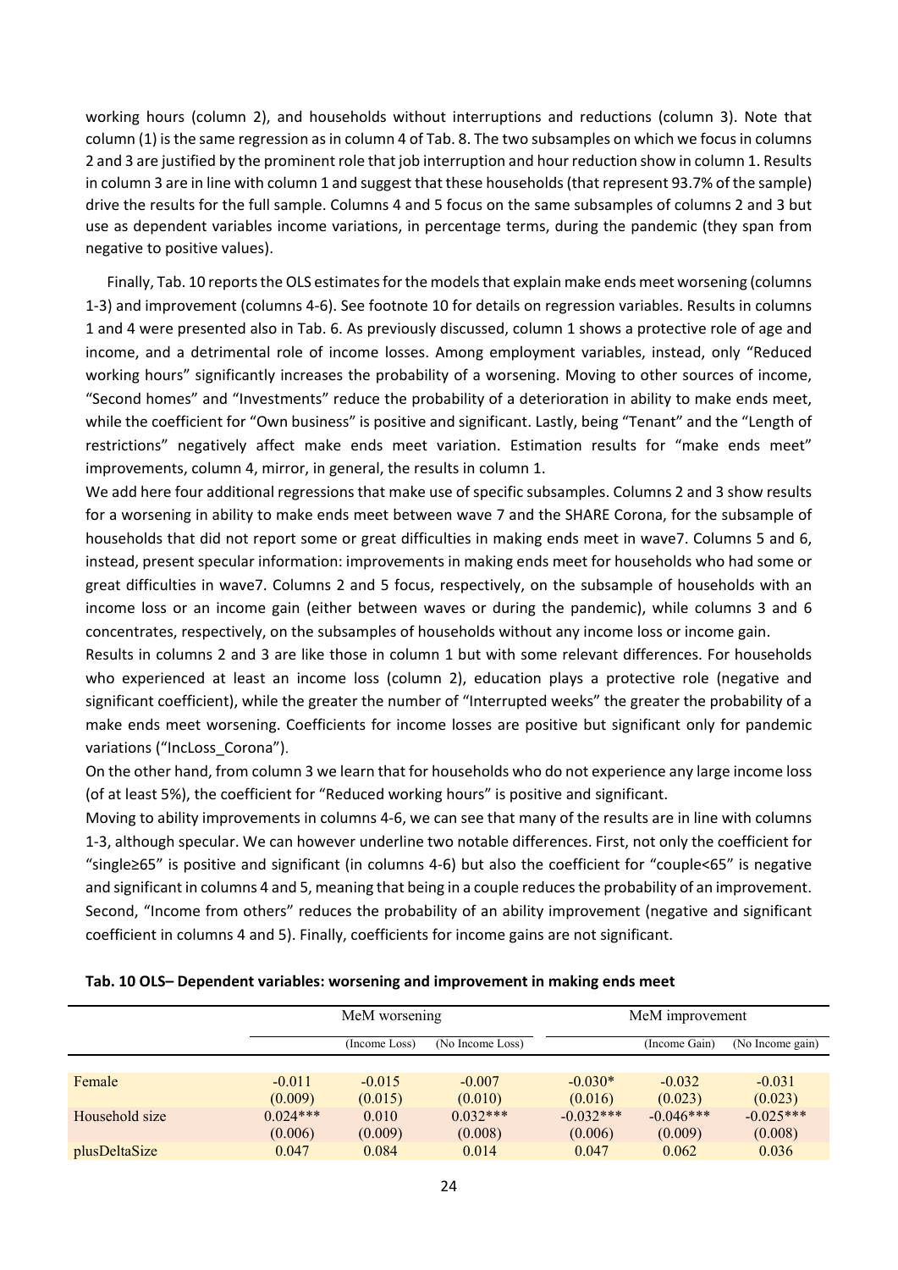working hours (column 2), and households without interruptions and reductions (column 3). Note that column (1) is the same regression as in column 4 of Tab. 8. The two subsamples on which we focus in columns 2 and 3 are justified by the prominent role that job interruption and hour reduction show in column 1. Results in column 3 are in line with column 1 and suggest that these households (that represent 93.7% of the sample) drive the results for the full sample. Columns 4 and 5 focus on the same subsamples of columns 2 and 3 but use as dependent variables income variations, in percentage terms, during the pandemic (they span from negative to positive values).

Finally, Tab. 10 reports the OLS estimates for the models that explain make ends meet worsening (columns 1‐3) and improvement (columns 4‐6). See footnote 10 for details on regression variables. Results in columns 1 and 4 were presented also in Tab. 6. As previously discussed, column 1 shows a protective role of age and income, and a detrimental role of income losses. Among employment variables, instead, only "Reduced working hours" significantly increases the probability of a worsening. Moving to other sources of income, "Second homes" and "Investments" reduce the probability of a deterioration in ability to make ends meet, while the coefficient for "Own business" is positive and significant. Lastly, being "Tenant" and the "Length of restrictions" negatively affect make ends meet variation. Estimation results for "make ends meet" improvements, column 4, mirror, in general, the results in column 1.

We add here four additional regressions that make use of specific subsamples. Columns 2 and 3 show results for a worsening in ability to make ends meet between wave 7 and the SHARE Corona, for the subsample of households that did not report some or great difficulties in making ends meet in wave7. Columns 5 and 6, instead, present specular information: improvements in making ends meet for households who had some or great difficulties in wave7. Columns 2 and 5 focus, respectively, on the subsample of households with an income loss or an income gain (either between waves or during the pandemic), while columns 3 and 6 concentrates, respectively, on the subsamples of households without any income loss or income gain.

Results in columns 2 and 3 are like those in column 1 but with some relevant differences. For households who experienced at least an income loss (column 2), education plays a protective role (negative and significant coefficient), while the greater the number of "Interrupted weeks" the greater the probability of a make ends meet worsening. Coefficients for income losses are positive but significant only for pandemic variations ("IncLoss\_Corona").

On the other hand, from column 3 we learn that for households who do not experience any large income loss (of at least 5%), the coefficient for "Reduced working hours" is positive and significant.

Moving to ability improvements in columns 4‐6, we can see that many of the results are in line with columns 1‐3, although specular. We can however underline two notable differences. First, not only the coefficient for "single≥65" is positive and significant (in columns 4‐6) but also the coefficient for "couple<65" is negative and significant in columns 4 and 5, meaning that being in a couple reduces the probability of an improvement. Second, "Income from others" reduces the probability of an ability improvement (negative and significant coefficient in columns 4 and 5). Finally, coefficients for income gains are not significant.

| Tab. 10 OLS- Dependent variables: worsening and improvement in making ends meet |  |
|---------------------------------------------------------------------------------|--|
|                                                                                 |  |

|                | MeM worsening                     |          |            | MeM improvement |                  |             |  |
|----------------|-----------------------------------|----------|------------|-----------------|------------------|-------------|--|
|                | (Income Loss)<br>(No Income Loss) |          |            | (Income Gain)   | (No Income gain) |             |  |
|                |                                   |          |            |                 |                  |             |  |
| Female         | $-0.011$                          | $-0.015$ | $-0.007$   | $-0.030*$       | $-0.032$         | $-0.031$    |  |
|                | (0.009)                           | (0.015)  | (0.010)    | (0.016)         | (0.023)          | (0.023)     |  |
| Household size | $0.024***$                        | 0.010    | $0.032***$ | $-0.032***$     | $-0.046***$      | $-0.025***$ |  |
|                | (0.006)                           | (0.009)  | (0.008)    | (0.006)         | (0.009)          | (0.008)     |  |
| plusDeltaSize  | 0.047                             | 0.084    | 0.014      | 0.047           | 0.062            | 0.036       |  |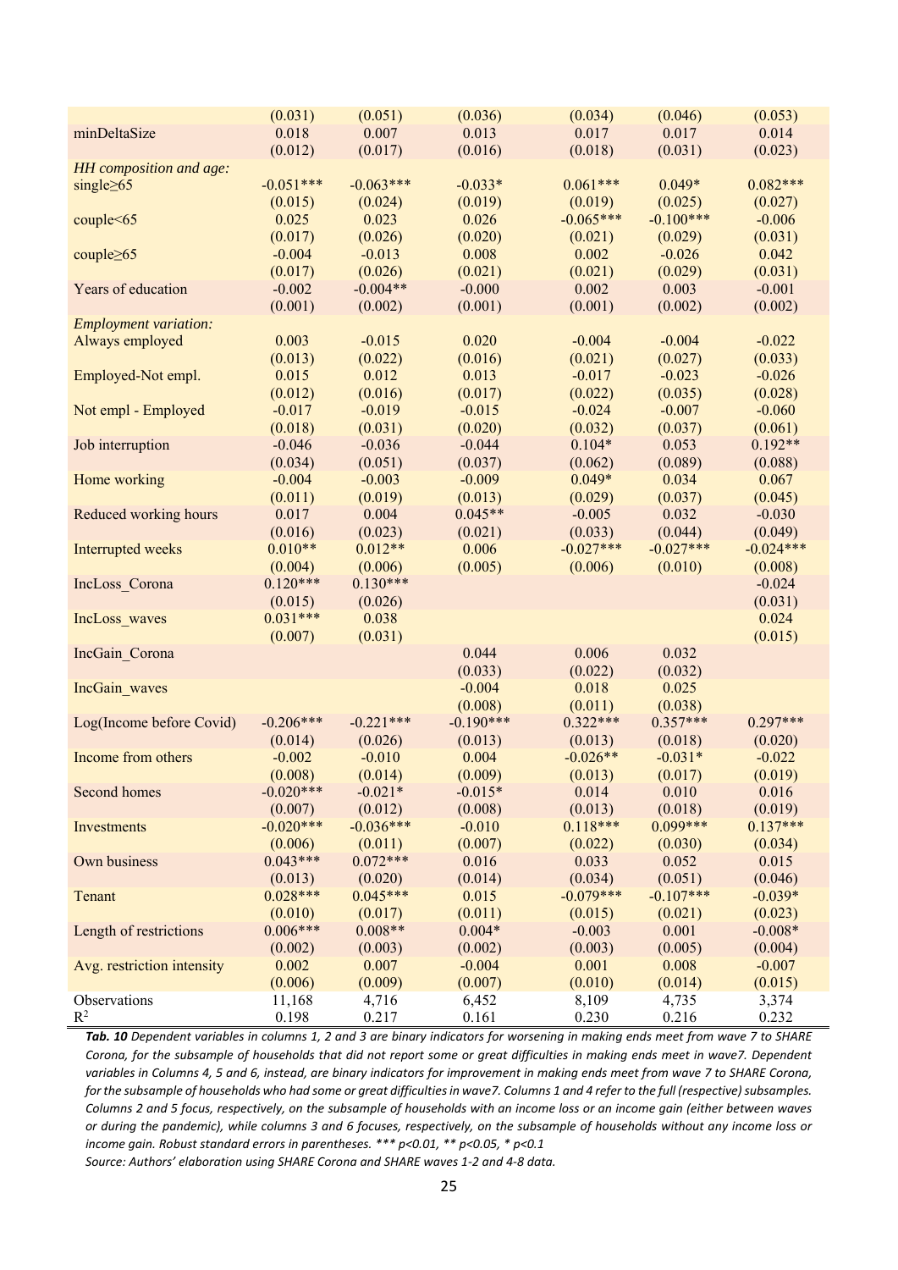|                              | (0.031)               | (0.051)               | (0.036)          | (0.034)             | (0.046)             | (0.053)             |
|------------------------------|-----------------------|-----------------------|------------------|---------------------|---------------------|---------------------|
| minDeltaSize                 | 0.018                 | 0.007                 | 0.013            | 0.017               | 0.017               | 0.014               |
|                              | (0.012)               | (0.017)               | (0.016)          | (0.018)             | (0.031)             | (0.023)             |
| HH composition and age:      |                       |                       |                  |                     |                     |                     |
| single $\geq 65$             | $-0.051***$           | $-0.063***$           | $-0.033*$        | $0.061***$          | $0.049*$            | $0.082***$          |
|                              | (0.015)               | (0.024)               | (0.019)          | (0.019)             | (0.025)             | (0.027)             |
| couple < 65                  | 0.025                 | 0.023                 | 0.026            | $-0.065***$         | $-0.100***$         | $-0.006$            |
|                              | (0.017)               | (0.026)               | (0.020)          | (0.021)             | (0.029)             | (0.031)             |
| couple $\geq 65$             | $-0.004$              | $-0.013$              | 0.008            | 0.002               | $-0.026$            | 0.042               |
|                              | (0.017)               | (0.026)               | (0.021)          | (0.021)             | (0.029)             | (0.031)             |
| Years of education           | $-0.002$              | $-0.004**$            | $-0.000$         | 0.002               | 0.003               | $-0.001$            |
|                              | (0.001)               | (0.002)               | (0.001)          | (0.001)             | (0.002)             | (0.002)             |
| <b>Employment variation:</b> |                       |                       |                  |                     |                     |                     |
| Always employed              | 0.003                 | $-0.015$              | 0.020            | $-0.004$            | $-0.004$            | $-0.022$            |
|                              | (0.013)<br>0.015      | (0.022)<br>0.012      | (0.016)<br>0.013 | (0.021)<br>$-0.017$ | (0.027)<br>$-0.023$ | (0.033)<br>$-0.026$ |
| Employed-Not empl.           | (0.012)               | (0.016)               | (0.017)          | (0.022)             | (0.035)             | (0.028)             |
| Not empl - Employed          | $-0.017$              | $-0.019$              | $-0.015$         | $-0.024$            | $-0.007$            | $-0.060$            |
|                              | (0.018)               | (0.031)               | (0.020)          | (0.032)             | (0.037)             | (0.061)             |
| Job interruption             | $-0.046$              | $-0.036$              | $-0.044$         | $0.104*$            | 0.053               | $0.192**$           |
|                              | (0.034)               | (0.051)               | (0.037)          | (0.062)             | (0.089)             | (0.088)             |
| Home working                 | $-0.004$              | $-0.003$              | $-0.009$         | $0.049*$            | 0.034               | 0.067               |
|                              | (0.011)               | (0.019)               | (0.013)          | (0.029)             | (0.037)             | (0.045)             |
| Reduced working hours        | 0.017                 | 0.004                 | $0.045**$        | $-0.005$            | 0.032               | $-0.030$            |
|                              | (0.016)               | (0.023)               | (0.021)          | (0.033)             | (0.044)             | (0.049)             |
| Interrupted weeks            | $0.010**$             | $0.012**$             | 0.006            | $-0.027***$         | $-0.027***$         | $-0.024***$         |
|                              | (0.004)               | (0.006)               | (0.005)          | (0.006)             | (0.010)             | (0.008)             |
| IncLoss Corona               | $0.120***$            | $0.130***$            |                  |                     |                     | $-0.024$            |
|                              | (0.015)               | (0.026)               |                  |                     |                     | (0.031)             |
| IncLoss waves                | $0.031***$            | 0.038                 |                  |                     |                     | 0.024               |
|                              | (0.007)               | (0.031)               |                  |                     |                     | (0.015)             |
| IncGain Corona               |                       |                       | 0.044            | 0.006               | 0.032               |                     |
|                              |                       |                       | (0.033)          | (0.022)             | (0.032)             |                     |
| IncGain waves                |                       |                       | $-0.004$         | 0.018               | 0.025               |                     |
|                              |                       |                       | (0.008)          | (0.011)             | (0.038)             |                     |
| Log(Income before Covid)     | $-0.206***$           | $-0.221***$           | $-0.190***$      | $0.322***$          | $0.357***$          | $0.297***$          |
|                              | (0.014)               | (0.026)               | (0.013)          | (0.013)             | (0.018)             | (0.020)             |
| Income from others           | $-0.002$              | $-0.010$              | 0.004            | $-0.026**$          | $-0.031*$           | $-0.022$            |
|                              | (0.008)               | (0.014)               | (0.009)          | (0.013)             | (0.017)             | (0.019)             |
| Second homes                 | $-0.020***$           | $-0.021*$             | $-0.015*$        | 0.014               | 0.010               | 0.016               |
|                              | (0.007)               | (0.012)               | (0.008)          | (0.013)             | (0.018)             | (0.019)             |
| Investments                  | $-0.020***$           | $-0.036***$           | $-0.010$         | $0.118***$          | $0.099***$          | $0.137***$          |
| Own business                 | (0.006)<br>$0.043***$ | (0.011)<br>$0.072***$ | (0.007)<br>0.016 | (0.022)<br>0.033    | (0.030)<br>0.052    | (0.034)<br>0.015    |
|                              | (0.013)               | (0.020)               | (0.014)          | (0.034)             | (0.051)             | (0.046)             |
|                              | $0.028***$            | $0.045***$            | 0.015            | $-0.079***$         | $-0.107***$         | $-0.039*$           |
| Tenant                       | (0.010)               | (0.017)               | (0.011)          | (0.015)             | (0.021)             | (0.023)             |
| Length of restrictions       | $0.006***$            | $0.008**$             | $0.004*$         | $-0.003$            | 0.001               | $-0.008*$           |
|                              | (0.002)               | (0.003)               | (0.002)          | (0.003)             | (0.005)             | (0.004)             |
| Avg. restriction intensity   | 0.002                 | 0.007                 | $-0.004$         | 0.001               | 0.008               | $-0.007$            |
|                              | (0.006)               | (0.009)               | (0.007)          | (0.010)             | (0.014)             | (0.015)             |
| Observations                 | 11,168                | 4,716                 | 6,452            | 8,109               | 4,735               | 3,374               |
| $R^2$                        | 0.198                 | 0.217                 | 0.161            | 0.230               | 0.216               | 0.232               |

*Tab. 10 Dependent variables in columns 1, 2 and 3 are binary indicators for worsening in making ends meet from wave 7 to SHARE Corona, for the subsample of households that did not report some or great difficulties in making ends meet in wave7. Dependent variables in Columns 4, 5 and 6, instead, are binary indicators for improvement in making ends meet from wave 7 to SHARE Corona, for the subsample of households who had some or great difficulties in wave7. Columns 1 and 4 refer to the full (respective) subsamples. Columns 2 and 5 focus, respectively, on the subsample of households with an income loss or an income gain (either between waves or during the pandemic), while columns 3 and 6 focuses, respectively, on the subsample of households without any income loss or income gain. Robust standard errors in parentheses. \*\*\* p<0.01, \*\* p<0.05, \* p<0.1 Source: Authors' elaboration using SHARE Corona and SHARE waves 1‐2 and 4‐8 data.*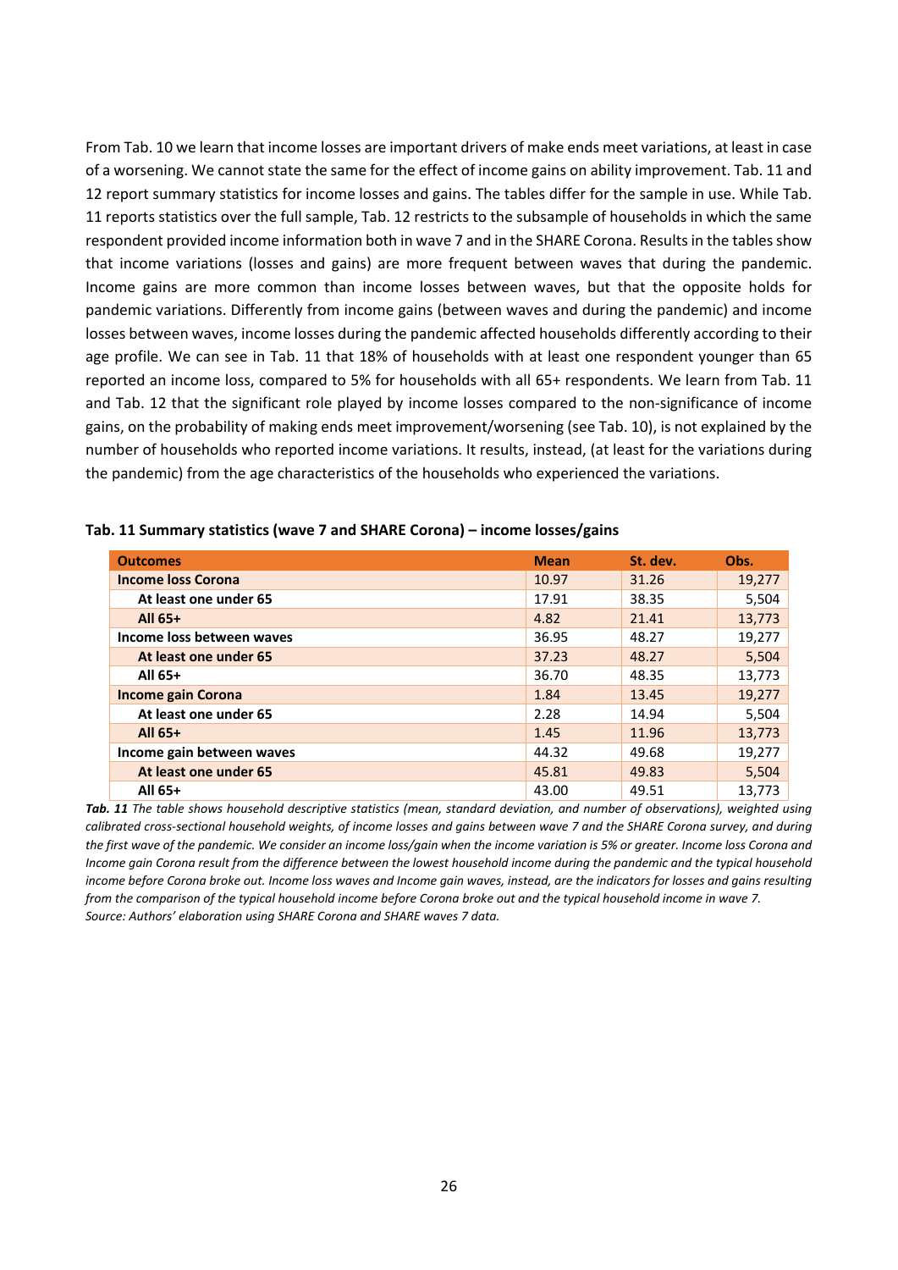From Tab. 10 we learn that income losses are important drivers of make ends meet variations, at least in case of a worsening. We cannot state the same for the effect of income gains on ability improvement. Tab. 11 and 12 report summary statistics for income losses and gains. The tables differ for the sample in use. While Tab. 11 reports statistics over the full sample, Tab. 12 restricts to the subsample of households in which the same respondent provided income information both in wave 7 and in the SHARE Corona. Results in the tables show that income variations (losses and gains) are more frequent between waves that during the pandemic. Income gains are more common than income losses between waves, but that the opposite holds for pandemic variations. Differently from income gains (between waves and during the pandemic) and income losses between waves, income losses during the pandemic affected households differently according to their age profile. We can see in Tab. 11 that 18% of households with at least one respondent younger than 65 reported an income loss, compared to 5% for households with all 65+ respondents. We learn from Tab. 11 and Tab. 12 that the significant role played by income losses compared to the non-significance of income gains, on the probability of making ends meet improvement/worsening (see Tab. 10), is not explained by the number of households who reported income variations. It results, instead, (at least for the variations during the pandemic) from the age characteristics of the households who experienced the variations.

| <b>Outcomes</b>           | <b>Mean</b> | St. dev. | Obs.   |
|---------------------------|-------------|----------|--------|
| <b>Income loss Corona</b> | 10.97       | 31.26    | 19,277 |
| At least one under 65     | 17.91       | 38.35    | 5,504  |
| All $65+$                 | 4.82        | 21.41    | 13,773 |
| Income loss between waves | 36.95       | 48.27    | 19,277 |
| At least one under 65     | 37.23       | 48.27    | 5,504  |
| All 65+                   | 36.70       | 48.35    | 13,773 |
| <b>Income gain Corona</b> | 1.84        | 13.45    | 19,277 |
| At least one under 65     | 2.28        | 14.94    | 5,504  |
| All 65+                   | 1.45        | 11.96    | 13,773 |
| Income gain between waves | 44.32       | 49.68    | 19,277 |
| At least one under 65     | 45.81       | 49.83    | 5,504  |
| All 65+                   | 43.00       | 49.51    | 13,773 |

**Tab. 11 Summary statistics (wave 7 and SHARE Corona) – income losses/gains**

*Tab. 11 The table shows household descriptive statistics (mean, standard deviation, and number of observations), weighted using calibrated cross‐sectional household weights, of income losses and gains between wave 7 and the SHARE Corona survey, and during the first wave of the pandemic. We consider an income loss/gain when the income variation is 5% or greater. Income loss Corona and Income gain Corona result from the difference between the lowest household income during the pandemic and the typical household income before Corona broke out. Income loss waves and Income gain waves, instead, are the indicators for losses and gains resulting from the comparison of the typical household income before Corona broke out and the typical household income in wave 7. Source: Authors' elaboration using SHARE Corona and SHARE waves 7 data.*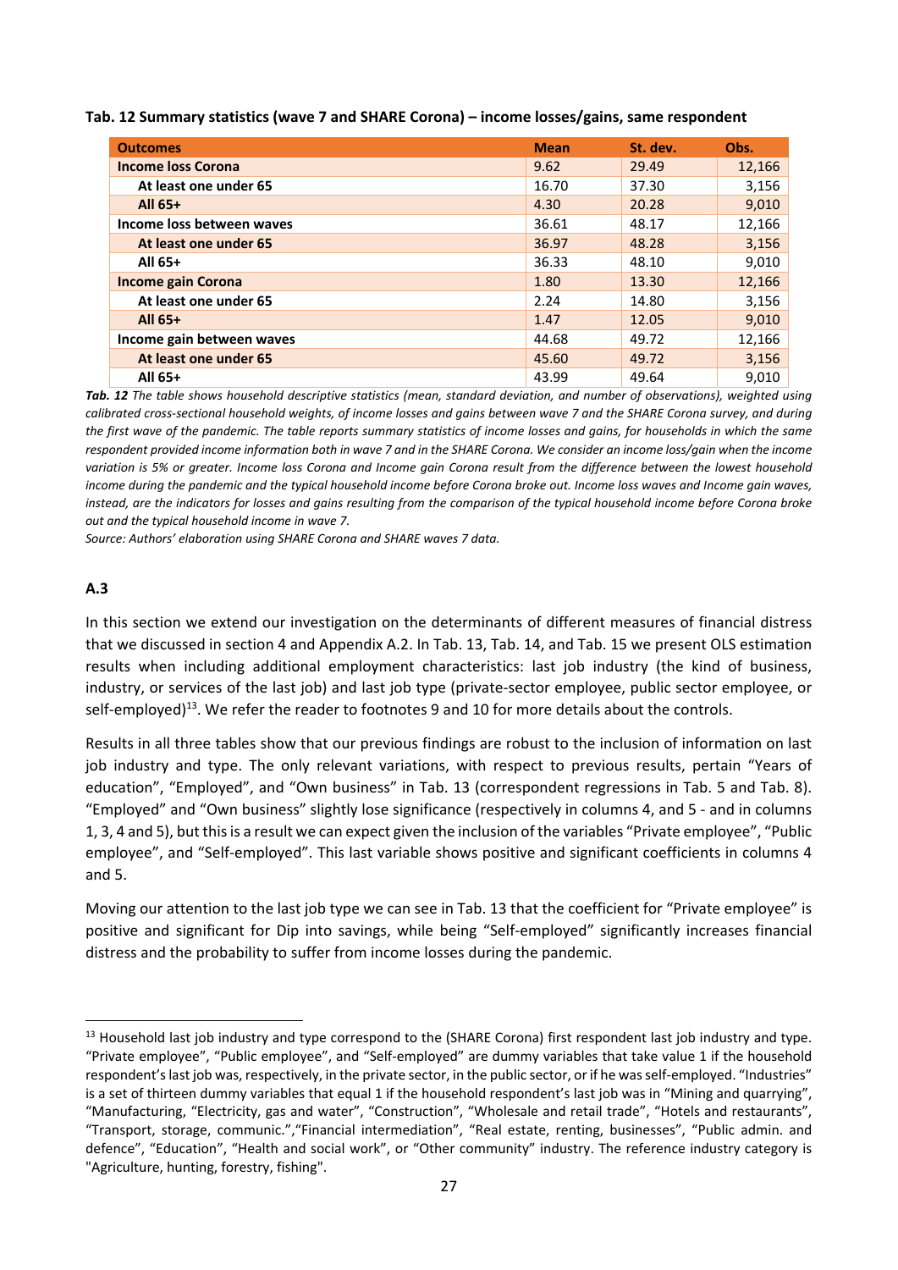| <b>Outcomes</b>           | <b>Mean</b> | St. dev. | Obs.   |
|---------------------------|-------------|----------|--------|
| <b>Income loss Corona</b> | 9.62        | 29.49    | 12,166 |
| At least one under 65     | 16.70       | 37.30    | 3,156  |
| All 65+                   | 4.30        | 20.28    | 9,010  |
| Income loss between waves | 36.61       | 48.17    | 12,166 |
| At least one under 65     | 36.97       | 48.28    | 3,156  |
| All 65+                   | 36.33       | 48.10    | 9,010  |
| <b>Income gain Corona</b> | 1.80        | 13.30    | 12,166 |
| At least one under 65     | 2.24        | 14.80    | 3,156  |
| All 65+                   | 1.47        | 12.05    | 9,010  |
| Income gain between waves | 44.68       | 49.72    | 12,166 |
| At least one under 65     | 45.60       | 49.72    | 3,156  |
| All 65+                   | 43.99       | 49.64    | 9.010  |

*Tab. 12 The table shows household descriptive statistics (mean, standard deviation, and number of observations), weighted using calibrated cross‐sectional household weights, of income losses and gains between wave 7 and the SHARE Corona survey, and during the first wave of the pandemic. The table reports summary statistics of income losses and gains, for households in which the same respondent provided income information both in wave 7 and in the SHARE Corona. We consider an income loss/gain when the income variation is 5% or greater. Income loss Corona and Income gain Corona result from the difference between the lowest household income during the pandemic and the typical household income before Corona broke out. Income loss waves and Income gain waves, instead, are the indicators for losses and gains resulting from the comparison of the typical household income before Corona broke out and the typical household income in wave 7.* 

*Source: Authors' elaboration using SHARE Corona and SHARE waves 7 data.* 

### **A.3**

In this section we extend our investigation on the determinants of different measures of financial distress that we discussed in section 4 and Appendix A.2. In Tab. 13, Tab. 14, and Tab. 15 we present OLS estimation results when including additional employment characteristics: last job industry (the kind of business, industry, or services of the last job) and last job type (private‐sector employee, public sector employee, or self-employed)<sup>13</sup>. We refer the reader to footnotes 9 and 10 for more details about the controls.

Results in all three tables show that our previous findings are robust to the inclusion of information on last job industry and type. The only relevant variations, with respect to previous results, pertain "Years of education", "Employed", and "Own business" in Tab. 13 (correspondent regressions in Tab. 5 and Tab. 8). "Employed" and "Own business" slightly lose significance (respectively in columns 4, and 5 ‐ and in columns 1, 3, 4 and 5), but this is a result we can expect given the inclusion of the variables "Private employee", "Public employee", and "Self-employed". This last variable shows positive and significant coefficients in columns 4 and 5.

Moving our attention to the last job type we can see in Tab. 13 that the coefficient for "Private employee" is positive and significant for Dip into savings, while being "Self-employed" significantly increases financial distress and the probability to suffer from income losses during the pandemic.

 $13$  Household last job industry and type correspond to the (SHARE Corona) first respondent last job industry and type. "Private employee", "Public employee", and "Self‐employed" are dummy variables that take value 1 if the household respondent's last job was, respectively, in the private sector, in the public sector, or if he was self‐employed. "Industries" is a set of thirteen dummy variables that equal 1 if the household respondent's last job was in "Mining and quarrying", "Manufacturing, "Electricity, gas and water", "Construction", "Wholesale and retail trade", "Hotels and restaurants", "Transport, storage, communic.","Financial intermediation", "Real estate, renting, businesses", "Public admin. and defence", "Education", "Health and social work", or "Other community" industry. The reference industry category is "Agriculture, hunting, forestry, fishing".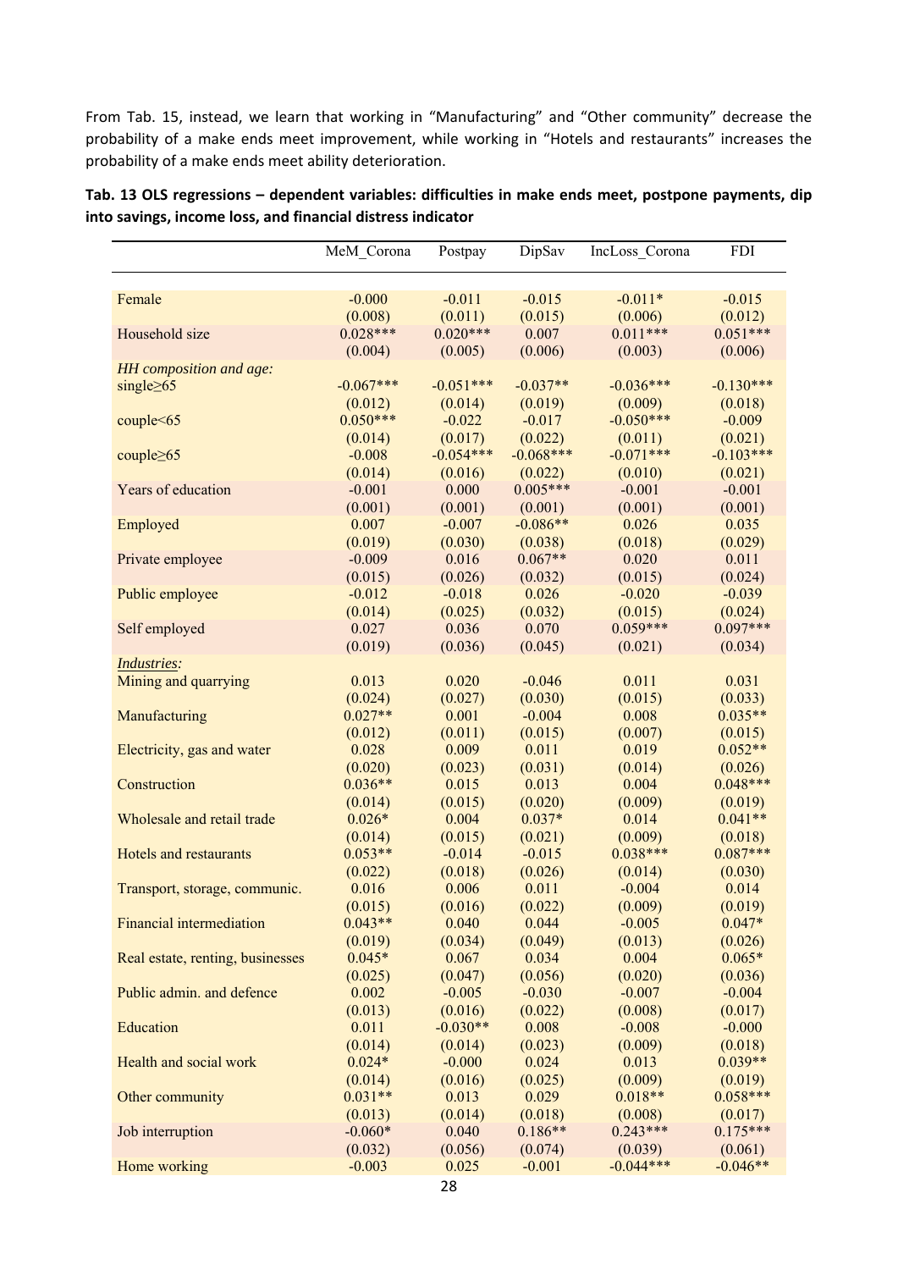From Tab. 15, instead, we learn that working in "Manufacturing" and "Other community" decrease the probability of a make ends meet improvement, while working in "Hotels and restaurants" increases the probability of a make ends meet ability deterioration.

| Tab. 13 OLS regressions – dependent variables: difficulties in make ends meet, postpone payments, dip |  |  |  |  |  |
|-------------------------------------------------------------------------------------------------------|--|--|--|--|--|
| into savings, income loss, and financial distress indicator                                           |  |  |  |  |  |

|                                  | MeM Corona           | Postpay             | DipSav              | IncLoss Corona   | FDI                   |
|----------------------------------|----------------------|---------------------|---------------------|------------------|-----------------------|
|                                  |                      |                     |                     |                  |                       |
| Female                           | $-0.000$             | $-0.011$            | $-0.015$            | $-0.011*$        | $-0.015$              |
|                                  | (0.008)              | (0.011)             | (0.015)             | (0.006)          | (0.012)               |
| Household size                   | $0.028***$           | $0.020***$          | 0.007               | $0.011***$       | $0.051***$            |
|                                  | (0.004)              | (0.005)             | (0.006)             | (0.003)          | (0.006)               |
| HH composition and age:          |                      |                     |                     |                  |                       |
| single $\geq 65$                 | $-0.067***$          | $-0.051***$         | $-0.037**$          | $-0.036***$      | $-0.130***$           |
|                                  | (0.012)              | (0.014)             | (0.019)             | (0.009)          | (0.018)               |
| couple<65                        | $0.050***$           | $-0.022$            | $-0.017$            | $-0.050***$      | $-0.009$              |
|                                  | (0.014)              | (0.017)             | (0.022)             | (0.011)          | (0.021)               |
| couple $\geq 65$                 | $-0.008$             | $-0.054***$         | $-0.068***$         | $-0.071***$      | $-0.103***$           |
|                                  | (0.014)              | (0.016)             | (0.022)             | (0.010)          | (0.021)               |
| Years of education               | $-0.001$             | 0.000               | $0.005***$          | $-0.001$         | $-0.001$              |
|                                  | (0.001)              | (0.001)             | (0.001)             | (0.001)          | (0.001)               |
| Employed                         | 0.007                | $-0.007$            | $-0.086**$          | 0.026            | 0.035                 |
|                                  | (0.019)              | (0.030)             | (0.038)             | (0.018)          | (0.029)               |
| Private employee                 | $-0.009$             | 0.016               | $0.067**$           | 0.020            | 0.011                 |
|                                  | (0.015)              | (0.026)             | (0.032)             | (0.015)          | (0.024)               |
| Public employee                  | $-0.012$             | $-0.018$            | 0.026               | $-0.020$         | $-0.039$              |
|                                  | (0.014)              | (0.025)             | (0.032)             | (0.015)          | (0.024)               |
| Self employed                    | 0.027                | 0.036               | 0.070               | $0.059***$       | $0.097***$            |
|                                  | (0.019)              | (0.036)             | (0.045)             | (0.021)          | (0.034)               |
| Industries:                      |                      |                     |                     |                  |                       |
| Mining and quarrying             | 0.013                | 0.020               | $-0.046$            | 0.011            | 0.031                 |
|                                  | (0.024)              | (0.027)             | (0.030)             | (0.015)          | (0.033)               |
| Manufacturing                    | $0.027**$            | 0.001               | $-0.004$            | 0.008            | $0.035**$             |
|                                  | (0.012)              | (0.011)             | (0.015)             | (0.007)          | (0.015)               |
| Electricity, gas and water       | 0.028                | 0.009               | 0.011               | 0.019            | $0.052**$             |
|                                  | (0.020)<br>$0.036**$ | (0.023)             | (0.031)             | (0.014)          | (0.026)<br>$0.048***$ |
| Construction                     |                      | 0.015               | 0.013               | 0.004            |                       |
| Wholesale and retail trade       | (0.014)<br>$0.026*$  | (0.015)<br>0.004    | (0.020)<br>$0.037*$ | (0.009)<br>0.014 | (0.019)<br>$0.041**$  |
|                                  |                      |                     |                     | (0.009)          |                       |
| Hotels and restaurants           | (0.014)<br>$0.053**$ | (0.015)<br>$-0.014$ | (0.021)<br>$-0.015$ | $0.038***$       | (0.018)<br>$0.087***$ |
|                                  | (0.022)              | (0.018)             | (0.026)             | (0.014)          | (0.030)               |
| Transport, storage, communic.    | 0.016                | 0.006               | 0.011               | $-0.004$         | 0.014                 |
|                                  | (0.015)              | (0.016)             | (0.022)             | (0.009)          | (0.019)               |
| Financial intermediation         | $0.043**$            | 0.040               | 0.044               | $-0.005$         | $0.047*$              |
|                                  | (0.019)              | (0.034)             | (0.049)             | (0.013)          | (0.026)               |
| Real estate, renting, businesses | $0.045*$             | 0.067               | 0.034               | 0.004            | $0.065*$              |
|                                  | (0.025)              | (0.047)             | (0.056)             | (0.020)          | (0.036)               |
| Public admin. and defence        | 0.002                | $-0.005$            | $-0.030$            | $-0.007$         | $-0.004$              |
|                                  | (0.013)              | (0.016)             | (0.022)             | (0.008)          | (0.017)               |
| Education                        | 0.011                | $-0.030**$          | 0.008               | $-0.008$         | $-0.000$              |
|                                  | (0.014)              | (0.014)             | (0.023)             | (0.009)          | (0.018)               |
| Health and social work           | $0.024*$             | $-0.000$            | 0.024               | 0.013            | $0.039**$             |
|                                  | (0.014)              | (0.016)             | (0.025)             | (0.009)          | (0.019)               |
| Other community                  | $0.031**$            | 0.013               | 0.029               | $0.018**$        | $0.058***$            |
|                                  | (0.013)              | (0.014)             | (0.018)             | (0.008)          | (0.017)               |
| Job interruption                 | $-0.060*$            | 0.040               | $0.186**$           | $0.243***$       | $0.175***$            |
|                                  | (0.032)              | (0.056)             | (0.074)             | (0.039)          | (0.061)               |
| Home working                     | $-0.003$             | 0.025               | $-0.001$            | $-0.044***$      | $-0.046**$            |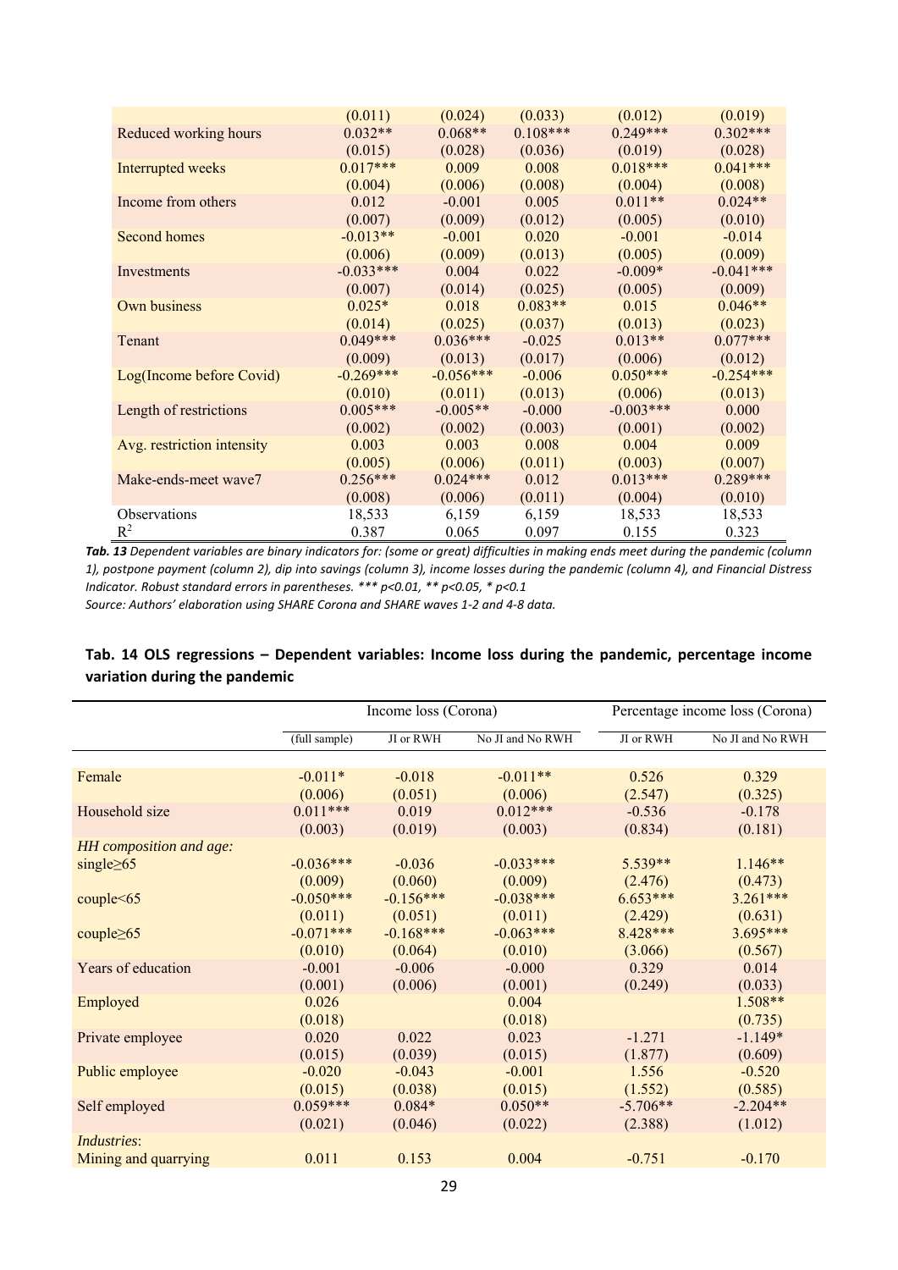|                            | (0.011)     | (0.024)     | (0.033)    | (0.012)     | (0.019)     |
|----------------------------|-------------|-------------|------------|-------------|-------------|
| Reduced working hours      | $0.032**$   | $0.068**$   | $0.108***$ | $0.249***$  | $0.302***$  |
|                            | (0.015)     | (0.028)     | (0.036)    | (0.019)     | (0.028)     |
| Interrupted weeks          | $0.017***$  | 0.009       | 0.008      | $0.018***$  | $0.041***$  |
|                            | (0.004)     | (0.006)     | (0.008)    | (0.004)     | (0.008)     |
| Income from others         | 0.012       | $-0.001$    | 0.005      | $0.011**$   | $0.024**$   |
|                            | (0.007)     | (0.009)     | (0.012)    | (0.005)     | (0.010)     |
| Second homes               | $-0.013**$  | $-0.001$    | 0.020      | $-0.001$    | $-0.014$    |
|                            | (0.006)     | (0.009)     | (0.013)    | (0.005)     | (0.009)     |
| Investments                | $-0.033***$ | 0.004       | 0.022      | $-0.009*$   | $-0.041***$ |
|                            | (0.007)     | (0.014)     | (0.025)    | (0.005)     | (0.009)     |
| Own business               | $0.025*$    | 0.018       | $0.083**$  | 0.015       | $0.046**$   |
|                            | (0.014)     | (0.025)     | (0.037)    | (0.013)     | (0.023)     |
| Tenant                     | $0.049***$  | $0.036***$  | $-0.025$   | $0.013**$   | $0.077***$  |
|                            | (0.009)     | (0.013)     | (0.017)    | (0.006)     | (0.012)     |
| Log(Income before Covid)   | $-0.269***$ | $-0.056***$ | $-0.006$   | $0.050***$  | $-0.254***$ |
|                            | (0.010)     | (0.011)     | (0.013)    | (0.006)     | (0.013)     |
| Length of restrictions     | $0.005***$  | $-0.005**$  | $-0.000$   | $-0.003***$ | 0.000       |
|                            | (0.002)     | (0.002)     | (0.003)    | (0.001)     | (0.002)     |
| Avg. restriction intensity | 0.003       | 0.003       | 0.008      | 0.004       | 0.009       |
|                            | (0.005)     | (0.006)     | (0.011)    | (0.003)     | (0.007)     |
| Make-ends-meet wave7       | $0.256***$  | $0.024***$  | 0.012      | $0.013***$  | $0.289***$  |
|                            | (0.008)     | (0.006)     | (0.011)    | (0.004)     | (0.010)     |
| <b>Observations</b>        | 18,533      | 6,159       | 6,159      | 18,533      | 18,533      |
| $R^2$                      | 0.387       | 0.065       | 0.097      | 0.155       | 0.323       |

*Tab. 13 Dependent variables are binary indicators for: (some or great) difficulties in making ends meet during the pandemic (column 1), postpone payment (column 2), dip into savings (column 3), income losses during the pandemic (column 4), and Financial Distress Indicator. Robust standard errors in parentheses. \*\*\* p<0.01, \*\* p<0.05, \* p<0.1* 

*Source: Authors' elaboration using SHARE Corona and SHARE waves 1‐2 and 4‐8 data.* 

|                         |               | Income loss (Corona) | Percentage income loss (Corona) |            |                  |
|-------------------------|---------------|----------------------|---------------------------------|------------|------------------|
|                         | (full sample) | JI or RWH            | No JI and No RWH                | JI or RWH  | No JI and No RWH |
|                         |               |                      |                                 |            |                  |
| Female                  | $-0.011*$     | $-0.018$             | $-0.011**$                      | 0.526      | 0.329            |
|                         | (0.006)       | (0.051)              | (0.006)                         | (2.547)    | (0.325)          |
| Household size          | $0.011***$    | 0.019                | $0.012***$                      | $-0.536$   | $-0.178$         |
|                         | (0.003)       | (0.019)              | (0.003)                         | (0.834)    | (0.181)          |
| HH composition and age: |               |                      |                                 |            |                  |
| single $\geq 65$        | $-0.036***$   | $-0.036$             | $-0.033***$                     | $5.539**$  | $1.146**$        |
|                         | (0.009)       | (0.060)              | (0.009)                         | (2.476)    | (0.473)          |
| couple < 65             | $-0.050***$   | $-0.156***$          | $-0.038***$                     | $6.653***$ | $3.261***$       |
|                         | (0.011)       | (0.051)              | (0.011)                         | (2.429)    | (0.631)          |
| couple $\geq 65$        | $-0.071***$   | $-0.168***$          | $-0.063***$                     | 8.428***   | $3.695***$       |
|                         | (0.010)       | (0.064)              | (0.010)                         | (3.066)    | (0.567)          |
| Years of education      | $-0.001$      | $-0.006$             | $-0.000$                        | 0.329      | 0.014            |
|                         | (0.001)       | (0.006)              | (0.001)                         | (0.249)    | (0.033)          |
| Employed                | 0.026         |                      | 0.004                           |            | $1.508**$        |
|                         | (0.018)       |                      | (0.018)                         |            | (0.735)          |
| Private employee        | 0.020         | 0.022                | 0.023                           | $-1.271$   | $-1.149*$        |
|                         | (0.015)       | (0.039)              | (0.015)                         | (1.877)    | (0.609)          |
| Public employee         | $-0.020$      | $-0.043$             | $-0.001$                        | 1.556      | $-0.520$         |
|                         | (0.015)       | (0.038)              | (0.015)                         | (1.552)    | (0.585)          |
| Self employed           | $0.059***$    | $0.084*$             | $0.050**$                       | $-5.706**$ | $-2.204**$       |
|                         | (0.021)       | (0.046)              | (0.022)                         | (2.388)    | (1.012)          |
| <i>Industries:</i>      |               |                      |                                 |            |                  |
| Mining and quarrying    | 0.011         | 0.153                | 0.004                           | $-0.751$   | $-0.170$         |

## **Tab. 14 OLS regressions – Dependent variables: Income loss during the pandemic, percentage income variation during the pandemic**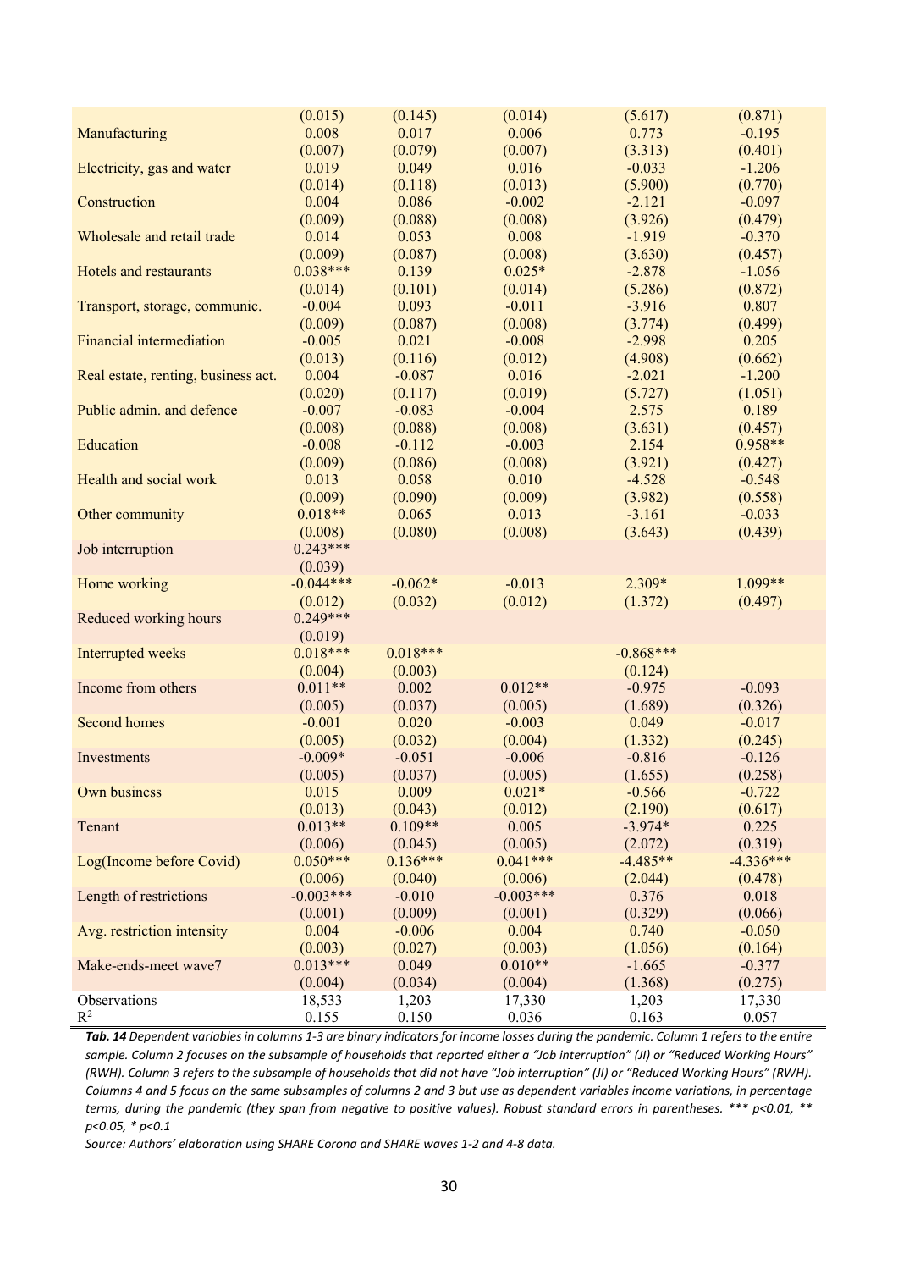|                                     | (0.015)     | (0.145)    | (0.014)     | (5.617)     | (0.871)     |
|-------------------------------------|-------------|------------|-------------|-------------|-------------|
| Manufacturing                       | 0.008       | 0.017      | 0.006       | 0.773       | $-0.195$    |
|                                     | (0.007)     | (0.079)    | (0.007)     | (3.313)     | (0.401)     |
| Electricity, gas and water          | 0.019       | 0.049      | 0.016       | $-0.033$    | $-1.206$    |
|                                     | (0.014)     | (0.118)    | (0.013)     | (5.900)     | (0.770)     |
| Construction                        | 0.004       | 0.086      | $-0.002$    | $-2.121$    | $-0.097$    |
|                                     | (0.009)     | (0.088)    | (0.008)     | (3.926)     | (0.479)     |
| Wholesale and retail trade          | 0.014       | 0.053      | 0.008       | $-1.919$    | $-0.370$    |
|                                     | (0.009)     | (0.087)    | (0.008)     | (3.630)     | (0.457)     |
| Hotels and restaurants              | $0.038***$  | 0.139      | $0.025*$    | $-2.878$    | $-1.056$    |
|                                     | (0.014)     | (0.101)    | (0.014)     | (5.286)     | (0.872)     |
| Transport, storage, communic.       | $-0.004$    | 0.093      | $-0.011$    | $-3.916$    | 0.807       |
|                                     | (0.009)     | (0.087)    | (0.008)     | (3.774)     | (0.499)     |
| <b>Financial intermediation</b>     | $-0.005$    | 0.021      | $-0.008$    | $-2.998$    | 0.205       |
|                                     | (0.013)     | (0.116)    | (0.012)     | (4.908)     | (0.662)     |
| Real estate, renting, business act. | 0.004       | $-0.087$   | 0.016       | $-2.021$    | $-1.200$    |
|                                     | (0.020)     | (0.117)    | (0.019)     | (5.727)     | (1.051)     |
| Public admin. and defence           | $-0.007$    | $-0.083$   | $-0.004$    | 2.575       | 0.189       |
|                                     | (0.008)     | (0.088)    | (0.008)     | (3.631)     | (0.457)     |
| Education                           | $-0.008$    | $-0.112$   | $-0.003$    | 2.154       | $0.958**$   |
|                                     | (0.009)     | (0.086)    | (0.008)     | (3.921)     | (0.427)     |
| Health and social work              | 0.013       | 0.058      | 0.010       | $-4.528$    | $-0.548$    |
|                                     | (0.009)     | (0.090)    | (0.009)     | (3.982)     | (0.558)     |
| Other community                     | $0.018**$   | 0.065      | 0.013       | $-3.161$    | $-0.033$    |
|                                     | (0.008)     | (0.080)    | (0.008)     | (3.643)     | (0.439)     |
| Job interruption                    | $0.243***$  |            |             |             |             |
|                                     | (0.039)     |            |             |             |             |
| Home working                        | $-0.044***$ | $-0.062*$  | $-0.013$    | $2.309*$    | $1.099**$   |
|                                     | (0.012)     | (0.032)    | (0.012)     | (1.372)     | (0.497)     |
| Reduced working hours               | $0.249***$  |            |             |             |             |
|                                     | (0.019)     |            |             |             |             |
| <b>Interrupted</b> weeks            | $0.018***$  | $0.018***$ |             | $-0.868***$ |             |
|                                     | (0.004)     | (0.003)    |             | (0.124)     |             |
| Income from others                  | $0.011**$   | 0.002      | $0.012**$   | $-0.975$    | $-0.093$    |
|                                     | (0.005)     | (0.037)    | (0.005)     | (1.689)     | (0.326)     |
| <b>Second homes</b>                 | $-0.001$    | 0.020      | $-0.003$    | 0.049       | $-0.017$    |
|                                     | (0.005)     | (0.032)    | (0.004)     | (1.332)     | (0.245)     |
| Investments                         | $-0.009*$   | $-0.051$   | $-0.006$    | $-0.816$    | $-0.126$    |
|                                     | (0.005)     | (0.037)    | (0.005)     | (1.655)     | (0.258)     |
| Own business                        | 0.015       | 0.009      | $0.021*$    | $-0.566$    | $-0.722$    |
|                                     | (0.013)     | (0.043)    | (0.012)     | (2.190)     | (0.617)     |
| Tenant                              | $0.013**$   | $0.109**$  | 0.005       | $-3.974*$   | 0.225       |
|                                     | (0.006)     | (0.045)    | (0.005)     | (2.072)     | (0.319)     |
| Log(Income before Covid)            | $0.050***$  | $0.136***$ | $0.041***$  | $-4.485**$  | $-4.336***$ |
|                                     | (0.006)     | (0.040)    | (0.006)     | (2.044)     | (0.478)     |
| Length of restrictions              | $-0.003***$ | $-0.010$   | $-0.003***$ | 0.376       | 0.018       |
|                                     | (0.001)     | (0.009)    | (0.001)     | (0.329)     | (0.066)     |
| Avg. restriction intensity          | 0.004       | $-0.006$   | 0.004       | 0.740       | $-0.050$    |
|                                     | (0.003)     | (0.027)    | (0.003)     | (1.056)     | (0.164)     |
| Make-ends-meet wave7                | $0.013***$  | 0.049      | $0.010**$   | $-1.665$    | $-0.377$    |
|                                     | (0.004)     | (0.034)    | (0.004)     | (1.368)     | (0.275)     |
| Observations                        | 18,533      | 1,203      | 17,330      | 1,203       | 17,330      |
| $R^2$                               | 0.155       | 0.150      | 0.036       | 0.163       | 0.057       |
|                                     |             |            |             |             |             |

*Tab. 14 Dependent variables in columns 1‐3 are binary indicators for income losses during the pandemic. Column 1 refers to the entire sample. Column 2 focuses on the subsample of households that reported either a "Job interruption" (JI) or "Reduced Working Hours" (RWH). Column 3 refers to the subsample of households that did not have "Job interruption" (JI) or "Reduced Working Hours" (RWH). Columns 4 and 5 focus on the same subsamples of columns 2 and 3 but use as dependent variables income variations, in percentage terms, during the pandemic (they span from negative to positive values). Robust standard errors in parentheses. \*\*\* p<0.01, \*\* p<0.05, \* p<0.1* 

*Source: Authors' elaboration using SHARE Corona and SHARE waves 1‐2 and 4‐8 data.*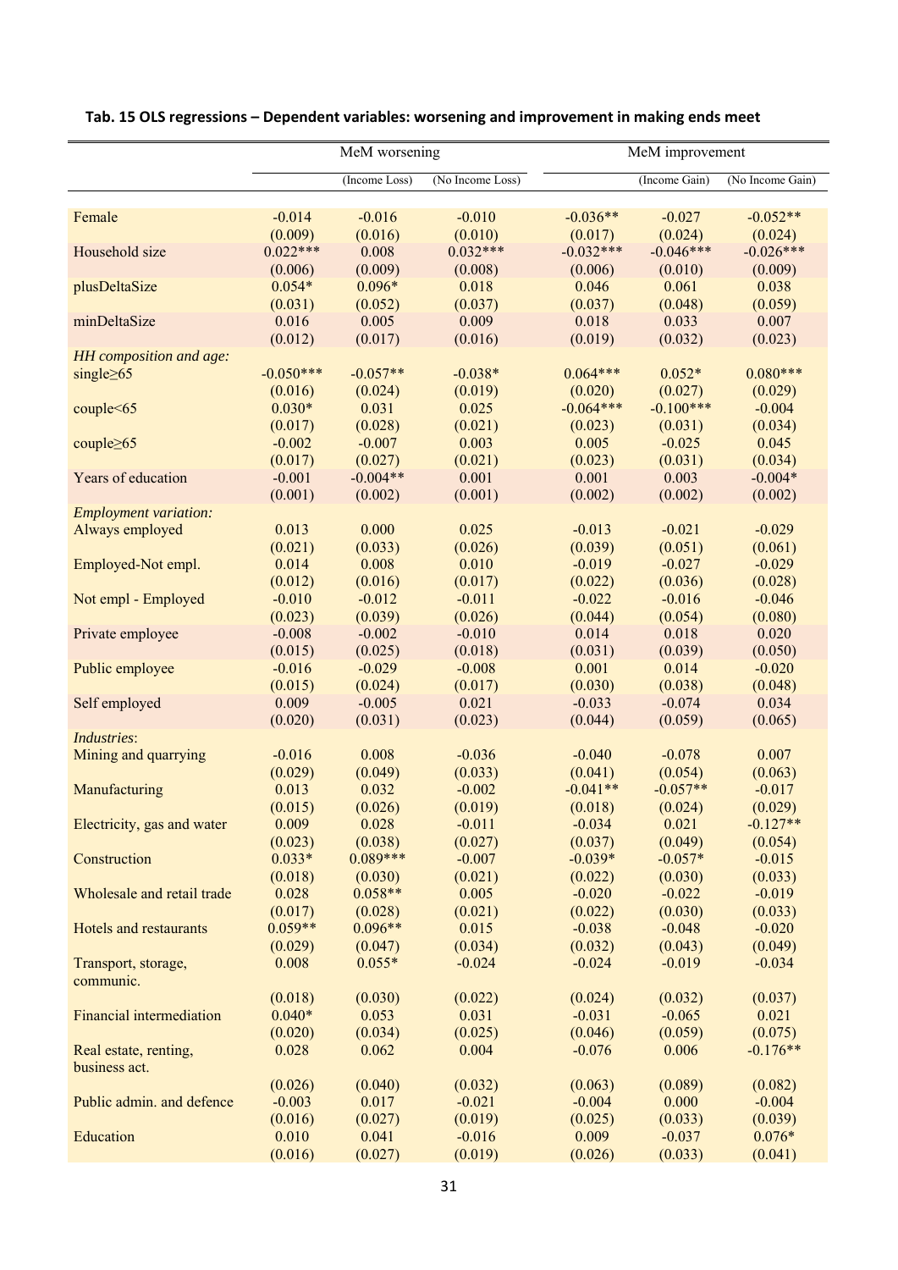|                              | MeM worsening |               |                  | MeM improvement        |                        |                  |  |
|------------------------------|---------------|---------------|------------------|------------------------|------------------------|------------------|--|
|                              |               | (Income Loss) | (No Income Loss) |                        | (Income Gain)          | (No Income Gain) |  |
|                              | $-0.014$      | $-0.016$      | $-0.010$         | $-0.036**$             | $-0.027$               | $-0.052**$       |  |
| Female                       | (0.009)       | (0.016)       | (0.010)          | (0.017)                | (0.024)                | (0.024)          |  |
| Household size               | $0.022***$    | 0.008         | $0.032***$       | $-0.032***$            | $-0.046***$            | $-0.026***$      |  |
|                              | (0.006)       | (0.009)       | (0.008)          | (0.006)                | (0.010)                | (0.009)          |  |
| plusDeltaSize                | $0.054*$      | $0.096*$      | 0.018            | 0.046                  | 0.061                  | 0.038            |  |
|                              | (0.031)       | (0.052)       | (0.037)          | (0.037)                | (0.048)                | (0.059)          |  |
| minDeltaSize                 | 0.016         | 0.005         | 0.009            | 0.018                  | 0.033                  | 0.007            |  |
|                              | (0.012)       | (0.017)       | (0.016)          |                        | (0.032)                | (0.023)          |  |
|                              |               |               |                  | (0.019)                |                        |                  |  |
| HH composition and age:      | $-0.050***$   | $-0.057**$    | $-0.038*$        | $0.064***$             | $0.052*$               | $0.080***$       |  |
| single $\geq 65$             |               |               |                  |                        |                        |                  |  |
|                              | (0.016)       | (0.024)       | (0.019)          | (0.020)<br>$-0.064***$ | (0.027)<br>$-0.100***$ | (0.029)          |  |
| couple<65                    | $0.030*$      | 0.031         | 0.025            |                        |                        | $-0.004$         |  |
|                              | (0.017)       | (0.028)       | (0.021)          | (0.023)                | (0.031)                | (0.034)          |  |
| couple $\geq 65$             | $-0.002$      | $-0.007$      | 0.003            | 0.005                  | $-0.025$               | 0.045            |  |
|                              | (0.017)       | (0.027)       | (0.021)          | (0.023)                | (0.031)                | (0.034)          |  |
| Years of education           | $-0.001$      | $-0.004**$    | 0.001            | 0.001                  | 0.003                  | $-0.004*$        |  |
|                              | (0.001)       | (0.002)       | (0.001)          | (0.002)                | (0.002)                | (0.002)          |  |
| <b>Employment variation:</b> |               |               |                  |                        |                        |                  |  |
| Always employed              | 0.013         | 0.000         | 0.025            | $-0.013$               | $-0.021$               | $-0.029$         |  |
|                              | (0.021)       | (0.033)       | (0.026)          | (0.039)                | (0.051)                | (0.061)          |  |
| Employed-Not empl.           | 0.014         | 0.008         | 0.010            | $-0.019$               | $-0.027$               | $-0.029$         |  |
|                              | (0.012)       | (0.016)       | (0.017)          | (0.022)                | (0.036)                | (0.028)          |  |
| Not empl - Employed          | $-0.010$      | $-0.012$      | $-0.011$         | $-0.022$               | $-0.016$               | $-0.046$         |  |
|                              | (0.023)       | (0.039)       | (0.026)          | (0.044)                | (0.054)                | (0.080)          |  |
| Private employee             | $-0.008$      | $-0.002$      | $-0.010$         | 0.014                  | 0.018                  | 0.020            |  |
|                              | (0.015)       | (0.025)       | (0.018)          | (0.031)                | (0.039)                | (0.050)          |  |
| Public employee              | $-0.016$      | $-0.029$      | $-0.008$         | 0.001                  | 0.014                  | $-0.020$         |  |
|                              | (0.015)       | (0.024)       | (0.017)          | (0.030)                | (0.038)                | (0.048)          |  |
| Self employed                | 0.009         | $-0.005$      | 0.021            | $-0.033$               | $-0.074$               | 0.034            |  |
|                              | (0.020)       | (0.031)       | (0.023)          | (0.044)                | (0.059)                | (0.065)          |  |
| Industries:                  |               |               |                  |                        |                        |                  |  |
| Mining and quarrying         | $-0.016$      | 0.008         | $-0.036$         | $-0.040$               | $-0.078$               | 0.007            |  |
|                              | (0.029)       | (0.049)       | (0.033)          | (0.041)                | (0.054)                | (0.063)          |  |
| Manufacturing                | 0.013         | 0.032         | $-0.002$         | $-0.041**$             | $-0.057**$             | $-0.017$         |  |
|                              | (0.015)       | (0.026)       | (0.019)          | (0.018)                | (0.024)                | (0.029)          |  |
| Electricity, gas and water   | 0.009         | 0.028         | $-0.011$         | $-0.034$               | 0.021                  | $-0.127**$       |  |
|                              | (0.023)       | (0.038)       | (0.027)          | (0.037)                | (0.049)                | (0.054)          |  |
| Construction                 | $0.033*$      | $0.089***$    | $-0.007$         | $-0.039*$              | $-0.057*$              | $-0.015$         |  |
|                              | (0.018)       | (0.030)       | (0.021)          | (0.022)                | (0.030)                | (0.033)          |  |
| Wholesale and retail trade   | 0.028         | $0.058**$     | 0.005            | $-0.020$               | $-0.022$               | $-0.019$         |  |
|                              | (0.017)       | (0.028)       | (0.021)          | (0.022)                | (0.030)                | (0.033)          |  |
| Hotels and restaurants       | $0.059**$     | $0.096**$     | 0.015            | $-0.038$               | $-0.048$               | $-0.020$         |  |
|                              | (0.029)       | (0.047)       | (0.034)          | (0.032)                | (0.043)                | (0.049)          |  |
| Transport, storage,          | 0.008         | $0.055*$      | $-0.024$         | $-0.024$               | $-0.019$               | $-0.034$         |  |
| communic.                    |               |               |                  |                        |                        |                  |  |
|                              | (0.018)       | (0.030)       | (0.022)          | (0.024)                | (0.032)                | (0.037)          |  |
| Financial intermediation     | $0.040*$      | 0.053         | 0.031            | $-0.031$               | $-0.065$               | 0.021            |  |
|                              | (0.020)       | (0.034)       | (0.025)          | (0.046)                | (0.059)                | (0.075)          |  |
| Real estate, renting,        | 0.028         | 0.062         | 0.004            | $-0.076$               | 0.006                  | $-0.176**$       |  |
| business act.                |               |               |                  |                        |                        |                  |  |
|                              | (0.026)       | (0.040)       | (0.032)          | (0.063)                | (0.089)                | (0.082)          |  |
| Public admin. and defence    | $-0.003$      | 0.017         | $-0.021$         | $-0.004$               | 0.000                  | $-0.004$         |  |
|                              | (0.016)       | (0.027)       | (0.019)          | (0.025)                | (0.033)                | (0.039)          |  |
| Education                    | 0.010         | 0.041         | $-0.016$         | 0.009                  | $-0.037$               | $0.076*$         |  |
|                              |               |               |                  |                        |                        |                  |  |
|                              | (0.016)       | (0.027)       | (0.019)          | (0.026)                | (0.033)                | (0.041)          |  |

## **Tab. 15 OLS regressions – Dependent variables: worsening and improvement in making ends meet**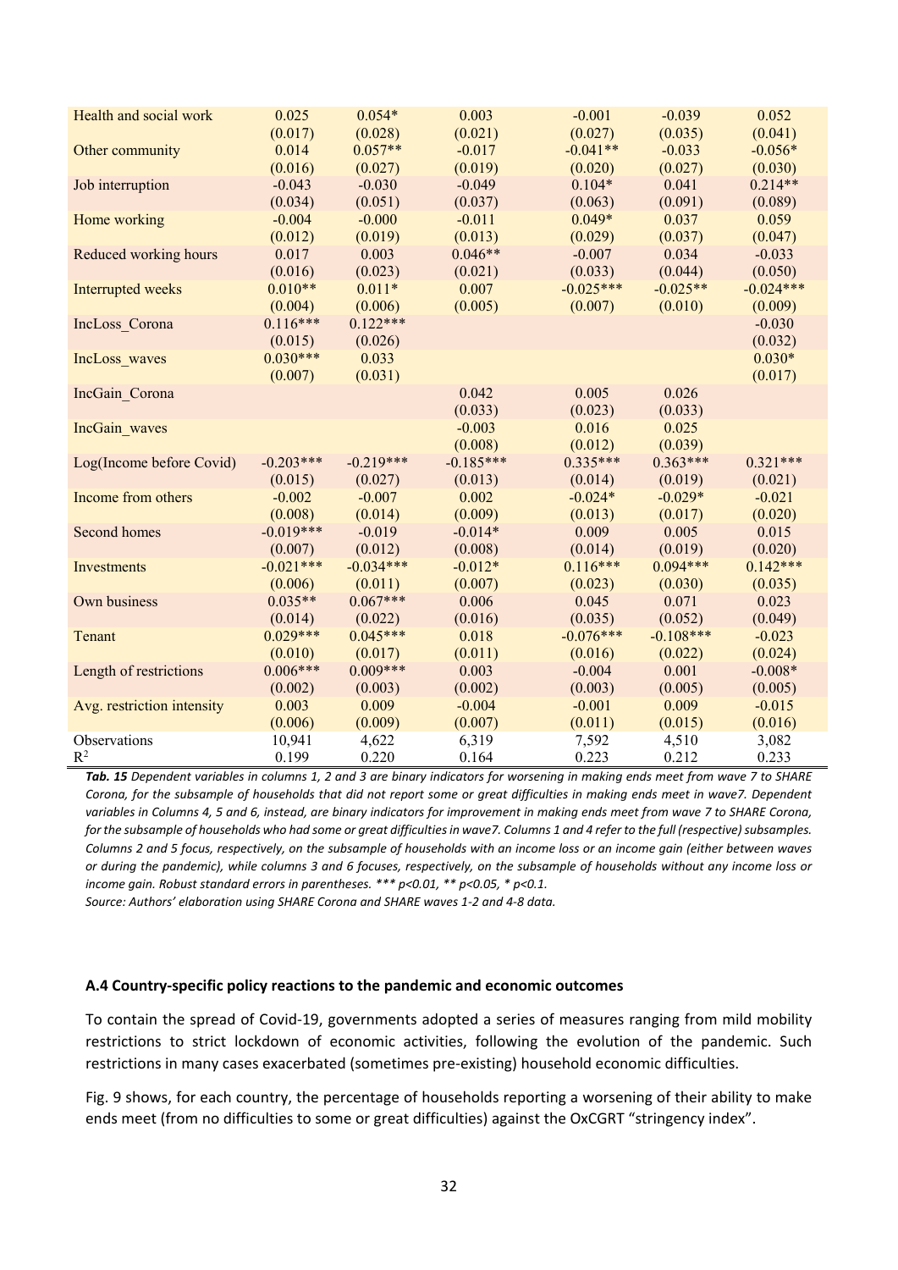| Health and social work     | 0.025       | $0.054*$    | 0.003       | $-0.001$    | $-0.039$    | 0.052       |
|----------------------------|-------------|-------------|-------------|-------------|-------------|-------------|
|                            | (0.017)     | (0.028)     | (0.021)     | (0.027)     | (0.035)     | (0.041)     |
| Other community            | 0.014       | $0.057**$   | $-0.017$    | $-0.041**$  | $-0.033$    | $-0.056*$   |
|                            | (0.016)     | (0.027)     | (0.019)     | (0.020)     | (0.027)     | (0.030)     |
| Job interruption           | $-0.043$    | $-0.030$    | $-0.049$    | $0.104*$    | 0.041       | $0.214**$   |
|                            | (0.034)     | (0.051)     | (0.037)     | (0.063)     | (0.091)     | (0.089)     |
| Home working               | $-0.004$    | $-0.000$    | $-0.011$    | $0.049*$    | 0.037       | 0.059       |
|                            | (0.012)     | (0.019)     | (0.013)     | (0.029)     | (0.037)     | (0.047)     |
| Reduced working hours      | 0.017       | 0.003       | $0.046**$   | $-0.007$    | 0.034       | $-0.033$    |
|                            | (0.016)     | (0.023)     | (0.021)     | (0.033)     | (0.044)     | (0.050)     |
| Interrupted weeks          | $0.010**$   | $0.011*$    | 0.007       | $-0.025***$ | $-0.025**$  | $-0.024***$ |
|                            | (0.004)     | (0.006)     | (0.005)     | (0.007)     | (0.010)     | (0.009)     |
| IncLoss Corona             | $0.116***$  | $0.122***$  |             |             |             | $-0.030$    |
|                            | (0.015)     | (0.026)     |             |             |             | (0.032)     |
| IncLoss waves              | $0.030***$  | 0.033       |             |             |             | $0.030*$    |
|                            | (0.007)     | (0.031)     |             |             |             | (0.017)     |
| IncGain Corona             |             |             | 0.042       | 0.005       | 0.026       |             |
|                            |             |             | (0.033)     | (0.023)     | (0.033)     |             |
| IncGain waves              |             |             | $-0.003$    | 0.016       | 0.025       |             |
|                            |             |             | (0.008)     | (0.012)     | (0.039)     |             |
| Log(Income before Covid)   | $-0.203***$ | $-0.219***$ | $-0.185***$ | $0.335***$  | $0.363***$  | $0.321***$  |
|                            | (0.015)     | (0.027)     | (0.013)     | (0.014)     | (0.019)     | (0.021)     |
| Income from others         | $-0.002$    | $-0.007$    | 0.002       | $-0.024*$   | $-0.029*$   | $-0.021$    |
|                            | (0.008)     | (0.014)     | (0.009)     | (0.013)     | (0.017)     | (0.020)     |
| Second homes               | $-0.019***$ | $-0.019$    | $-0.014*$   | 0.009       | 0.005       | 0.015       |
|                            | (0.007)     | (0.012)     | (0.008)     | (0.014)     | (0.019)     | (0.020)     |
| Investments                | $-0.021***$ | $-0.034***$ | $-0.012*$   | $0.116***$  | $0.094***$  | $0.142***$  |
|                            | (0.006)     | (0.011)     | (0.007)     | (0.023)     | (0.030)     | (0.035)     |
| Own business               | $0.035**$   | $0.067***$  | 0.006       | 0.045       | 0.071       | 0.023       |
|                            | (0.014)     | (0.022)     | (0.016)     | (0.035)     | (0.052)     | (0.049)     |
| Tenant                     | $0.029***$  | $0.045***$  | 0.018       | $-0.076***$ | $-0.108***$ | $-0.023$    |
|                            | (0.010)     | (0.017)     | (0.011)     | (0.016)     | (0.022)     | (0.024)     |
| Length of restrictions     | $0.006***$  | $0.009***$  | 0.003       | $-0.004$    | 0.001       | $-0.008*$   |
|                            | (0.002)     | (0.003)     | (0.002)     | (0.003)     | (0.005)     | (0.005)     |
| Avg. restriction intensity | 0.003       | 0.009       | $-0.004$    | $-0.001$    | 0.009       | $-0.015$    |
|                            | (0.006)     | (0.009)     | (0.007)     | (0.011)     | (0.015)     | (0.016)     |
| Observations               | 10,941      | 4,622       | 6,319       | 7,592       | 4,510       | 3,082       |
| $R^2$                      | 0.199       | 0.220       | 0.164       | 0.223       | 0.212       | 0.233       |

*Tab. 15 Dependent variables in columns 1, 2 and 3 are binary indicators for worsening in making ends meet from wave 7 to SHARE Corona, for the subsample of households that did not report some or great difficulties in making ends meet in wave7. Dependent variables in Columns 4, 5 and 6, instead, are binary indicators for improvement in making ends meet from wave 7 to SHARE Corona, for the subsample of households who had some or great difficulties in wave7. Columns 1 and 4 refer to the full (respective) subsamples. Columns 2 and 5 focus, respectively, on the subsample of households with an income loss or an income gain (either between waves or during the pandemic), while columns 3 and 6 focuses, respectively, on the subsample of households without any income loss or income gain. Robust standard errors in parentheses. \*\*\* p<0.01, \*\* p<0.05, \* p<0.1.* 

*Source: Authors' elaboration using SHARE Corona and SHARE waves 1‐2 and 4‐8 data.* 

#### **A.4 Country‐specific policy reactions to the pandemic and economic outcomes**

To contain the spread of Covid‐19, governments adopted a series of measures ranging from mild mobility restrictions to strict lockdown of economic activities, following the evolution of the pandemic. Such restrictions in many cases exacerbated (sometimes pre‐existing) household economic difficulties.

Fig. 9 shows, for each country, the percentage of households reporting a worsening of their ability to make ends meet (from no difficulties to some or great difficulties) against the OxCGRT "stringency index".